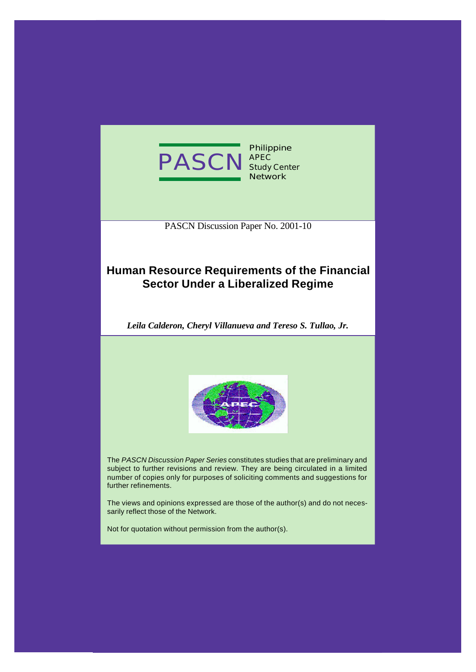

**Philippine APEC Study Center Network**

PASCN Discussion Paper No. 2001-10

# **Human Resource Requirements of the Financial Sector Under a Liberalized Regime**

*Leila Calderon, Cheryl Villanueva and Tereso S. Tullao, Jr.*



The *PASCN Discussion Paper Series* constitutes studies that are preliminary and subject to further revisions and review. They are being circulated in a limited number of copies only for purposes of soliciting comments and suggestions for further refinements.

The views and opinions expressed are those of the author(s) and do not necessarily reflect those of the Network.

Not for quotation without permission from the author(s).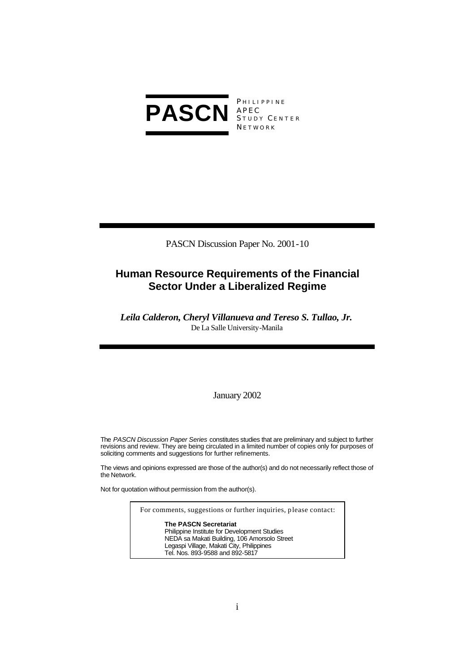

**PHILIPPINE** S TUDY C ENTER **NETWORK** 

PASCN Discussion Paper No. 2001-10

# **Human Resource Requirements of the Financial Sector Under a Liberalized Regime**

*Leila Calderon, Cheryl Villanueva and Tereso S. Tullao, Jr.*  De La Salle University-Manila

# January 2002

The *PASCN Discussion Paper Series* constitutes studies that are preliminary and subject to further revisions and review. They are being circulated in a limited number of copies only for purposes of soliciting comments and suggestions for further refinements.

The views and opinions expressed are those of the author(s) and do not necessarily reflect those of the Network.

Not for quotation without permission from the author(s).

For comments, suggestions or further inquiries, please contact:

**The PASCN Secretariat** Philippine Institute for Development Studies NEDA sa Makati Building, 106 Amorsolo Street Legaspi Village, Makati City, Philippines Tel. Nos. 893-9588 and 892-5817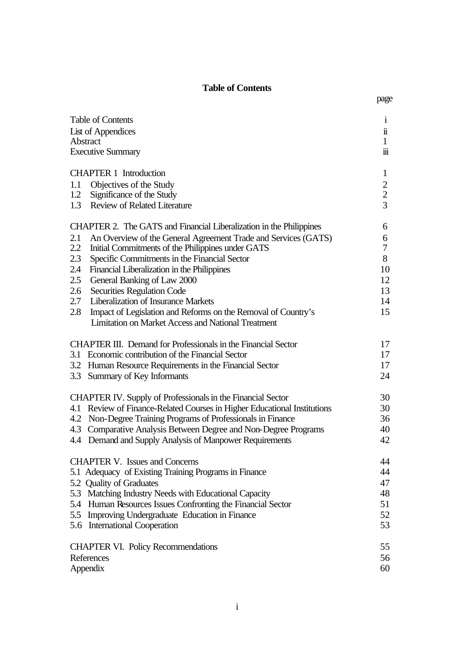# **Table of Contents**

| Table of Contents  |                                                                          | $\mathbf{i}$                               |
|--------------------|--------------------------------------------------------------------------|--------------------------------------------|
| List of Appendices |                                                                          | $\ddot{\mathbf{i}}$                        |
| Abstract           |                                                                          |                                            |
|                    | <b>Executive Summary</b>                                                 | $\dddot{\mathbf{m}}$                       |
|                    | <b>CHAPTER 1</b> Introduction                                            | $\mathbf{1}$                               |
| 1.1                | Objectives of the Study                                                  |                                            |
| 1.2                | Significance of the Study                                                | $\begin{array}{c} 2 \\ 2 \\ 3 \end{array}$ |
|                    | 1.3 Review of Related Literature                                         |                                            |
|                    | CHAPTER 2. The GATS and Financial Liberalization in the Philippines      | 6                                          |
| 2.1                | An Overview of the General Agreement Trade and Services (GATS)           | 6                                          |
| 2.2                | Initial Commitments of the Philippines under GATS                        | $\tau$                                     |
| 2.3                | Specific Commitments in the Financial Sector                             | 8                                          |
| 2.4                | Financial Liberalization in the Philippines                              | 10                                         |
| 2.5                | General Banking of Law 2000                                              | 12                                         |
| 2.6                | <b>Securities Regulation Code</b>                                        | 13                                         |
| 2.7                | Liberalization of Insurance Markets                                      | 14                                         |
| 2.8                | Impact of Legislation and Reforms on the Removal of Country's            | 15                                         |
|                    | <b>Limitation on Market Access and National Treatment</b>                |                                            |
|                    | <b>CHAPTER III.</b> Demand for Professionals in the Financial Sector     | 17                                         |
|                    | 3.1 Economic contribution of the Financial Sector                        | 17                                         |
|                    | 3.2 Human Resource Requirements in the Financial Sector                  | 17                                         |
|                    | 3.3 Summary of Key Informants                                            | 24                                         |
|                    | <b>CHAPTER IV.</b> Supply of Professionals in the Financial Sector       | 30                                         |
|                    | 4.1 Review of Finance-Related Courses in Higher Educational Institutions | 30                                         |
|                    | 4.2 Non-Degree Training Programs of Professionals in Finance             | 36                                         |
|                    | 4.3 Comparative Analysis Between Degree and Non-Degree Programs          | 40                                         |
|                    | 4.4 Demand and Supply Analysis of Manpower Requirements                  | 42                                         |
|                    | <b>CHAPTER V.</b> Issues and Concerns                                    | 44                                         |
|                    | 5.1 Adequacy of Existing Training Programs in Finance                    | 44                                         |
|                    | 5.2 Quality of Graduates                                                 | 47                                         |
|                    | 5.3 Matching Industry Needs with Educational Capacity                    | 48                                         |
|                    | 5.4 Human Resources Issues Confronting the Financial Sector              | 51                                         |
|                    | 5.5 Improving Undergraduate Education in Finance                         | 52                                         |
|                    | 5.6 International Cooperation                                            | 53                                         |
|                    | <b>CHAPTER VI. Policy Recommendations</b>                                | 55                                         |
| References         |                                                                          | 56                                         |
| Appendix           |                                                                          | 60                                         |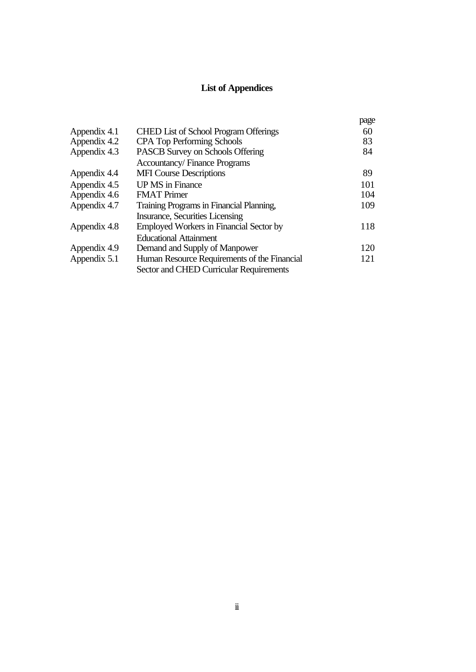# **List of Appendices**

|                                                | page |
|------------------------------------------------|------|
| <b>CHED List of School Program Offerings</b>   | 60   |
| <b>CPA Top Performing Schools</b>              | 83   |
| PASCB Survey on Schools Offering               | 84   |
| <b>Accountancy/Finance Programs</b>            |      |
| <b>MFI</b> Course Descriptions                 | 89   |
| <b>UP MS</b> in Finance                        | 101  |
| <b>FMAT</b> Primer                             | 104  |
| Training Programs in Financial Planning,       | 109  |
| Insurance, Securities Licensing                |      |
| <b>Employed Workers in Financial Sector by</b> | 118  |
| <b>Educational Attainment</b>                  |      |
| Demand and Supply of Manpower                  | 120  |
| Human Resource Requirements of the Financial   | 121  |
| Sector and CHED Curricular Requirements        |      |
|                                                |      |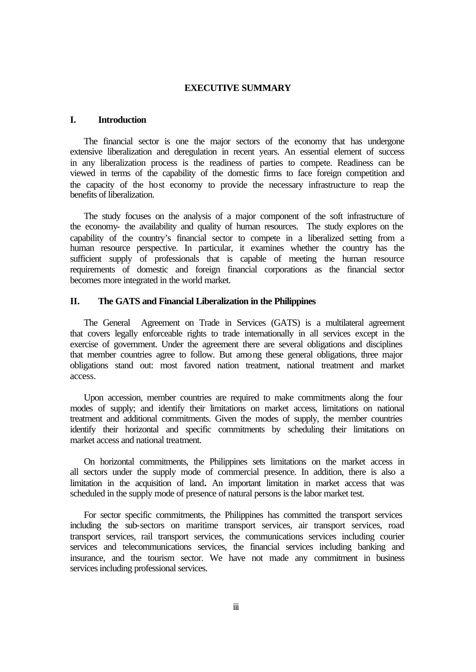#### **EXECUTIVE SUMMARY**

# **I. Introduction**

The financial sector is one the major sectors of the economy that has undergone extensive liberalization and deregulation in recent years. An essential element of success in any liberalization process is the readiness of parties to compete. Readiness can be viewed in terms of the capability of the domestic firms to face foreign competition and the capacity of the host economy to provide the necessary infrastructure to reap the benefits of liberalization.

The study focuses on the analysis of a major component of the soft infrastructure of the economy- the availability and quality of human resources. The study explores on the capability of the country's financial sector to compete in a liberalized setting from a human resource perspective. In particular, it examines whether the country has the sufficient supply of professionals that is capable of meeting the human resource requirements of domestic and foreign financial corporations as the financial sector becomes more integrated in the world market.

# **II. The GATS and Financial Liberalization in the Philippines**

The General Agreement on Trade in Services (GATS) is a multilateral agreement that covers legally enforceable rights to trade internationally in all services except in the exercise of government. Under the agreement there are several obligations and disciplines that member countries agree to follow. But among these general obligations, three major obligations stand out: most favored nation treatment, national treatment and market access.

Upon accession, member countries are required to make commitments along the four modes of supply; and identify their limitations on market access, limitations on national treatment and additional commitments. Given the modes of supply, the member countries identify their horizontal and specific commitments by scheduling their limitations on market access and national treatment.

On horizontal commitments, the Philippines sets limitations on the market access in all sectors under the supply mode of commercial presence. In addition, there is also a limitation in the acquisition of land**.** An important limitation in market access that was scheduled in the supply mode of presence of natural persons is the labor market test.

For sector specific commitments, the Philippines has committed the transport services including the sub-sectors on maritime transport services, air transport services, road transport services, rail transport services, the communications services including courier services and telecommunications services, the financial services including banking and insurance, and the tourism sector. We have not made any commitment in business services including professional services.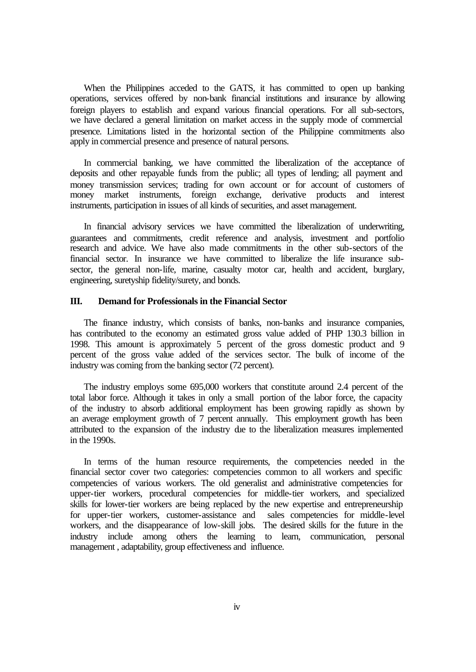When the Philippines acceded to the GATS, it has committed to open up banking operations, services offered by non-bank financial institutions and insurance by allowing foreign players to establish and expand various financial operations. For all sub-sectors, we have declared a general limitation on market access in the supply mode of commercial presence. Limitations listed in the horizontal section of the Philippine commitments also apply in commercial presence and presence of natural persons.

In commercial banking, we have committed the liberalization of the acceptance of deposits and other repayable funds from the public; all types of lending; all payment and money transmission services; trading for own account or for account of customers of money market instruments, foreign exchange, derivative products and interest instruments, participation in issues of all kinds of securities, and asset management.

In financial advisory services we have committed the liberalization of underwriting, guarantees and commitments, credit reference and analysis, investment and portfolio research and advice. We have also made commitments in the other sub-sectors of the financial sector. In insurance we have committed to liberalize the life insurance subsector, the general non-life, marine, casualty motor car, health and accident, burglary, engineering, suretyship fidelity/surety, and bonds.

# **III. Demand for Professionals in the Financial Sector**

The finance industry, which consists of banks, non-banks and insurance companies, has contributed to the economy an estimated gross value added of PHP 130.3 billion in 1998. This amount is approximately 5 percent of the gross domestic product and 9 percent of the gross value added of the services sector. The bulk of income of the industry was coming from the banking sector (72 percent).

The industry employs some 695,000 workers that constitute around 2.4 percent of the total labor force. Although it takes in only a small portion of the labor force, the capacity of the industry to absorb additional employment has been growing rapidly as shown by an average employment growth of 7 percent annually. This employment growth has been attributed to the expansion of the industry due to the liberalization measures implemented in the 1990s.

In terms of the human resource requirements, the competencies needed in the financial sector cover two categories: competencies common to all workers and specific competencies of various workers. The old generalist and administrative competencies for upper-tier workers, procedural competencies for middle-tier workers, and specialized skills for lower-tier workers are being replaced by the new expertise and entrepreneurship for upper-tier workers, customer-assistance and sales competencies for middle-level workers, and the disappearance of low-skill jobs. The desired skills for the future in the industry include among others the learning to learn, communication, personal management , adaptability, group effectiveness and influence.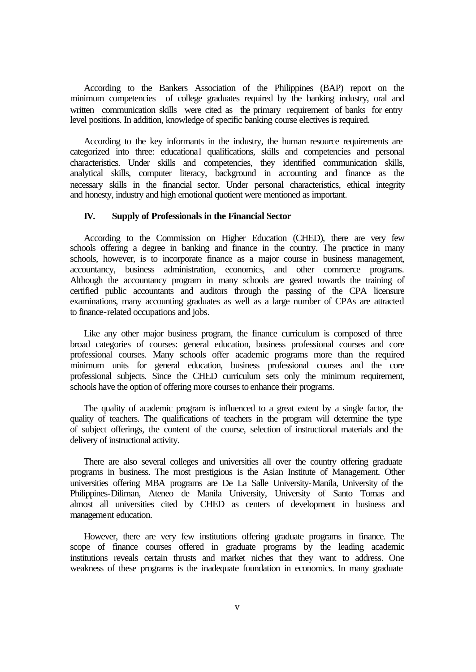According to the Bankers Association of the Philippines (BAP) report on the minimum competencies of college graduates required by the banking industry, oral and written communication skills were cited as the primary requirement of banks for entry level positions. In addition, knowledge of specific banking course electives is required.

According to the key informants in the industry, the human resource requirements are categorized into three: educational qualifications, skills and competencies and personal characteristics. Under skills and competencies, they identified communication skills, analytical skills, computer literacy, background in accounting and finance as the necessary skills in the financial sector. Under personal characteristics, ethical integrity and honesty, industry and high emotional quotient were mentioned as important.

#### **IV. Supply of Professionals in the Financial Sector**

According to the Commission on Higher Education (CHED), there are very few schools offering a degree in banking and finance in the country. The practice in many schools, however, is to incorporate finance as a major course in business management, accountancy, business administration, economics, and other commerce programs. Although the accountancy program in many schools are geared towards the training of certified public accountants and auditors through the passing of the CPA licensure examinations, many accounting graduates as well as a large number of CPAs are attracted to finance-related occupations and jobs.

Like any other major business program, the finance curriculum is composed of three broad categories of courses: general education, business professional courses and core professional courses. Many schools offer academic programs more than the required minimum units for general education, business professional courses and the core professional subjects. Since the CHED curriculum sets only the minimum requirement, schools have the option of offering more courses to enhance their programs.

The quality of academic program is influenced to a great extent by a single factor, the quality of teachers. The qualifications of teachers in the program will determine the type of subject offerings, the content of the course, selection of instructional materials and the delivery of instructional activity.

There are also several colleges and universities all over the country offering graduate programs in business. The most prestigious is the Asian Institute of Management. Other universities offering MBA programs are De La Salle University-Manila, University of the Philippines-Diliman, Ateneo de Manila University, University of Santo Tomas and almost all universities cited by CHED as centers of development in business and management education.

However, there are very few institutions offering graduate programs in finance. The scope of finance courses offered in graduate programs by the leading academic institutions reveals certain thrusts and market niches that they want to address. One weakness of these programs is the inadequate foundation in economics. In many graduate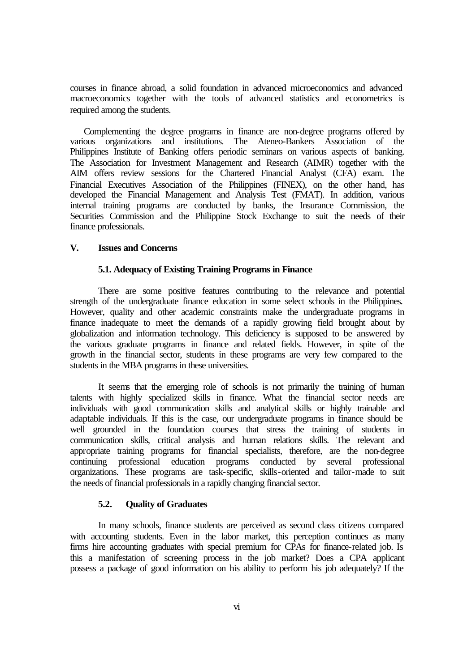courses in finance abroad, a solid foundation in advanced microeconomics and advanced macroeconomics together with the tools of advanced statistics and econometrics is required among the students.

Complementing the degree programs in finance are non-degree programs offered by various organizations and institutions. The Ateneo-Bankers Association of the Philippines Institute of Banking offers periodic seminars on various aspects of banking. The Association for Investment Management and Research (AIMR) together with the AIM offers review sessions for the Chartered Financial Analyst (CFA) exam. The Financial Executives Association of the Philippines (FINEX), on the other hand, has developed the Financial Management and Analysis Test (FMAT). In addition, various internal training programs are conducted by banks, the Insurance Commission, the Securities Commission and the Philippine Stock Exchange to suit the needs of their finance professionals.

#### **V. Issues and Concerns**

#### **5.1. Adequacy of Existing Training Programs in Finance**

There are some positive features contributing to the relevance and potential strength of the undergraduate finance education in some select schools in the Philippines. However, quality and other academic constraints make the undergraduate programs in finance inadequate to meet the demands of a rapidly growing field brought about by globalization and information technology. This deficiency is supposed to be answered by the various graduate programs in finance and related fields. However, in spite of the growth in the financial sector, students in these programs are very few compared to the students in the MBA programs in these universities.

It seems that the emerging role of schools is not primarily the training of human talents with highly specialized skills in finance. What the financial sector needs are individuals with good communication skills and analytical skills or highly trainable and adaptable individuals. If this is the case, our undergraduate programs in finance should be well grounded in the foundation courses that stress the training of students in communication skills, critical analysis and human relations skills. The relevant and appropriate training programs for financial specialists, therefore, are the non-degree continuing professional education programs conducted by several professional organizations. These programs are task-specific, skills-oriented and tailor-made to suit the needs of financial professionals in a rapidly changing financial sector.

#### **5.2. Quality of Graduates**

In many schools, finance students are perceived as second class citizens compared with accounting students. Even in the labor market, this perception continues as many firms hire accounting graduates with special premium for CPAs for finance-related job. Is this a manifestation of screening process in the job market? Does a CPA applicant possess a package of good information on his ability to perform his job adequately? If the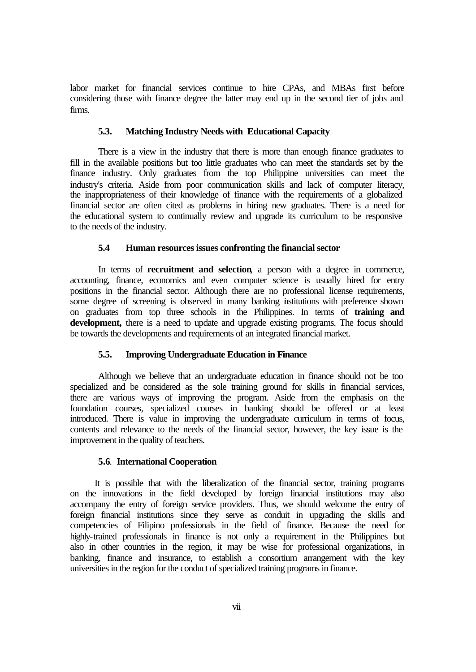labor market for financial services continue to hire CPAs, and MBAs first before considering those with finance degree the latter may end up in the second tier of jobs and firms.

# **5.3. Matching Industry Needs with Educational Capacity**

There is a view in the industry that there is more than enough finance graduates to fill in the available positions but too little graduates who can meet the standards set by the finance industry. Only graduates from the top Philippine universities can meet the industry's criteria. Aside from poor communication skills and lack of computer literacy, the inappropriateness of their knowledge of finance with the requirements of a globalized financial sector are often cited as problems in hiring new graduates. There is a need for the educational system to continually review and upgrade its curriculum to be responsive to the needs of the industry.

#### **5.4 Human resources issues confronting the financial sector**

In terms of **recruitment and selection**, a person with a degree in commerce, accounting, finance, economics and even computer science is usually hired for entry positions in the financial sector. Although there are no professional license requirements, some degree of screening is observed in many banking institutions with preference shown on graduates from top three schools in the Philippines. In terms of **training and** development, there is a need to update and upgrade existing programs. The focus should be towards the developments and requirements of an integrated financial market.

# **5.5. Improving Undergraduate Education in Finance**

Although we believe that an undergraduate education in finance should not be too specialized and be considered as the sole training ground for skills in financial services, there are various ways of improving the program. Aside from the emphasis on the foundation courses, specialized courses in banking should be offered or at least introduced. There is value in improving the undergraduate curriculum in terms of focus, contents and relevance to the needs of the financial sector, however, the key issue is the improvement in the quality of teachers.

#### **5.6**. **International Cooperation**

It is possible that with the liberalization of the financial sector, training programs on the innovations in the field developed by foreign financial institutions may also accompany the entry of foreign service providers. Thus, we should welcome the entry of foreign financial institutions since they serve as conduit in upgrading the skills and competencies of Filipino professionals in the field of finance. Because the need for highly-trained professionals in finance is not only a requirement in the Philippines but also in other countries in the region, it may be wise for professional organizations, in banking, finance and insurance, to establish a consortium arrangement with the key universities in the region for the conduct of specialized training programs in finance.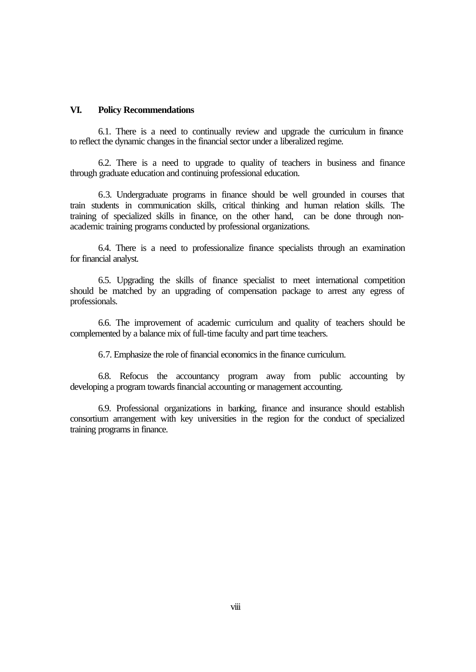#### **VI. Policy Recommendations**

6.1. There is a need to continually review and upgrade the curriculum in finance to reflect the dynamic changes in the financial sector under a liberalized regime.

6.2. There is a need to upgrade to quality of teachers in business and finance through graduate education and continuing professional education.

6.3. Undergraduate programs in finance should be well grounded in courses that train students in communication skills, critical thinking and human relation skills. The training of specialized skills in finance, on the other hand, can be done through nonacademic training programs conducted by professional organizations.

6.4. There is a need to professionalize finance specialists through an examination for financial analyst.

6.5. Upgrading the skills of finance specialist to meet international competition should be matched by an upgrading of compensation package to arrest any egress of professionals.

6.6. The improvement of academic curriculum and quality of teachers should be complemented by a balance mix of full-time faculty and part time teachers.

6.7. Emphasize the role of financial economics in the finance curriculum.

6.8. Refocus the accountancy program away from public accounting by developing a program towards financial accounting or management accounting.

6.9. Professional organizations in banking, finance and insurance should establish consortium arrangement with key universities in the region for the conduct of specialized training programs in finance.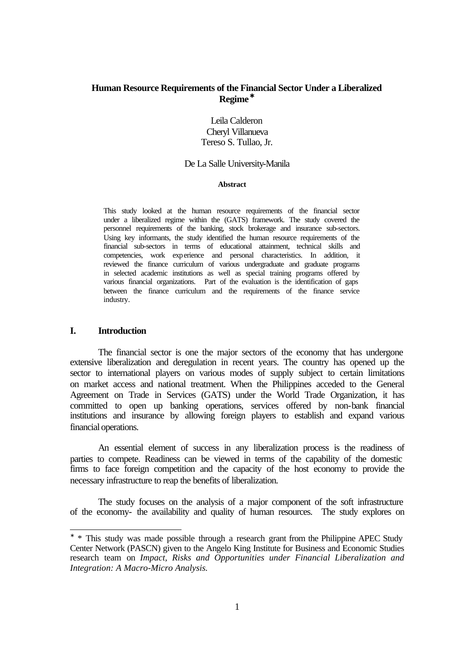# **Human Resource Requirements of the Financial Sector Under a Liberalized Regime \***

Leila Calderon Cheryl Villanueva Tereso S. Tullao, Jr.

#### De La Salle University-Manila

#### **Abstract**

This study looked at the human resource requirements of the financial sector under a liberalized regime within the (GATS) framework. The study covered the personnel requirements of the banking, stock brokerage and insurance sub-sectors. Using key informants, the study identified the human resource requirements of the financial sub-sectors in terms of educational attainment, technical skills and competencies, work experience and personal characteristics. In addition, it reviewed the finance curriculum of various undergraduate and graduate programs in selected academic institutions as well as special training programs offered by various financial organizations. Part of the evaluation is the identification of gaps between the finance curriculum and the requirements of the finance service industry.

# **I. Introduction**

l

The financial sector is one the major sectors of the economy that has undergone extensive liberalization and deregulation in recent years. The country has opened up the sector to international players on various modes of supply subject to certain limitations on market access and national treatment. When the Philippines acceded to the General Agreement on Trade in Services (GATS) under the World Trade Organization, it has committed to open up banking operations, services offered by non-bank financial institutions and insurance by allowing foreign players to establish and expand various financial operations.

An essential element of success in any liberalization process is the readiness of parties to compete. Readiness can be viewed in terms of the capability of the domestic firms to face foreign competition and the capacity of the host economy to provide the necessary infrastructure to reap the benefits of liberalization.

The study focuses on the analysis of a major component of the soft infrastructure of the economy- the availability and quality of human resources. The study explores on

<sup>∗</sup> \* This study was made possible through a research grant from the Philippine APEC Study Center Network (PASCN) given to the Angelo King Institute for Business and Economic Studies research team on *Impact, Risks and Opportunities under Financial Liberalization and Integration: A Macro-Micro Analysis.*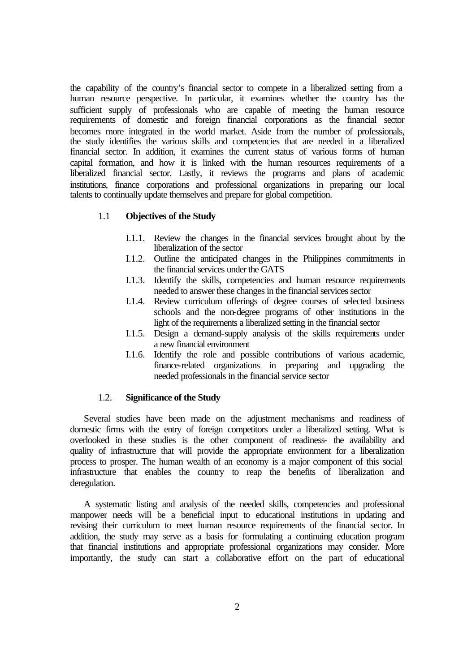the capability of the country's financial sector to compete in a liberalized setting from a human resource perspective. In particular, it examines whether the country has the sufficient supply of professionals who are capable of meeting the human resource requirements of domestic and foreign financial corporations as the financial sector becomes more integrated in the world market. Aside from the number of professionals, the study identifies the various skills and competencies that are needed in a liberalized financial sector. In addition, it examines the current status of various forms of human capital formation, and how it is linked with the human resources requirements of a liberalized financial sector. Lastly, it reviews the programs and plans of academic institutions, finance corporations and professional organizations in preparing our local talents to continually update themselves and prepare for global competition.

# 1.1 **Objectives of the Study**

- I.1.1. Review the changes in the financial services brought about by the liberalization of the sector
- I.1.2. Outline the anticipated changes in the Philippines commitments in the financial services under the GATS
- I.1.3. Identify the skills, competencies and human resource requirements needed to answer these changes in the financial services sector
- I.1.4. Review curriculum offerings of degree courses of selected business schools and the non-degree programs of other institutions in the light of the requirements a liberalized setting in the financial sector
- I.1.5. Design a demand-supply analysis of the skills requirements under a new financial environment
- I.1.6. Identify the role and possible contributions of various academic, finance-related organizations in preparing and upgrading the needed professionals in the financial service sector

# 1.2. **Significance of the Study**

Several studies have been made on the adjustment mechanisms and readiness of domestic firms with the entry of foreign competitors under a liberalized setting. What is overlooked in these studies is the other component of readiness- the availability and quality of infrastructure that will provide the appropriate environment for a liberalization process to prosper. The human wealth of an economy is a major component of this social infrastructure that enables the country to reap the benefits of liberalization and deregulation.

A systematic listing and analysis of the needed skills, competencies and professional manpower needs will be a beneficial input to educational institutions in updating and revising their curriculum to meet human resource requirements of the financial sector. In addition, the study may serve as a basis for formulating a continuing education program that financial institutions and appropriate professional organizations may consider. More importantly, the study can start a collaborative effort on the part of educational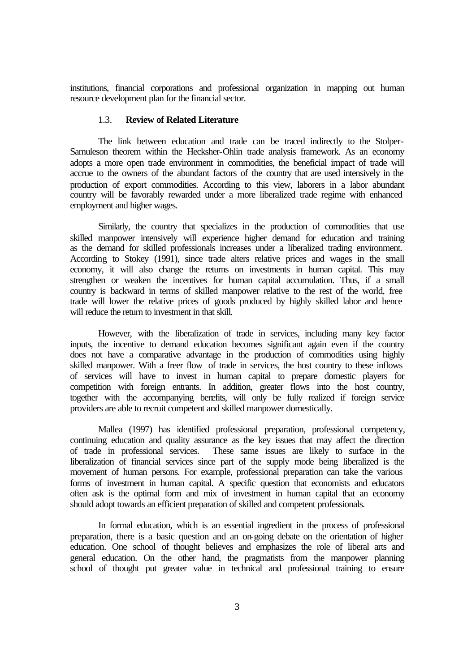institutions, financial corporations and professional organization in mapping out human resource development plan for the financial sector.

# 1.3. **Review of Related Literature**

The link between education and trade can be traced indirectly to the Stolper-Samuleson theorem within the Hecksher-Ohlin trade analysis framework. As an economy adopts a more open trade environment in commodities, the beneficial impact of trade will accrue to the owners of the abundant factors of the country that are used intensively in the production of export commodities. According to this view, laborers in a labor abundant country will be favorably rewarded under a more liberalized trade regime with enhanced employment and higher wages.

Similarly, the country that specializes in the production of commodities that use skilled manpower intensively will experience higher demand for education and training as the demand for skilled professionals increases under a liberalized trading environment. According to Stokey (1991), since trade alters relative prices and wages in the small economy, it will also change the returns on investments in human capital. This may strengthen or weaken the incentives for human capital accumulation. Thus, if a small country is backward in terms of skilled manpower relative to the rest of the world, free trade will lower the relative prices of goods produced by highly skilled labor and hence will reduce the return to investment in that skill.

However, with the liberalization of trade in services, including many key factor inputs, the incentive to demand education becomes significant again even if the country does not have a comparative advantage in the production of commodities using highly skilled manpower. With a freer flow of trade in services, the host country to these inflows of services will have to invest in human capital to prepare domestic players for competition with foreign entrants. In addition, greater flows into the host country, together with the accompanying benefits, will only be fully realized if foreign service providers are able to recruit competent and skilled manpower domestically.

Mallea (1997) has identified professional preparation, professional competency, continuing education and quality assurance as the key issues that may affect the direction of trade in professional services. These same issues are likely to surface in the liberalization of financial services since part of the supply mode being liberalized is the movement of human persons. For example, professional preparation can take the various forms of investment in human capital. A specific question that economists and educators often ask is the optimal form and mix of investment in human capital that an economy should adopt towards an efficient preparation of skilled and competent professionals.

In formal education, which is an essential ingredient in the process of professional preparation, there is a basic question and an on-going debate on the orientation of higher education. One school of thought believes and emphasizes the role of liberal arts and general education. On the other hand, the pragmatists from the manpower planning school of thought put greater value in technical and professional training to ensure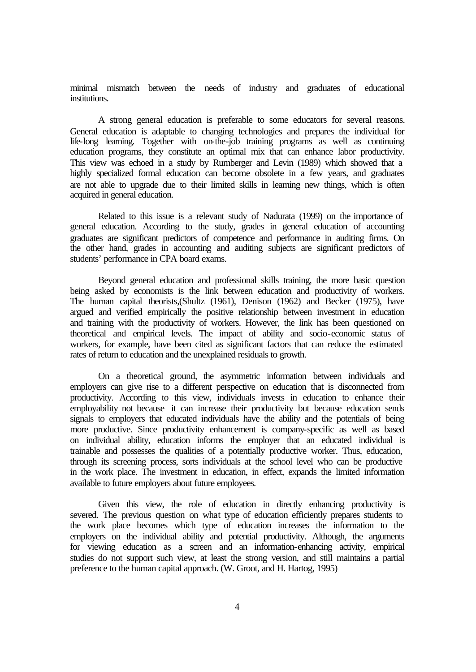minimal mismatch between the needs of industry and graduates of educational institutions.

A strong general education is preferable to some educators for several reasons. General education is adaptable to changing technologies and prepares the individual for life-long learning. Together with on-the-job training programs as well as continuing education programs, they constitute an optimal mix that can enhance labor productivity. This view was echoed in a study by Rumberger and Levin (1989) which showed that a highly specialized formal education can become obsolete in a few years, and graduates are not able to upgrade due to their limited skills in learning new things, which is often acquired in general education.

Related to this issue is a relevant study of Nadurata (1999) on the importance of general education. According to the study, grades in general education of accounting graduates are significant predictors of competence and performance in auditing firms. On the other hand, grades in accounting and auditing subjects are significant predictors of students' performance in CPA board exams.

Beyond general education and professional skills training, the more basic question being asked by economists is the link between education and productivity of workers. The human capital theorists,(Shultz (1961), Denison (1962) and Becker (1975), have argued and verified empirically the positive relationship between investment in education and training with the productivity of workers. However, the link has been questioned on theoretical and empirical levels. The impact of ability and socio-economic status of workers, for example, have been cited as significant factors that can reduce the estimated rates of return to education and the unexplained residuals to growth.

On a theoretical ground, the asymmetric information between individuals and employers can give rise to a different perspective on education that is disconnected from productivity. According to this view, individuals invests in education to enhance their employability not because it can increase their productivity but because education sends signals to employers that educated individuals have the ability and the potentials of being more productive. Since productivity enhancement is company-specific as well as based on individual ability, education informs the employer that an educated individual is trainable and possesses the qualities of a potentially productive worker. Thus, education, through its screening process, sorts individuals at the school level who can be productive in the work place. The investment in education, in effect, expands the limited information available to future employers about future employees.

Given this view, the role of education in directly enhancing productivity is severed. The previous question on what type of education efficiently prepares students to the work place becomes which type of education increases the information to the employers on the individual ability and potential productivity. Although, the arguments for viewing education as a screen and an information-enhancing activity, empirical studies do not support such view, at least the strong version, and still maintains a partial preference to the human capital approach. (W. Groot, and H. Hartog, 1995)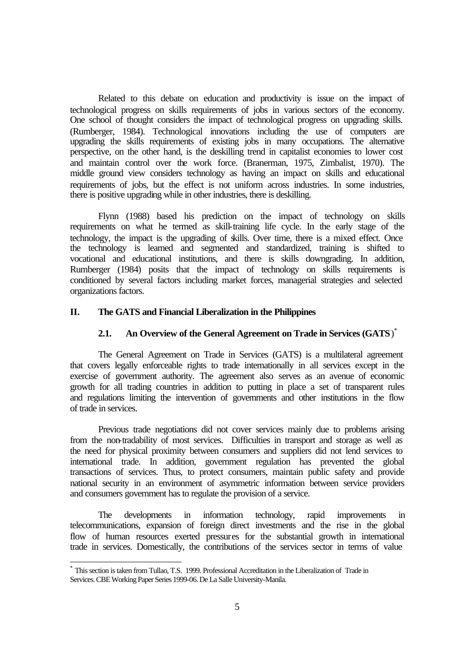Related to this debate on education and productivity is issue on the impact of technological progress on skills requirements of jobs in various sectors of the economy. One school of thought considers the impact of technological progress on upgrading skills. (Rumberger, 1984). Technological innovations including the use of computers are upgrading the skills requirements of existing jobs in many occupations. The alternative perspective, on the other hand, is the deskilling trend in capitalist economies to lower cost and maintain control over the work force. (Branerman, 1975, Zimbalist, 1970). The middle ground view considers technology as having an impact on skills and educational requirements of jobs, but the effect is not uniform across industries. In some industries, there is positive upgrading while in other industries, there is deskilling.

Flynn (1988) based his prediction on the impact of technology on skills requirements on what he termed as skill-training life cycle. In the early stage of the technology, the impact is the upgrading of skills. Over time, there is a mixed effect. Once the technology is learned and segmented and standardized, training is shifted to vocational and educational institutions, and there is skills downgrading. In addition, Rumberger (1984) posits that the impact of technology on skills requirements is conditioned by several factors including market forces, managerial strategies and selected organizations factors.

# **II. The GATS and Financial Liberalization in the Philippines**

# **2.1. An Overview of the General Agreement on Trade in Services (GATS**) \*

The General Agreement on Trade in Services (GATS) is a multilateral agreement that covers legally enforceable rights to trade internationally in all services except in the exercise of government authority. The agreement also serves as an avenue of economic growth for all trading countries in addition to putting in place a set of transparent rules and regulations limiting the intervention of governments and other institutions in the flow of trade in services.

Previous trade negotiations did not cover services mainly due to problems arising from the non-tradability of most services. Difficulties in transport and storage as well as the need for physical proximity between consumers and suppliers did not lend services to international trade. In addition, government regulation has prevented the global transactions of services. Thus, to protect consumers, maintain public safety and provide national security in an environment of asymmetric information between service providers and consumers government has to regulate the provision of a service.

The developments in information technology, rapid improvements in telecommunications, expansion of foreign direct investments and the rise in the global flow of human resources exerted pressures for the substantial growth in international trade in services. Domestically, the contributions of the services sector in terms of value

l

<sup>\*</sup> This section is taken from Tullao, T.S. 1999. Professional Accreditation in the Liberalization of Trade in Services. CBE Working Paper Series 1999-06. De La Salle University-Manila.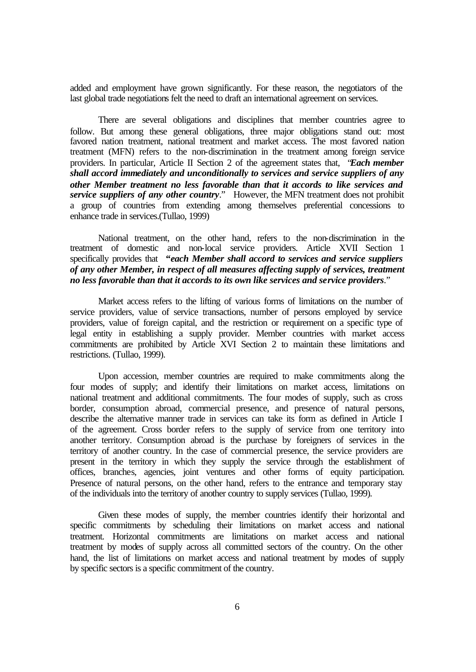added and employment have grown significantly. For these reason, the negotiators of the last global trade negotiations felt the need to draft an international agreement on services.

There are several obligations and disciplines that member countries agree to follow. But among these general obligations, three major obligations stand out: most favored nation treatment, national treatment and market access. The most favored nation treatment (MFN) refers to the non-discrimination in the treatment among foreign service providers. In particular, Article II Section 2 of the agreement states that, "*Each member shall accord immediately and unconditionally to services and service suppliers of any other Member treatment no less favorable than that it accords to like services and service suppliers of any other country*." However, the MFN treatment does not prohibit a group of countries from extending among themselves preferential concessions to enhance trade in services.(Tullao, 1999)

National treatment, on the other hand, refers to the non-discrimination in the treatment of domestic and non-local service providers. Article XVII Section 1 specifically provides that **"***each Member shall accord to services and service suppliers of any other Member, in respect of all measures affecting supply of services, treatment no less favorable than that it accords to its own like services and service providers*."

Market access refers to the lifting of various forms of limitations on the number of service providers, value of service transactions, number of persons employed by service providers, value of foreign capital, and the restriction or requirement on a specific type of legal entity in establishing a supply provider. Member countries with market access commitments are prohibited by Article XVI Section 2 to maintain these limitations and restrictions. (Tullao, 1999).

Upon accession, member countries are required to make commitments along the four modes of supply; and identify their limitations on market access, limitations on national treatment and additional commitments. The four modes of supply, such as cross border, consumption abroad, commercial presence, and presence of natural persons, describe the alternative manner trade in services can take its form as defined in Article I of the agreement. Cross border refers to the supply of service from one territory into another territory. Consumption abroad is the purchase by foreigners of services in the territory of another country. In the case of commercial presence, the service providers are present in the territory in which they supply the service through the establishment of offices, branches, agencies, joint ventures and other forms of equity participation. Presence of natural persons, on the other hand, refers to the entrance and temporary stay of the individuals into the territory of another country to supply services (Tullao, 1999).

Given these modes of supply, the member countries identify their horizontal and specific commitments by scheduling their limitations on market access and national treatment. Horizontal commitments are limitations on market access and national treatment by modes of supply across all committed sectors of the country. On the other hand, the list of limitations on market access and national treatment by modes of supply by specific sectors is a specific commitment of the country.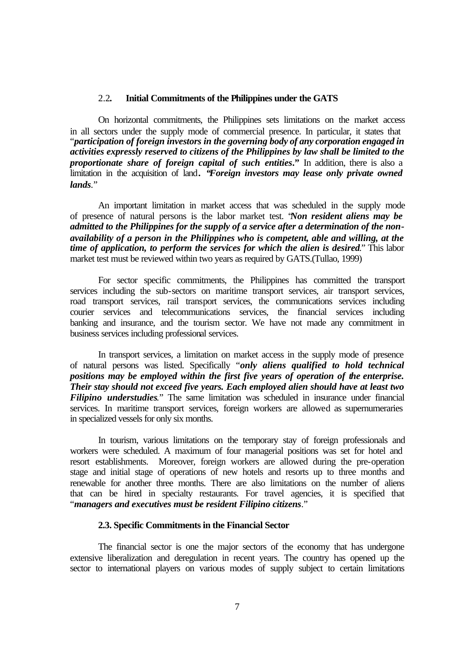# 2.2**. Initial Commitments of the Philippines under the GATS**

On horizontal commitments, the Philippines sets limitations on the market access in all sectors under the supply mode of commercial presence. In particular, it states that "*participation of foreign investors in the governing body of any corporation engaged in activities expressly reserved to citizens of the Philippines by law shall be limited to the proportionate share of foreign capital of such entities***."** In addition, there is also a limitation in the acquisition of land**. "***Foreign investors may lease only private owned lands.*"

An important limitation in market access that was scheduled in the supply mode of presence of natural persons is the labor market test. "*Non resident aliens may be admitted to the Philippines for the supply of a service after a determination of the nonavailability of a person in the Philippines who is competent, able and willing, at the time of application, to perform the services for which the alien is desired*." This labor market test must be reviewed within two years as required by GATS.(Tullao, 1999)

For sector specific commitments, the Philippines has committed the transport services including the sub-sectors on maritime transport services, air transport services, road transport services, rail transport services, the communications services including courier services and telecommunications services, the financial services including banking and insurance, and the tourism sector. We have not made any commitment in business services including professional services.

In transport services, a limitation on market access in the supply mode of presence of natural persons was listed. Specifically "*only aliens qualified to hold technical positions may be employed within the first five years of operation of the enterprise. Their stay should not exceed five years. Each employed alien should have at least two Filipino understudies.*" The same limitation was scheduled in insurance under financial services. In maritime transport services, foreign workers are allowed as supernumeraries in specialized vessels for only six months.

In tourism, various limitations on the temporary stay of foreign professionals and workers were scheduled. A maximum of four managerial positions was set for hotel and resort establishments. Moreover, foreign workers are allowed during the pre-operation stage and initial stage of operations of new hotels and resorts up to three months and renewable for another three months. There are also limitations on the number of aliens that can be hired in specialty restaurants. For travel agencies, it is specified that "*managers and executives must be resident Filipino citizens*."

## **2.3. Specific Commitments in the Financial Sector**

The financial sector is one the major sectors of the economy that has undergone extensive liberalization and deregulation in recent years. The country has opened up the sector to international players on various modes of supply subject to certain limitations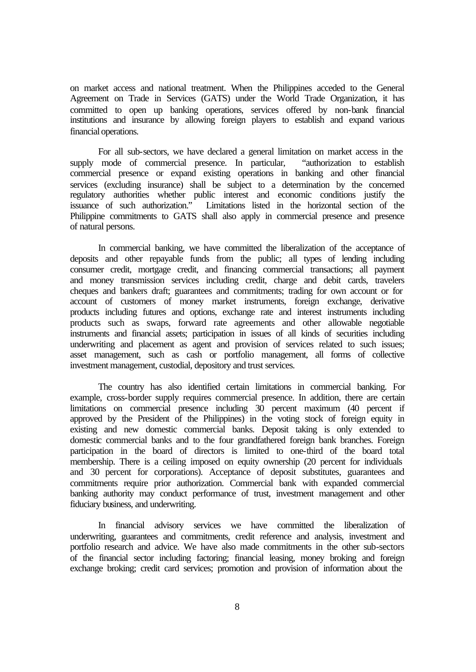on market access and national treatment. When the Philippines acceded to the General Agreement on Trade in Services (GATS) under the World Trade Organization, it has committed to open up banking operations, services offered by non-bank financial institutions and insurance by allowing foreign players to establish and expand various financial operations.

For all sub-sectors, we have declared a general limitation on market access in the supply mode of commercial presence. In particular, "authorization to establish commercial presence or expand existing operations in banking and other financial services (excluding insurance) shall be subject to a determination by the concerned regulatory authorities whether public interest and economic conditions justify the issuance of such authorization." Limitations listed in the horizontal section of the Limitations listed in the horizontal section of the Philippine commitments to GATS shall also apply in commercial presence and presence of natural persons.

In commercial banking, we have committed the liberalization of the acceptance of deposits and other repayable funds from the public; all types of lending including consumer credit, mortgage credit, and financing commercial transactions; all payment and money transmission services including credit, charge and debit cards, travelers cheques and bankers draft; guarantees and commitments; trading for own account or for account of customers of money market instruments, foreign exchange, derivative products including futures and options, exchange rate and interest instruments including products such as swaps, forward rate agreements and other allowable negotiable instruments and financial assets; participation in issues of all kinds of securities including underwriting and placement as agent and provision of services related to such issues; asset management, such as cash or portfolio management, all forms of collective investment management, custodial, depository and trust services.

The country has also identified certain limitations in commercial banking. For example, cross-border supply requires commercial presence. In addition, there are certain limitations on commercial presence including 30 percent maximum (40 percent if approved by the President of the Philippines) in the voting stock of foreign equity in existing and new domestic commercial banks. Deposit taking is only extended to domestic commercial banks and to the four grandfathered foreign bank branches. Foreign participation in the board of directors is limited to one-third of the board total membership. There is a ceiling imposed on equity ownership (20 percent for individuals and 30 percent for corporations). Acceptance of deposit substitutes, guarantees and commitments require prior authorization. Commercial bank with expanded commercial banking authority may conduct performance of trust, investment management and other fiduciary business, and underwriting.

In financial advisory services we have committed the liberalization of underwriting, guarantees and commitments, credit reference and analysis, investment and portfolio research and advice. We have also made commitments in the other sub-sectors of the financial sector including factoring; financial leasing, money broking and foreign exchange broking; credit card services; promotion and provision of information about the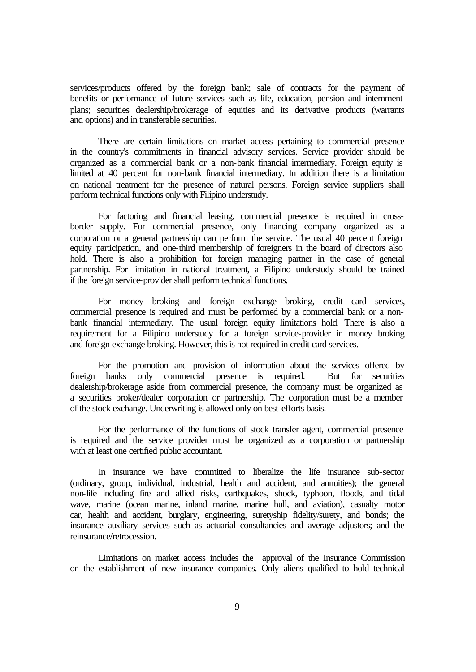services/products offered by the foreign bank; sale of contracts for the payment of benefits or performance of future services such as life, education, pension and internment plans; securities dealership/brokerage of equities and its derivative products (warrants and options) and in transferable securities.

There are certain limitations on market access pertaining to commercial presence in the country's commitments in financial advisory services. Service provider should be organized as a commercial bank or a non-bank financial intermediary. Foreign equity is limited at 40 percent for non-bank financial intermediary. In addition there is a limitation on national treatment for the presence of natural persons. Foreign service suppliers shall perform technical functions only with Filipino understudy.

For factoring and financial leasing, commercial presence is required in crossborder supply. For commercial presence, only financing company organized as a corporation or a general partnership can perform the service. The usual 40 percent foreign equity participation, and one-third membership of foreigners in the board of directors also hold. There is also a prohibition for foreign managing partner in the case of general partnership. For limitation in national treatment, a Filipino understudy should be trained if the foreign service-provider shall perform technical functions.

For money broking and foreign exchange broking, credit card services, commercial presence is required and must be performed by a commercial bank or a nonbank financial intermediary. The usual foreign equity limitations hold. There is also a requirement for a Filipino understudy for a foreign service-provider in money broking and foreign exchange broking. However, this is not required in credit card services.

For the promotion and provision of information about the services offered by foreign banks only commercial presence is required. But for securities dealership/brokerage aside from commercial presence, the company must be organized as a securities broker/dealer corporation or partnership. The corporation must be a member of the stock exchange. Underwriting is allowed only on best-efforts basis.

For the performance of the functions of stock transfer agent, commercial presence is required and the service provider must be organized as a corporation or partnership with at least one certified public accountant.

In insurance we have committed to liberalize the life insurance sub-sector (ordinary, group, individual, industrial, health and accident, and annuities); the general non-life including fire and allied risks, earthquakes, shock, typhoon, floods, and tidal wave, marine (ocean marine, inland marine, marine hull, and aviation), casualty motor car, health and accident, burglary, engineering, suretyship fidelity/surety, and bonds; the insurance auxiliary services such as actuarial consultancies and average adjustors; and the reinsurance/retrocession.

Limitations on market access includes the approval of the Insurance Commission on the establishment of new insurance companies. Only aliens qualified to hold technical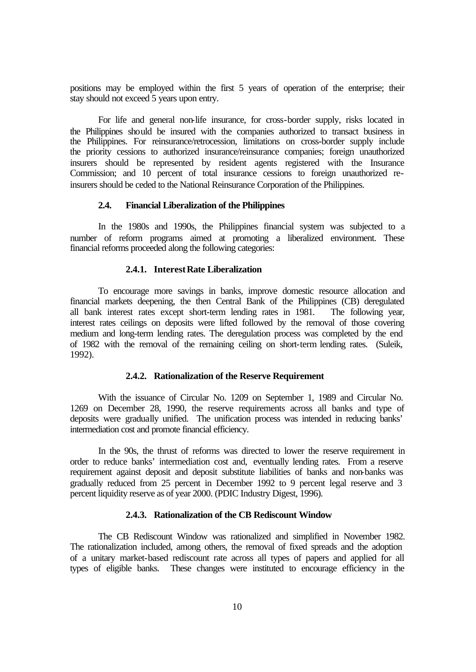positions may be employed within the first 5 years of operation of the enterprise; their stay should not exceed 5 years upon entry.

For life and general non-life insurance, for cross-border supply, risks located in the Philippines should be insured with the companies authorized to transact business in the Philippines. For reinsurance/retrocession, limitations on cross-border supply include the priority cessions to authorized insurance/reinsurance companies; foreign unauthorized insurers should be represented by resident agents registered with the Insurance Commission; and 10 percent of total insurance cessions to foreign unauthorized reinsurers should be ceded to the National Reinsurance Corporation of the Philippines.

# **2.4. Financial Liberalization of the Philippines**

In the 1980s and 1990s, the Philippines financial system was subjected to a number of reform programs aimed at promoting a liberalized environment. These financial reforms proceeded along the following categories:

## **2.4.1. Interest Rate Liberalization**

To encourage more savings in banks, improve domestic resource allocation and financial markets deepening, the then Central Bank of the Philippines (CB) deregulated all bank interest rates except short-term lending rates in 1981. The following year, interest rates ceilings on deposits were lifted followed by the removal of those covering medium and long-term lending rates. The deregulation process was completed by the end of 1982 with the removal of the remaining ceiling on short-term lending rates. (Suleik, 1992).

#### **2.4.2. Rationalization of the Reserve Requirement**

With the issuance of Circular No. 1209 on September 1, 1989 and Circular No. 1269 on December 28, 1990, the reserve requirements across all banks and type of deposits were gradually unified. The unification process was intended in reducing banks' intermediation cost and promote financial efficiency.

In the 90s, the thrust of reforms was directed to lower the reserve requirement in order to reduce banks' intermediation cost and, eventually lending rates. From a reserve requirement against deposit and deposit substitute liabilities of banks and non-banks was gradually reduced from 25 percent in December 1992 to 9 percent legal reserve and 3 percent liquidity reserve as of year 2000. (PDIC Industry Digest, 1996).

#### **2.4.3. Rationalization of the CB Rediscount Window**

The CB Rediscount Window was rationalized and simplified in November 1982. The rationalization included, among others, the removal of fixed spreads and the adoption of a unitary market-based rediscount rate across all types of papers and applied for all types of eligible banks. These changes were instituted to encourage efficiency in the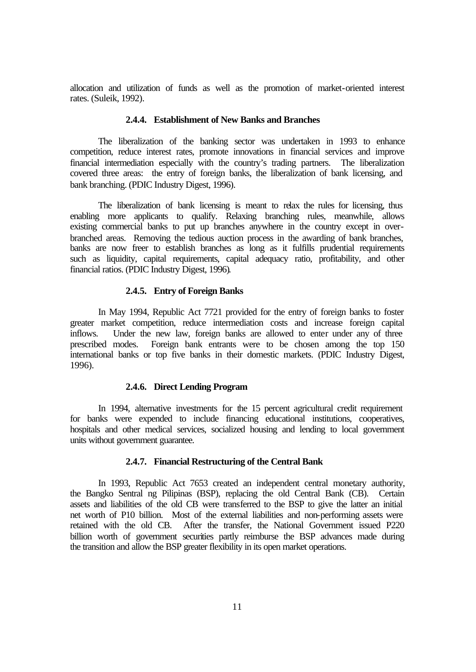allocation and utilization of funds as well as the promotion of market-oriented interest rates. (Suleik, 1992).

# **2.4.4. Establishment of New Banks and Branches**

The liberalization of the banking sector was undertaken in 1993 to enhance competition, reduce interest rates, promote innovations in financial services and improve financial intermediation especially with the country's trading partners. The liberalization covered three areas: the entry of foreign banks, the liberalization of bank licensing, and bank branching. (PDIC Industry Digest, 1996).

The liberalization of bank licensing is meant to relax the rules for licensing, thus enabling more applicants to qualify. Relaxing branching rules, meanwhile, allows existing commercial banks to put up branches anywhere in the country except in overbranched areas. Removing the tedious auction process in the awarding of bank branches, banks are now freer to establish branches as long as it fulfills prudential requirements such as liquidity, capital requirements, capital adequacy ratio, profitability, and other financial ratios. (PDIC Industry Digest, 1996).

#### **2.4.5. Entry of Foreign Banks**

In May 1994, Republic Act 7721 provided for the entry of foreign banks to foster greater market competition, reduce intermediation costs and increase foreign capital inflows. Under the new law, foreign banks are allowed to enter under any of three prescribed modes. Foreign bank entrants were to be chosen among the top 150 international banks or top five banks in their domestic markets. (PDIC Industry Digest, 1996).

#### **2.4.6. Direct Lending Program**

In 1994, alternative investments for the 15 percent agricultural credit requirement for banks were expended to include financing educational institutions, cooperatives, hospitals and other medical services, socialized housing and lending to local government units without government guarantee.

#### **2.4.7. Financial Restructuring of the Central Bank**

In 1993, Republic Act 7653 created an independent central monetary authority, the Bangko Sentral ng Pilipinas (BSP), replacing the old Central Bank (CB). Certain assets and liabilities of the old CB were transferred to the BSP to give the latter an initial net worth of P10 billion. Most of the external liabilities and non-performing assets were retained with the old CB. After the transfer, the National Government issued P220 billion worth of government securities partly reimburse the BSP advances made during the transition and allow the BSP greater flexibility in its open market operations.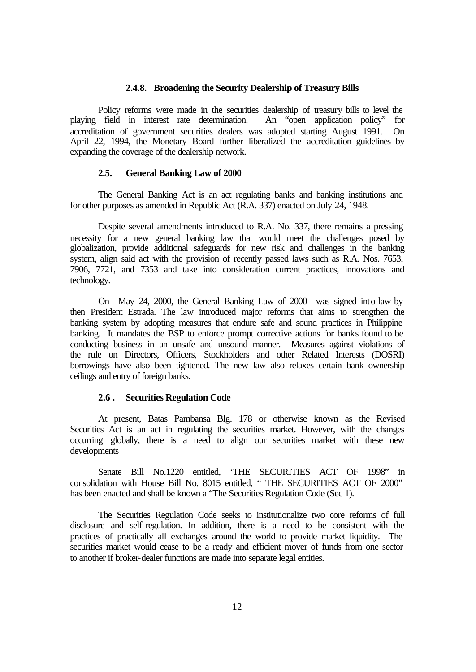## **2.4.8. Broadening the Security Dealership of Treasury Bills**

Policy reforms were made in the securities dealership of treasury bills to level the field in interest rate determination. An "open application policy" for playing field in interest rate determination. accreditation of government securities dealers was adopted starting August 1991. On April 22, 1994, the Monetary Board further liberalized the accreditation guidelines by expanding the coverage of the dealership network.

#### **2.5. General Banking Law of 2000**

The General Banking Act is an act regulating banks and banking institutions and for other purposes as amended in Republic Act (R.A. 337) enacted on July 24, 1948.

Despite several amendments introduced to R.A. No. 337, there remains a pressing necessity for a new general banking law that would meet the challenges posed by globalization, provide additional safeguards for new risk and challenges in the banking system, align said act with the provision of recently passed laws such as R.A. Nos. 7653, 7906, 7721, and 7353 and take into consideration current practices, innovations and technology.

On May 24, 2000, the General Banking Law of 2000 was signed into law by then President Estrada. The law introduced major reforms that aims to strengthen the banking system by adopting measures that endure safe and sound practices in Philippine banking. It mandates the BSP to enforce prompt corrective actions for banks found to be conducting business in an unsafe and unsound manner. Measures against violations of the rule on Directors, Officers, Stockholders and other Related Interests (DOSRI) borrowings have also been tightened. The new law also relaxes certain bank ownership ceilings and entry of foreign banks.

# **2.6 . Securities Regulation Code**

At present, Batas Pambansa Blg. 178 or otherwise known as the Revised Securities Act is an act in regulating the securities market. However, with the changes occurring globally, there is a need to align our securities market with these new developments

Senate Bill No.1220 entitled, 'THE SECURITIES ACT OF 1998" in consolidation with House Bill No. 8015 entitled, " THE SECURITIES ACT OF 2000" has been enacted and shall be known a "The Securities Regulation Code (Sec 1).

The Securities Regulation Code seeks to institutionalize two core reforms of full disclosure and self-regulation. In addition, there is a need to be consistent with the practices of practically all exchanges around the world to provide market liquidity. The securities market would cease to be a ready and efficient mover of funds from one sector to another if broker-dealer functions are made into separate legal entities.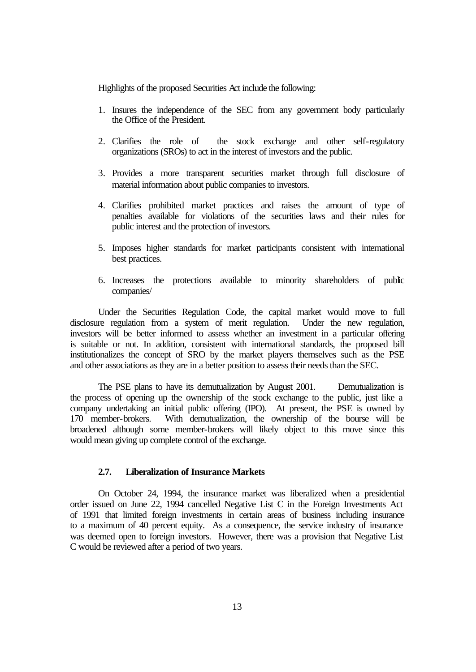Highlights of the proposed Securities Act include the following:

- 1. Insures the independence of the SEC from any government body particularly the Office of the President.
- 2. Clarifies the role of the stock exchange and other self-regulatory organizations (SROs) to act in the interest of investors and the public.
- 3. Provides a more transparent securities market through full disclosure of material information about public companies to investors.
- 4. Clarifies prohibited market practices and raises the amount of type of penalties available for violations of the securities laws and their rules for public interest and the protection of investors.
- 5. Imposes higher standards for market participants consistent with international best practices.
- 6. Increases the protections available to minority shareholders of public companies/

Under the Securities Regulation Code, the capital market would move to full disclosure regulation from a system of merit regulation. Under the new regulation, investors will be better informed to assess whether an investment in a particular offering is suitable or not. In addition, consistent with international standards, the proposed bill institutionalizes the concept of SRO by the market players themselves such as the PSE and other associations as they are in a better position to assess their needs than the SEC.

The PSE plans to have its demutualization by August 2001. Demutualization is the process of opening up the ownership of the stock exchange to the public, just like a company undertaking an initial public offering (IPO). At present, the PSE is owned by 170 member-brokers. With demutualization, the ownership of the bourse will be broadened although some member-brokers will likely object to this move since this would mean giving up complete control of the exchange.

# **2.7. Liberalization of Insurance Markets**

On October 24, 1994, the insurance market was liberalized when a presidential order issued on June 22, 1994 cancelled Negative List C in the Foreign Investments Act of 1991 that limited foreign investments in certain areas of business including insurance to a maximum of 40 percent equity. As a consequence, the service industry of insurance was deemed open to foreign investors. However, there was a provision that Negative List C would be reviewed after a period of two years.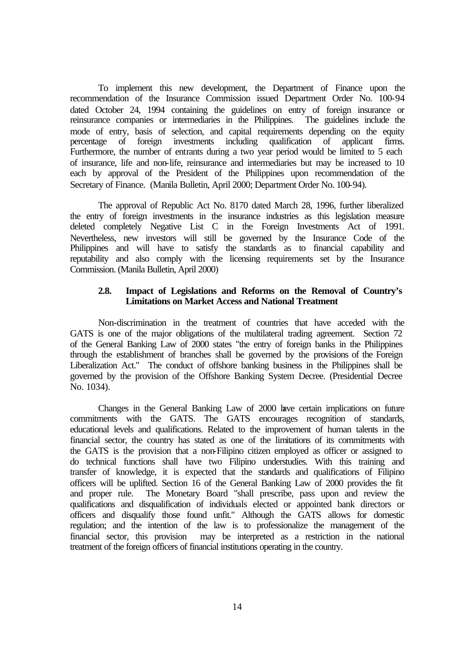To implement this new development, the Department of Finance upon the recommendation of the Insurance Commission issued Department Order No. 100-94 dated October 24, 1994 containing the guidelines on entry of foreign insurance or reinsurance companies or intermediaries in the Philippines. The guidelines include the mode of entry, basis of selection, and capital requirements depending on the equity percentage of foreign investments including qualification of applicant firms. Furthermore, the number of entrants during a two year period would be limited to 5 each of insurance, life and non-life, reinsurance and intermediaries but may be increased to 10 each by approval of the President of the Philippines upon recommendation of the Secretary of Finance. (Manila Bulletin, April 2000; Department Order No. 100-94).

The approval of Republic Act No. 8170 dated March 28, 1996, further liberalized the entry of foreign investments in the insurance industries as this legislation measure deleted completely Negative List C in the Foreign Investments Act of 1991. Nevertheless, new investors will still be governed by the Insurance Code of the Philippines and will have to satisfy the standards as to financial capability and reputability and also comply with the licensing requirements set by the Insurance Commission. (Manila Bulletin, April 2000)

### **2.8. Impact of Legislations and Reforms on the Removal of Country's Limitations on Market Access and National Treatment**

Non-discrimination in the treatment of countries that have acceded with the GATS is one of the major obligations of the multilateral trading agreement. Section 72 of the General Banking Law of 2000 states "the entry of foreign banks in the Philippines through the establishment of branches shall be governed by the provisions of the Foreign Liberalization Act." The conduct of offshore banking business in the Philippines shall be governed by the provision of the Offshore Banking System Decree. (Presidential Decree No. 1034).

Changes in the General Banking Law of 2000 have certain implications on future commitments with the GATS. The GATS encourages recognition of standards, educational levels and qualifications. Related to the improvement of human talents in the financial sector, the country has stated as one of the limitations of its commitments with the GATS is the provision that a non-Filipino citizen employed as officer or assigned to do technical functions shall have two Filipino understudies. With this training and transfer of knowledge, it is expected that the standards and qualifications of Filipino officers will be uplifted. Section 16 of the General Banking Law of 2000 provides the fit The Monetary Board "shall prescribe, pass upon and review the qualifications and disqualification of individuals elected or appointed bank directors or officers and disqualify those found unfit." Although the GATS allows for domestic regulation; and the intention of the law is to professionalize the management of the financial sector, this provision may be interpreted as a restriction in the national treatment of the foreign officers of financial institutions operating in the country.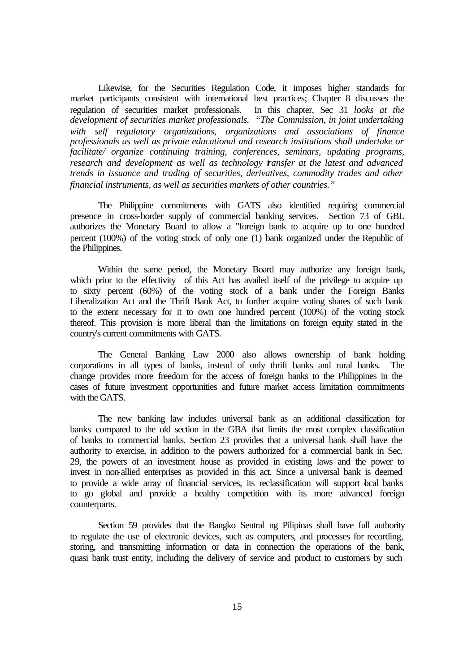Likewise, for the Securities Regulation Code, it imposes higher standards for market participants consistent with international best practices; Chapter 8 discusses the regulation of securities market professionals. In this chapter, Sec 31 *looks at the development of securities market professionals. "The Commission, in joint undertaking with self regulatory organizations, organizations and associations of finance professionals as well as private educational and research institutions shall undertake or facilitate/ organize continuing training, conferences, seminars, updating programs, research and development as well as technology transfer at the latest and advanced trends in issuance and trading of securities, derivatives, commodity trades and other financial instruments, as well as securities markets of other countries."*

The Philippine commitments with GATS also identified requiring commercial presence in cross-border supply of commercial banking services. Section 73 of GBL authorizes the Monetary Board to allow a "foreign bank to acquire up to one hundred percent (100%) of the voting stock of only one (1) bank organized under the Republic of the Philippines.

Within the same period, the Monetary Board may authorize any foreign bank, which prior to the effectivity of this Act has availed itself of the privilege to acquire up to sixty percent (60%) of the voting stock of a bank under the Foreign Banks Liberalization Act and the Thrift Bank Act, to further acquire voting shares of such bank to the extent necessary for it to own one hundred percent (100%) of the voting stock thereof. This provision is more liberal than the limitations on foreign equity stated in the country's current commitments with GATS.

The General Banking Law 2000 also allows ownership of bank holding corporations in all types of banks, instead of only thrift banks and rural banks. The change provides more freedom for the access of foreign banks to the Philippines in the cases of future investment opportunities and future market access limitation commitments with the GATS.

The new banking law includes universal bank as an additional classification for banks compared to the old section in the GBA that limits the most complex classification of banks to commercial banks. Section 23 provides that a universal bank shall have the authority to exercise, in addition to the powers authorized for a commercial bank in Sec. 29, the powers of an investment house as provided in existing laws and the power to invest in non-allied enterprises as provided in this act. Since a universal bank is deemed to provide a wide array of financial services, its reclassification will support beal banks to go global and provide a healthy competition with its more advanced foreign counterparts.

Section 59 provides that the Bangko Sentral ng Pilipinas shall have full authority to regulate the use of electronic devices, such as computers, and processes for recording, storing, and transmitting information or data in connection the operations of the bank, quasi bank trust entity, including the delivery of service and product to customers by such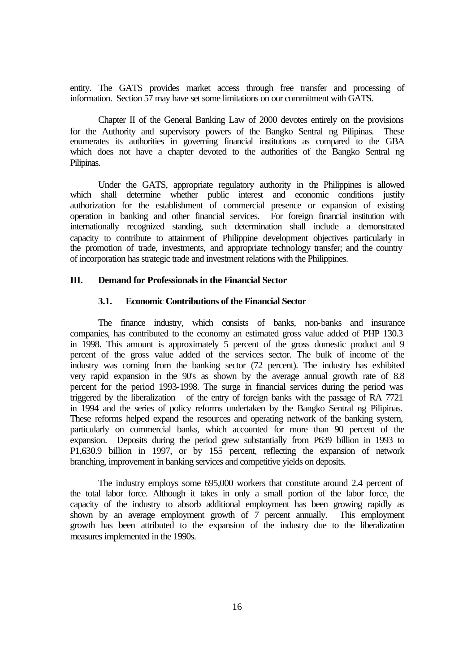entity. The GATS provides market access through free transfer and processing of information. Section 57 may have set some limitations on our commitment with GATS.

Chapter II of the General Banking Law of 2000 devotes entirely on the provisions for the Authority and supervisory powers of the Bangko Sentral ng Pilipinas. These enumerates its authorities in governing financial institutions as compared to the GBA which does not have a chapter devoted to the authorities of the Bangko Sentral ng Pilipinas.

Under the GATS, appropriate regulatory authority in the Philippines is allowed which shall determine whether public interest and economic conditions justify authorization for the establishment of commercial presence or expansion of existing operation in banking and other financial services. For foreign financial institution with internationally recognized standing, such determination shall include a demonstrated capacity to contribute to attainment of Philippine development objectives particularly in the promotion of trade, investments, and appropriate technology transfer; and the country of incorporation has strategic trade and investment relations with the Philippines.

#### **III. Demand for Professionals in the Financial Sector**

# **3.1. Economic Contributions of the Financial Sector**

The finance industry, which consists of banks, non-banks and insurance companies, has contributed to the economy an estimated gross value added of PHP 130.3 in 1998. This amount is approximately 5 percent of the gross domestic product and 9 percent of the gross value added of the services sector. The bulk of income of the industry was coming from the banking sector (72 percent). The industry has exhibited very rapid expansion in the 90's as shown by the average annual growth rate of 8.8 percent for the period 1993-1998. The surge in financial services during the period was triggered by the liberalization of the entry of foreign banks with the passage of RA 7721 in 1994 and the series of policy reforms undertaken by the Bangko Sentral ng Pilipinas. These reforms helped expand the resources and operating network of the banking system, particularly on commercial banks, which accounted for more than 90 percent of the expansion. Deposits during the period grew substantially from P639 billion in 1993 to P1,630.9 billion in 1997, or by 155 percent, reflecting the expansion of network branching, improvement in banking services and competitive yields on deposits.

The industry employs some 695,000 workers that constitute around 2.4 percent of the total labor force. Although it takes in only a small portion of the labor force, the capacity of the industry to absorb additional employment has been growing rapidly as shown by an average employment growth of 7 percent annually. This employment growth has been attributed to the expansion of the industry due to the liberalization measures implemented in the 1990s.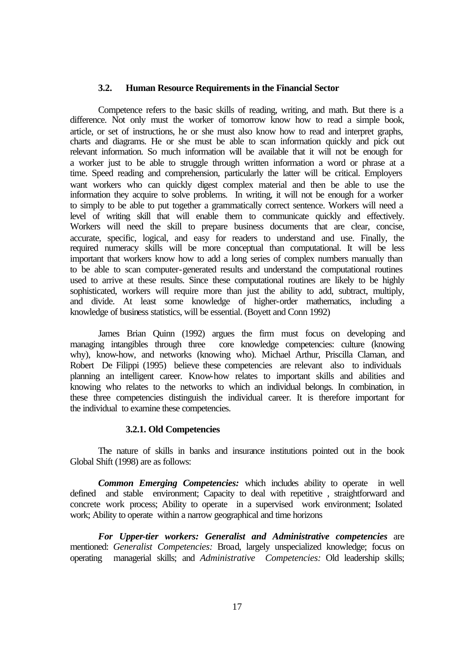#### **3.2. Human Resource Requirements in the Financial Sector**

Competence refers to the basic skills of reading, writing, and math. But there is a difference. Not only must the worker of tomorrow know how to read a simple book, article, or set of instructions, he or she must also know how to read and interpret graphs, charts and diagrams. He or she must be able to scan information quickly and pick out relevant information. So much information will be available that it will not be enough for a worker just to be able to struggle through written information a word or phrase at a time. Speed reading and comprehension, particularly the latter will be critical. Employers want workers who can quickly digest complex material and then be able to use the information they acquire to solve problems. In writing, it will not be enough for a worker to simply to be able to put together a grammatically correct sentence. Workers will need a level of writing skill that will enable them to communicate quickly and effectively. Workers will need the skill to prepare business documents that are clear, concise, accurate, specific, logical, and easy for readers to understand and use. Finally, the required numeracy skills will be more conceptual than computational. It will be less important that workers know how to add a long series of complex numbers manually than to be able to scan computer-generated results and understand the computational routines used to arrive at these results. Since these computational routines are likely to be highly sophisticated, workers will require more than just the ability to add, subtract, multiply, and divide. At least some knowledge of higher-order mathematics, including a knowledge of business statistics, will be essential. (Boyett and Conn 1992)

James Brian Quinn (1992) argues the firm must focus on developing and managing intangibles through three core knowledge competencies: culture (knowing why), know-how, and networks (knowing who). Michael Arthur, Priscilla Claman, and Robert De Filippi (1995) believe these competencies are relevant also to individuals planning an intelligent career. Know-how relates to important skills and abilities and knowing who relates to the networks to which an individual belongs. In combination, in these three competencies distinguish the individual career. It is therefore important for the individual to examine these competencies.

### **3.2.1. Old Competencies**

The nature of skills in banks and insurance institutions pointed out in the book Global Shift (1998) are as follows:

*Common Emerging Competencies:* which includes ability to operate in well defined and stable environment; Capacity to deal with repetitive , straightforward and concrete work process; Ability to operate in a supervised work environment; Isolated work; Ability to operate within a narrow geographical and time horizons

*For Upper-tier workers: Generalist and Administrative competencies* are mentioned: *Generalist Competencies:* Broad, largely unspecialized knowledge; focus on operating managerial skills; and *Administrative Competencies:* Old leadership skills;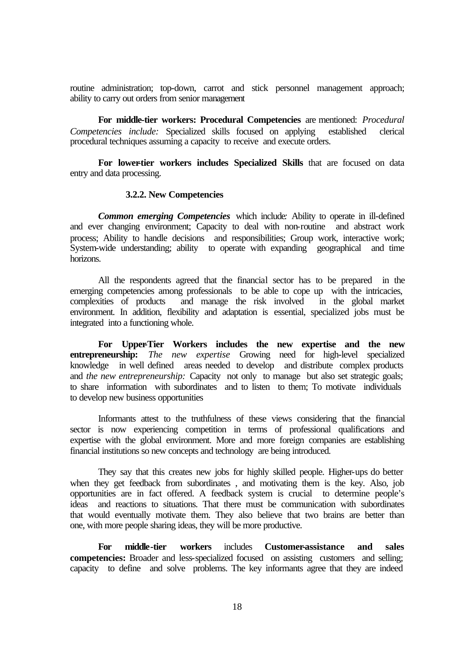routine administration; top-down, carrot and stick personnel management approach; ability to carry out orders from senior management

**For middle-tier workers: Procedural Competencies** are mentioned: *Procedural Competencies include:* Specialized skills focused on applying established clerical procedural techniques assuming a capacity to receive and execute orders.

**For lower-tier workers includes Specialized Skills** that are focused on data entry and data processing.

#### **3.2.2. New Competencies**

*Common emerging Competencies* which include*:* Ability to operate in ill-defined and ever changing environment; Capacity to deal with non-routine and abstract work process; Ability to handle decisions and responsibilities; Group work, interactive work; System-wide understanding; ability to operate with expanding geographical and time horizons.

All the respondents agreed that the financial sector has to be prepared in the emerging competencies among professionals to be able to cope up with the intricacies, complexities of products and manage the risk involved in the global market  $\overline{c}$  and manage the risk involved environment. In addition, flexibility and adaptation is essential, specialized jobs must be integrated into a functioning whole.

**For Upper-Tier Workers includes the new expertise and the new entrepreneurship:** *The new expertise* Growing need for high-level specialized knowledge in well defined areas needed to develop and distribute complex products and *the new entrepreneurship:* Capacity not only to manage but also set strategic goals; to share information with subordinates and to listen to them; To motivate individuals to develop new business opportunities

Informants attest to the truthfulness of these views considering that the financial sector is now experiencing competition in terms of professional qualifications and expertise with the global environment. More and more foreign companies are establishing financial institutions so new concepts and technology are being introduced.

They say that this creates new jobs for highly skilled people. Higher-ups do better when they get feedback from subordinates , and motivating them is the key. Also, job opportunities are in fact offered. A feedback system is crucial to determine people's ideas and reactions to situations. That there must be communication with subordinates that would eventually motivate them. They also believe that two brains are better than one, with more people sharing ideas, they will be more productive.

**For middle-tier workers** includes **Customer-assistance and sales** **competencies:** Broader and less-specialized focused on assisting customers and selling; capacity to define and solve problems. The key informants agree that they are indeed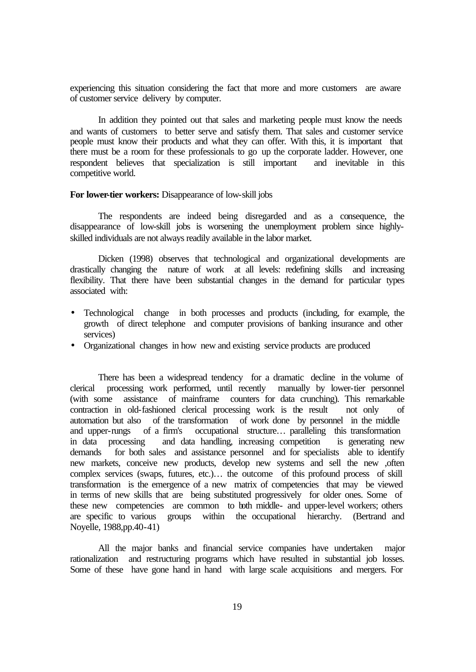experiencing this situation considering the fact that more and more customers are aware of customer service delivery by computer.

In addition they pointed out that sales and marketing people must know the needs and wants of customers to better serve and satisfy them. That sales and customer service people must know their products and what they can offer. With this, it is important that there must be a room for these professionals to go up the corporate ladder. However, one respondent believes that specialization is still important and inevitable in this competitive world.

#### **For lower-tier workers:** Disappearance of low-skill jobs

The respondents are indeed being disregarded and as a consequence, the disappearance of low-skill jobs is worsening the unemployment problem since highlyskilled individuals are not always readily available in the labor market.

Dicken (1998) observes that technological and organizational developments are drastically changing the nature of work at all levels: redefining skills and increasing flexibility. That there have been substantial changes in the demand for particular types associated with:

- Technological change in both processes and products (including, for example, the growth of direct telephone and computer provisions of banking insurance and other services)
- Organizational changes in how new and existing service products are produced

There has been a widespread tendency for a dramatic decline in the volume of clerical processing work performed, until recently manually by lower-tier personnel (with some assistance of mainframe counters for data crunching). This remarkable contraction in old-fashioned clerical processing work is the result not only of automation but also of the transformation of work done by personnel in the middle and upper-rungs of a firm's occupational structure… paralleling this transformation in data processing and data handling, increasing competition is generating new demands for both sales and assistance personnel and for specialists able to identify new markets, conceive new products, develop new systems and sell the new ,often complex services (swaps, futures, etc.)… the outcome of this profound process of skill transformation is the emergence of a new matrix of competencies that may be viewed in terms of new skills that are being substituted progressively for older ones. Some of these new competencies are common to both middle- and upper-level workers; others are specific to various groups within the occupational hierarchy. (Bertrand and Noyelle, 1988,pp.40-41)

All the major banks and financial service companies have undertaken major rationalization and restructuring programs which have resulted in substantial job losses. Some of these have gone hand in hand with large scale acquisitions and mergers. For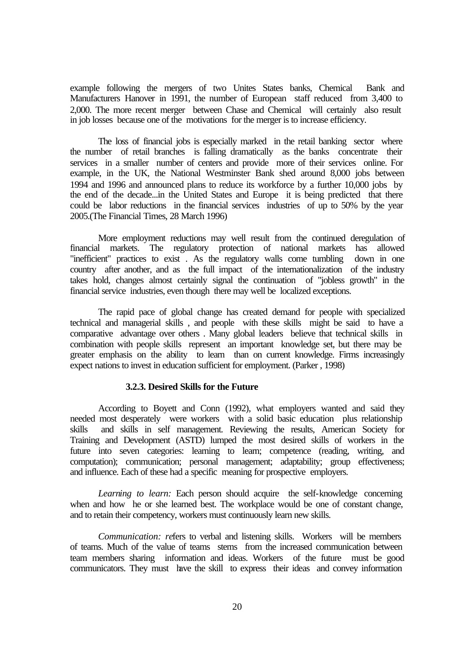example following the mergers of two Unites States banks, Chemical Bank and Manufacturers Hanover in 1991, the number of European staff reduced from 3,400 to 2,000. The more recent merger between Chase and Chemical will certainly also result in job losses because one of the motivations for the merger is to increase efficiency.

The loss of financial jobs is especially marked in the retail banking sector where the number of retail branches is falling dramatically as the banks concentrate their services in a smaller number of centers and provide more of their services online. For example, in the UK, the National Westminster Bank shed around 8,000 jobs between 1994 and 1996 and announced plans to reduce its workforce by a further 10,000 jobs by the end of the decade...in the United States and Europe it is being predicted that there could be labor reductions in the financial services industries of up to 50% by the year 2005.(The Financial Times, 28 March 1996)

More employment reductions may well result from the continued deregulation of financial markets. The regulatory protection of national markets has allowed "inefficient" practices to exist . As the regulatory walls come tumbling down in one country after another, and as the full impact of the internationalization of the industry takes hold, changes almost certainly signal the continuation of "jobless growth" in the financial service industries, even though there may well be localized exceptions.

The rapid pace of global change has created demand for people with specialized technical and managerial skills , and people with these skills might be said to have a comparative advantage over others . Many global leaders believe that technical skills in combination with people skills represent an important knowledge set, but there may be greater emphasis on the ability to learn than on current knowledge. Firms increasingly expect nations to invest in education sufficient for employment. (Parker , 1998)

#### **3.2.3. Desired Skills for the Future**

According to Boyett and Conn (1992), what employers wanted and said they needed most desperately were workers with a solid basic education plus relationship skills and skills in self management. Reviewing the results, American Society for Training and Development (ASTD) lumped the most desired skills of workers in the future into seven categories: learning to learn; competence (reading, writing, and computation); communication; personal management; adaptability; group effectiveness; and influence. Each of these had a specific meaning for prospective employers.

*Learning to learn:* Each person should acquire the self-knowledge concerning when and how he or she learned best. The workplace would be one of constant change, and to retain their competency, workers must continuously learn new skills.

*Communication: re*fers to verbal and listening skills. Workers will be members of teams. Much of the value of teams stems from the increased communication between team members sharing information and ideas. Workers of the future must be good communicators. They must have the skill to express their ideas and convey information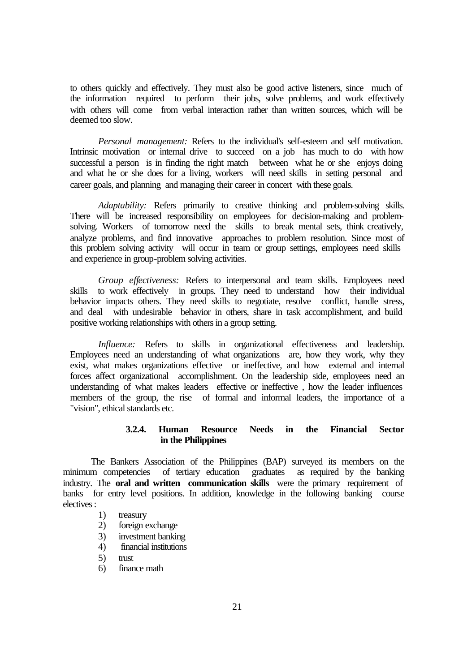to others quickly and effectively. They must also be good active listeners, since much of the information required to perform their jobs, solve problems, and work effectively with others will come from verbal interaction rather than written sources, which will be deemed too slow.

*Personal management:* Refers to the individual's self-esteem and self motivation. Intrinsic motivation or internal drive to succeed on a job has much to do with how successful a person is in finding the right match between what he or she enjoys doing and what he or she does for a living, workers will need skills in setting personal and career goals, and planning and managing their career in concert with these goals.

*Adaptability:* Refers primarily to creative thinking and problem-solving skills. There will be increased responsibility on employees for decision-making and problemsolving. Workers of tomorrow need the skills to break mental sets, think creatively, analyze problems, and find innovative approaches to problem resolution. Since most of this problem solving activity will occur in team or group settings, employees need skills and experience in group-problem solving activities.

*Group effectiveness:* Refers to interpersonal and team skills. Employees need skills to work effectively in groups. They need to understand how their individual behavior impacts others. They need skills to negotiate, resolve conflict, handle stress, and deal with undesirable behavior in others, share in task accomplishment, and build positive working relationships with others in a group setting.

*Influence:* Refers to skills in organizational effectiveness and leadership. Employees need an understanding of what organizations are, how they work, why they exist, what makes organizations effective or ineffective, and how external and internal forces affect organizational accomplishment. On the leadership side, employees need an understanding of what makes leaders effective or ineffective , how the leader influences members of the group, the rise of formal and informal leaders, the importance of a "vision", ethical standards etc.

# **3.2.4. Human Resource Needs in the Financial Sector in the Philippines**

The Bankers Association of the Philippines (BAP) surveyed its members on the minimum competencies of tertiary education graduates as required by the banking industry. The **oral and written communication skills** were the primary requirement of banks for entry level positions. In addition, knowledge in the following banking course electives :

# 1) treasury

- 2) foreign exchange
- 3) investment banking
- 4) financial institutions
- 5) trust
- 6) finance math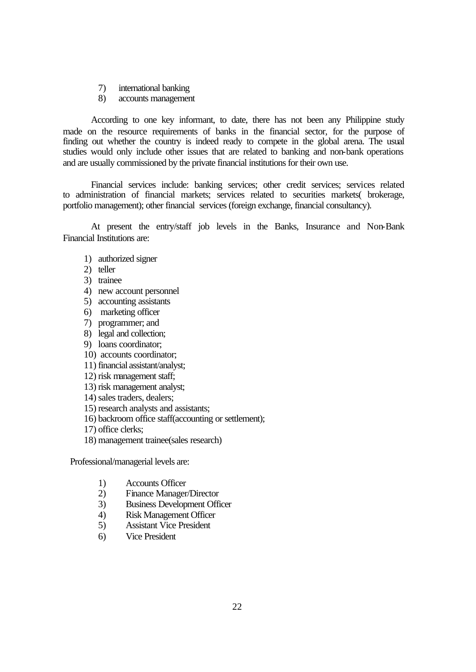- 7) international banking
- 8) accounts management

According to one key informant, to date, there has not been any Philippine study made on the resource requirements of banks in the financial sector, for the purpose of finding out whether the country is indeed ready to compete in the global arena. The usual studies would only include other issues that are related to banking and non-bank operations and are usually commissioned by the private financial institutions for their own use.

Financial services include: banking services; other credit services; services related to administration of financial markets; services related to securities markets( brokerage, portfolio management); other financial services (foreign exchange, financial consultancy).

At present the entry/staff job levels in the Banks, Insurance and Non-Bank Financial Institutions are:

- 1) authorized signer
- 2) teller
- 3) trainee
- 4) new account personnel
- 5) accounting assistants
- 6) marketing officer
- 7) programmer; and
- 8) legal and collection;
- 9) loans coordinator;
- 10) accounts coordinator;
- 11) financial assistant/analyst;
- 12) risk management staff;
- 13) risk management analyst;
- 14) sales traders, dealers;
- 15) research analysts and assistants;
- 16) backroom office staff(accounting or settlement);
- 17) office clerks;
- 18) management trainee(sales research)

Professional/managerial levels are:

- 1) Accounts Officer<br>
2) Finance Manager
- 2) Finance Manager/Director
- 3) Business Development Officer
- 4) Risk Management Officer
- 5) Assistant Vice President
- 6) Vice President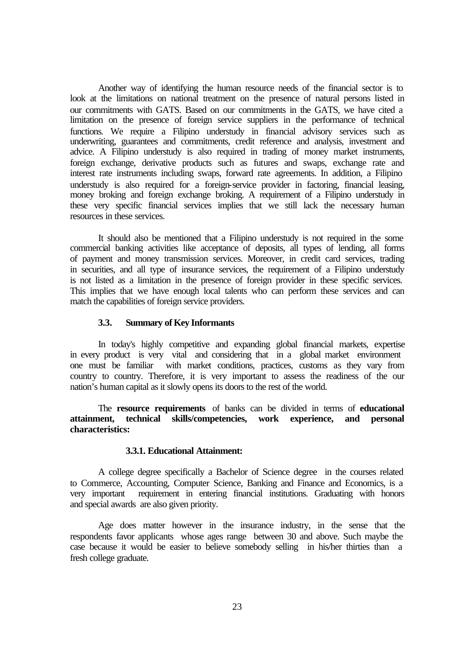Another way of identifying the human resource needs of the financial sector is to look at the limitations on national treatment on the presence of natural persons listed in our commitments with GATS. Based on our commitments in the GATS, we have cited a limitation on the presence of foreign service suppliers in the performance of technical functions. We require a Filipino understudy in financial advisory services such as underwriting, guarantees and commitments, credit reference and analysis, investment and advice. A Filipino understudy is also required in trading of money market instruments, foreign exchange, derivative products such as futures and swaps, exchange rate and interest rate instruments including swaps, forward rate agreements. In addition, a Filipino understudy is also required for a foreign-service provider in factoring, financial leasing, money broking and foreign exchange broking. A requirement of a Filipino understudy in these very specific financial services implies that we still lack the necessary human resources in these services.

It should also be mentioned that a Filipino understudy is not required in the some commercial banking activities like acceptance of deposits, all types of lending, all forms of payment and money transmission services. Moreover, in credit card services, trading in securities, and all type of insurance services, the requirement of a Filipino understudy is not listed as a limitation in the presence of foreign provider in these specific services. This implies that we have enough local talents who can perform these services and can match the capabilities of foreign service providers.

#### **3.3. Summary of Key Informants**

In today's highly competitive and expanding global financial markets, expertise in every product is very vital and considering that in a global market environment one must be familiar with market conditions, practices, customs as they vary from country to country. Therefore, it is very important to assess the readiness of the our nation's human capital as it slowly opens its doors to the rest of the world.

The **resource requirements** of banks can be divided in terms of **educational attainment, technical skills/competencies, work experience, and personal characteristics:**

# **3.3.1. Educational Attainment:**

A college degree specifically a Bachelor of Science degree in the courses related to Commerce, Accounting, Computer Science, Banking and Finance and Economics, is a very important requirement in entering financial institutions. Graduating with honors and special awards are also given priority.

Age does matter however in the insurance industry, in the sense that the respondents favor applicants whose ages range between 30 and above. Such maybe the case because it would be easier to believe somebody selling in his/her thirties than a fresh college graduate.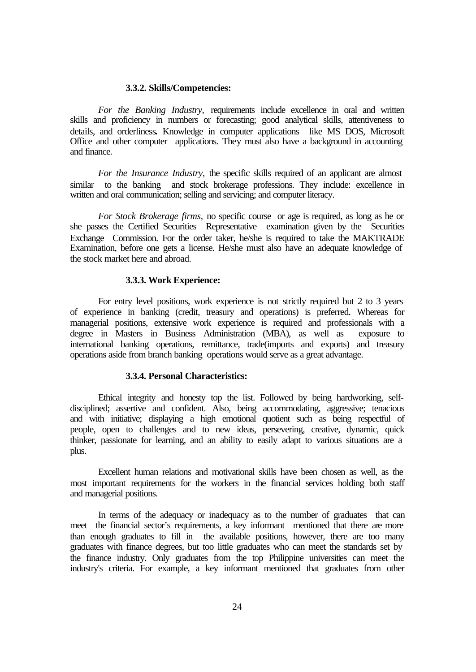### **3.3.2. Skills/Competencies:**

*For the Banking Industry,* requirements include excellence in oral and written skills and proficiency in numbers or forecasting; good analytical skills, attentiveness to details, and orderliness**.** Knowledge in computer applications like MS DOS, Microsoft Office and other computer applications. They must also have a background in accounting and finance.

*For the Insurance Industry,* the specific skills required of an applicant are almost similar to the banking and stock brokerage professions. They include: excellence in written and oral communication; selling and servicing; and computer literacy.

*For Stock Brokerage firms,* no specific course or age is required, as long as he or she passes the Certified Securities Representative examination given by the Securities Exchange Commission. For the order taker, he/she is required to take the MAKTRADE Examination, before one gets a license. He/she must also have an adequate knowledge of the stock market here and abroad.

#### **3.3.3. Work Experience:**

For entry level positions, work experience is not strictly required but 2 to 3 years of experience in banking (credit, treasury and operations) is preferred. Whereas for managerial positions, extensive work experience is required and professionals with a degree in Masters in Business Administration (MBA), as well as exposure to international banking operations, remittance, trade(imports and exports) and treasury operations aside from branch banking operations would serve as a great advantage.

#### **3.3.4. Personal Characteristics:**

Ethical integrity and honesty top the list. Followed by being hardworking, selfdisciplined; assertive and confident. Also, being accommodating, aggressive; tenacious and with initiative; displaying a high emotional quotient such as being respectful of people, open to challenges and to new ideas, persevering, creative, dynamic, quick thinker, passionate for learning, and an ability to easily adapt to various situations are a plus.

Excellent human relations and motivational skills have been chosen as well, as the most important requirements for the workers in the financial services holding both staff and managerial positions.

In terms of the adequacy or inadequacy as to the number of graduates that can meet the financial sector's requirements, a key informant mentioned that there are more than enough graduates to fill in the available positions, however, there are too many graduates with finance degrees, but too little graduates who can meet the standards set by the finance industry. Only graduates from the top Philippine universities can meet the industry's criteria. For example, a key informant mentioned that graduates from other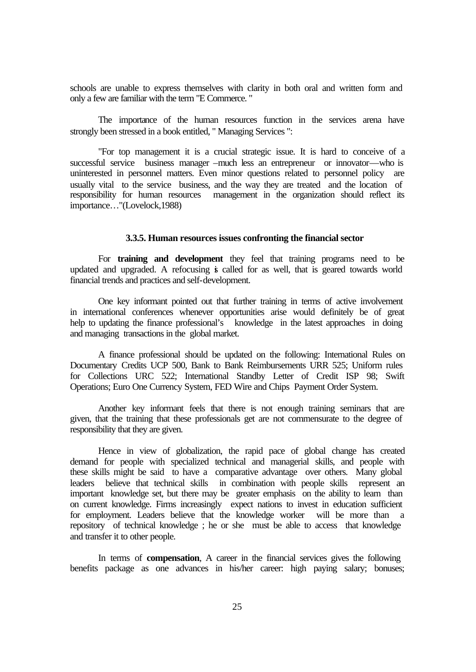schools are unable to express themselves with clarity in both oral and written form and only a few are familiar with the term "E Commerce. "

The importance of the human resources function in the services arena have strongly been stressed in a book entitled, " Managing Services ":

"For top management it is a crucial strategic issue. It is hard to conceive of a successful service business manager –much less an entrepreneur or innovator—who is uninterested in personnel matters. Even minor questions related to personnel policy are usually vital to the service business, and the way they are treated and the location of responsibility for human resources management in the organization should reflect its importance…"(Lovelock,1988)

### **3.3.5. Human resources issues confronting the financial sector**

For **training and development** they feel that training programs need to be updated and upgraded. A refocusing is called for as well, that is geared towards world financial trends and practices and self-development.

One key informant pointed out that further training in terms of active involvement in international conferences whenever opportunities arise would definitely be of great help to updating the finance professional's knowledge in the latest approaches in doing and managing transactions in the global market.

A finance professional should be updated on the following: International Rules on Documentary Credits UCP 500, Bank to Bank Reimbursements URR 525; Uniform rules for Collections URC 522; International Standby Letter of Credit ISP 98; Swift Operations; Euro One Currency System, FED Wire and Chips Payment Order System.

Another key informant feels that there is not enough training seminars that are given, that the training that these professionals get are not commensurate to the degree of responsibility that they are given.

Hence in view of globalization, the rapid pace of global change has created demand for people with specialized technical and managerial skills, and people with these skills might be said to have a comparative advantage over others. Many global leaders believe that technical skills in combination with people skills represent an important knowledge set, but there may be greater emphasis on the ability to learn than on current knowledge. Firms increasingly expect nations to invest in education sufficient for employment. Leaders believe that the knowledge worker will be more than a repository of technical knowledge ; he or she must be able to access that knowledge and transfer it to other people.

In terms of **compensation**, A career in the financial services gives the following benefits package as one advances in his/her career: high paying salary; bonuses;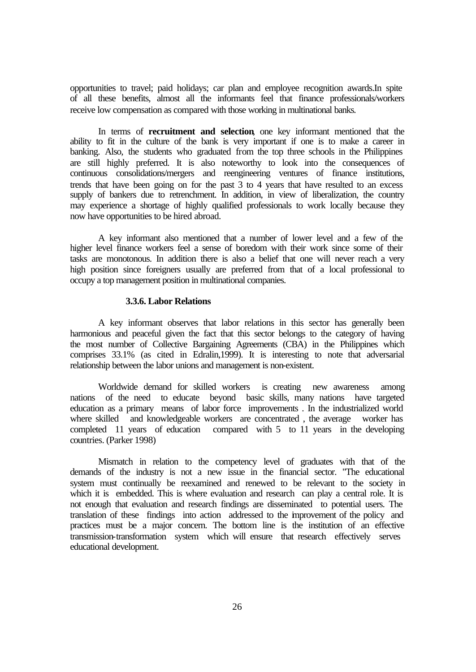opportunities to travel; paid holidays; car plan and employee recognition awards.In spite of all these benefits, almost all the informants feel that finance professionals/workers receive low compensation as compared with those working in multinational banks.

In terms of **recruitment and selection**, one key informant mentioned that the ability to fit in the culture of the bank is very important if one is to make a career in banking. Also, the students who graduated from the top three schools in the Philippines are still highly preferred. It is also noteworthy to look into the consequences of continuous consolidations/mergers and reengineering ventures of finance institutions, trends that have been going on for the past 3 to 4 years that have resulted to an excess supply of bankers due to retrenchment. In addition, in view of liberalization, the country may experience a shortage of highly qualified professionals to work locally because they now have opportunities to be hired abroad.

A key informant also mentioned that a number of lower level and a few of the higher level finance workers feel a sense of boredom with their work since some of their tasks are monotonous. In addition there is also a belief that one will never reach a very high position since foreigners usually are preferred from that of a local professional to occupy a top management position in multinational companies.

# **3.3.6. Labor Relations**

A key informant observes that labor relations in this sector has generally been harmonious and peaceful given the fact that this sector belongs to the category of having the most number of Collective Bargaining Agreements (CBA) in the Philippines which comprises 33.1% (as cited in Edralin,1999). It is interesting to note that adversarial relationship between the labor unions and management is non-existent.

Worldwide demand for skilled workers is creating new awareness among nations of the need to educate beyond basic skills, many nations have targeted education as a primary means of labor force improvements . In the industrialized world where skilled and knowledgeable workers are concentrated, the average worker has completed 11 years of education compared with 5 to 11 years in the developing countries. (Parker 1998)

Mismatch in relation to the competency level of graduates with that of the demands of the industry is not a new issue in the financial sector. "The educational system must continually be reexamined and renewed to be relevant to the society in which it is embedded. This is where evaluation and research can play a central role. It is not enough that evaluation and research findings are disseminated to potential users. The translation of these findings into action addressed to the improvement of the policy and practices must be a major concern. The bottom line is the institution of an effective transmission-transformation system which will ensure that research effectively serves educational development.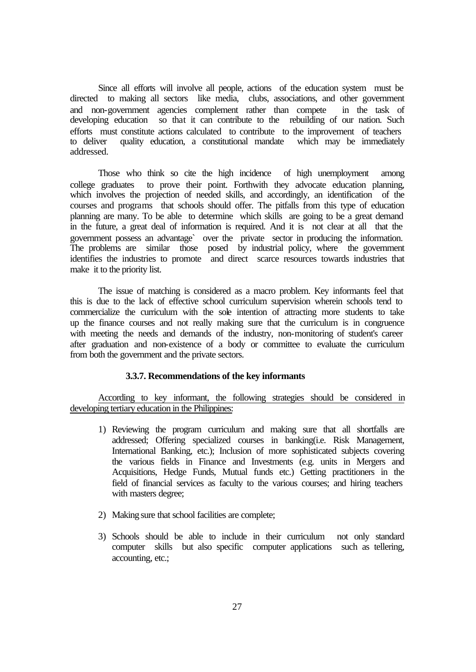Since all efforts will involve all people, actions of the education system must be directed to making all sectors like media, clubs, associations, and other government and non-government agencies complement rather than compete in the task of developing education so that it can contribute to the rebuilding of our nation. Such efforts must constitute actions calculated to contribute to the improvement of teachers to deliver quality education, a constitutional mandate which may be immediately addressed.

Those who think so cite the high incidence of high unemployment among college graduates to prove their point. Forthwith they advocate education planning, which involves the projection of needed skills, and accordingly, an identification of the courses and programs that schools should offer. The pitfalls from this type of education planning are many. To be able to determine which skills are going to be a great demand in the future, a great deal of information is required. And it is not clear at all that the government possess an advantage` over the private sector in producing the information. The problems are similar those posed by industrial policy, where the government identifies the industries to promote and direct scarce resources towards industries that make it to the priority list.

The issue of matching is considered as a macro problem. Key informants feel that this is due to the lack of effective school curriculum supervision wherein schools tend to commercialize the curriculum with the sole intention of attracting more students to take up the finance courses and not really making sure that the curriculum is in congruence with meeting the needs and demands of the industry, non-monitoring of student's career after graduation and non-existence of a body or committee to evaluate the curriculum from both the government and the private sectors.

#### **3.3.7. Recommendations of the key informants**

According to key informant, the following strategies should be considered in developing tertiary education in the Philippines:

- 1) Reviewing the program curriculum and making sure that all shortfalls are addressed; Offering specialized courses in banking(i.e. Risk Management, International Banking, etc.); Inclusion of more sophisticated subjects covering the various fields in Finance and Investments (e.g. units in Mergers and Acquisitions, Hedge Funds, Mutual funds etc.) Getting practitioners in the field of financial services as faculty to the various courses; and hiring teachers with masters degree;
- 2) Making sure that school facilities are complete;
- 3) Schools should be able to include in their curriculum not only standard computer skills but also specific computer applications such as tellering, accounting, etc.;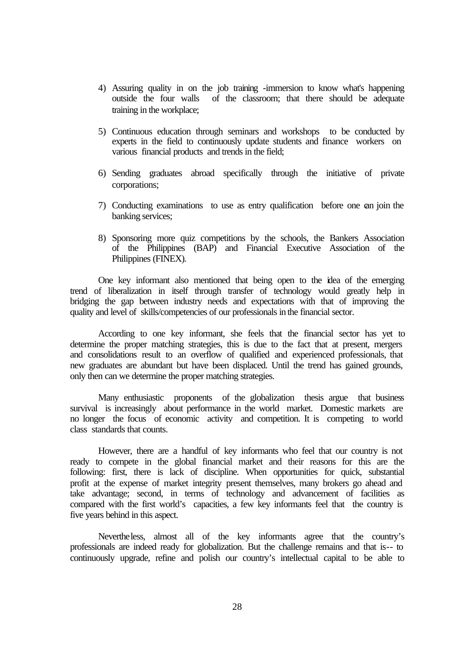- 4) Assuring quality in on the job training -immersion to know what's happening outside the four walls of the classroom; that there should be adequate training in the workplace;
- 5) Continuous education through seminars and workshops to be conducted by experts in the field to continuously update students and finance workers on various financial products and trends in the field;
- 6) Sending graduates abroad specifically through the initiative of private corporations;
- 7) Conducting examinations to use as entry qualification before one can join the banking services;
- 8) Sponsoring more quiz competitions by the schools, the Bankers Association of the Philippines (BAP) and Financial Executive Association of the Philippines (FINEX).

One key informant also mentioned that being open to the idea of the emerging trend of liberalization in itself through transfer of technology would greatly help in bridging the gap between industry needs and expectations with that of improving the quality and level of skills/competencies of our professionals in the financial sector.

According to one key informant, she feels that the financial sector has yet to determine the proper matching strategies, this is due to the fact that at present, mergers and consolidations result to an overflow of qualified and experienced professionals, that new graduates are abundant but have been displaced. Until the trend has gained grounds, only then can we determine the proper matching strategies.

Many enthusiastic proponents of the globalization thesis argue that business survival is increasingly about performance in the world market. Domestic markets are no longer the focus of economic activity and competition. It is competing to world class standards that counts.

However, there are a handful of key informants who feel that our country is not ready to compete in the global financial market and their reasons for this are the following: first, there is lack of discipline. When opportunities for quick, substantial profit at the expense of market integrity present themselves, many brokers go ahead and take advantage; second, in terms of technology and advancement of facilities as compared with the first world's capacities, a few key informants feel that the country is five years behind in this aspect.

Nevertheless, almost all of the key informants agree that the country's professionals are indeed ready for globalization. But the challenge remains and that is-- to continuously upgrade, refine and polish our country's intellectual capital to be able to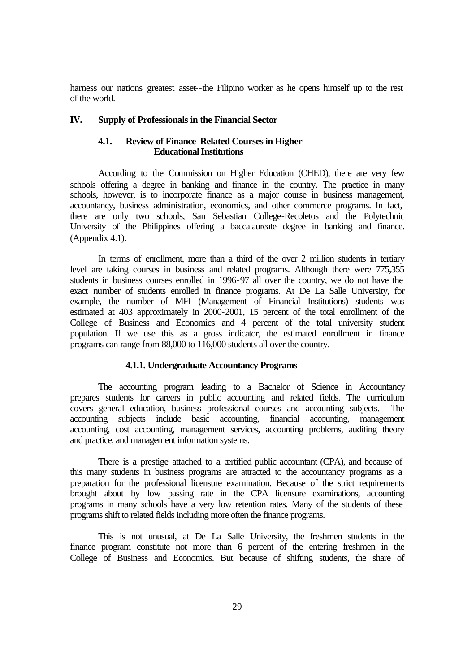harness our nations greatest asset--the Filipino worker as he opens himself up to the rest of the world.

## **IV. Supply of Professionals in the Financial Sector**

#### **4.1. Review of Finance-Related Courses in Higher Educational Institutions**

According to the Commission on Higher Education (CHED), there are very few schools offering a degree in banking and finance in the country. The practice in many schools, however, is to incorporate finance as a major course in business management, accountancy, business administration, economics, and other commerce programs. In fact, there are only two schools, San Sebastian College-Recoletos and the Polytechnic University of the Philippines offering a baccalaureate degree in banking and finance. (Appendix 4.1).

In terms of enrollment, more than a third of the over 2 million students in tertiary level are taking courses in business and related programs. Although there were 775,355 students in business courses enrolled in 1996-97 all over the country, we do not have the exact number of students enrolled in finance programs. At De La Salle University, for example, the number of MFI (Management of Financial Institutions) students was estimated at 403 approximately in 2000-2001, 15 percent of the total enrollment of the College of Business and Economics and 4 percent of the total university student population. If we use this as a gross indicator, the estimated enrollment in finance programs can range from 88,000 to 116,000 students all over the country.

#### **4.1.1. Undergraduate Accountancy Programs**

The accounting program leading to a Bachelor of Science in Accountancy prepares students for careers in public accounting and related fields. The curriculum covers general education, business professional courses and accounting subjects. The accounting subjects include basic accounting, financial accounting, management accounting, cost accounting, management services, accounting problems, auditing theory and practice, and management information systems.

There is a prestige attached to a certified public accountant (CPA), and because of this many students in business programs are attracted to the accountancy programs as a preparation for the professional licensure examination. Because of the strict requirements brought about by low passing rate in the CPA licensure examinations, accounting programs in many schools have a very low retention rates. Many of the students of these programs shift to related fields including more often the finance programs.

This is not unusual, at De La Salle University, the freshmen students in the finance program constitute not more than 6 percent of the entering freshmen in the College of Business and Economics. But because of shifting students, the share of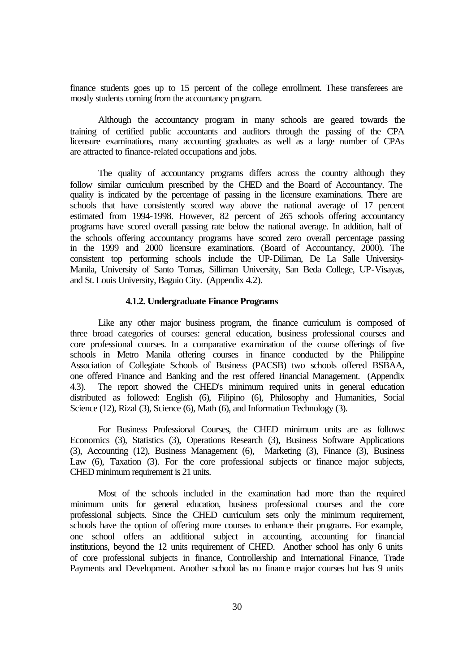finance students goes up to 15 percent of the college enrollment. These transferees are mostly students coming from the accountancy program.

Although the accountancy program in many schools are geared towards the training of certified public accountants and auditors through the passing of the CPA licensure examinations, many accounting graduates as well as a large number of CPAs are attracted to finance-related occupations and jobs.

The quality of accountancy programs differs across the country although they follow similar curriculum prescribed by the CHED and the Board of Accountancy. The quality is indicated by the percentage of passing in the licensure examinations. There are schools that have consistently scored way above the national average of 17 percent estimated from 1994-1998. However, 82 percent of 265 schools offering accountancy programs have scored overall passing rate below the national average. In addition, half of the schools offering accountancy programs have scored zero overall percentage passing in the 1999 and 2000 licensure examinations. (Board of Accountancy, 2000). The consistent top performing schools include the UP-Diliman, De La Salle University-Manila, University of Santo Tomas, Silliman University, San Beda College, UP-Visayas, and St. Louis University, Baguio City. (Appendix 4.2).

## **4.1.2. Undergraduate Finance Programs**

Like any other major business program, the finance curriculum is composed of three broad categories of courses: general education, business professional courses and core professional courses. In a comparative examination of the course offerings of five schools in Metro Manila offering courses in finance conducted by the Philippine Association of Collegiate Schools of Business (PACSB) two schools offered BSBAA, one offered Finance and Banking and the rest offered Financial Management. (Appendix 4.3). The report showed the CHED's minimum required units in general education distributed as followed: English (6), Filipino (6), Philosophy and Humanities, Social Science (12), Rizal (3), Science (6), Math (6), and Information Technology (3).

For Business Professional Courses, the CHED minimum units are as follows: Economics (3), Statistics (3), Operations Research (3), Business Software Applications (3), Accounting (12), Business Management (6), Marketing (3), Finance (3), Business Law (6), Taxation (3). For the core professional subjects or finance major subjects, CHED minimum requirement is 21 units.

Most of the schools included in the examination had more than the required minimum units for general education, business professional courses and the core professional subjects. Since the CHED curriculum sets only the minimum requirement, schools have the option of offering more courses to enhance their programs. For example, one school offers an additional subject in accounting, accounting for financial institutions, beyond the 12 units requirement of CHED. Another school has only 6 units of core professional subjects in finance, Controllership and International Finance, Trade Payments and Development. Another school has no finance major courses but has 9 units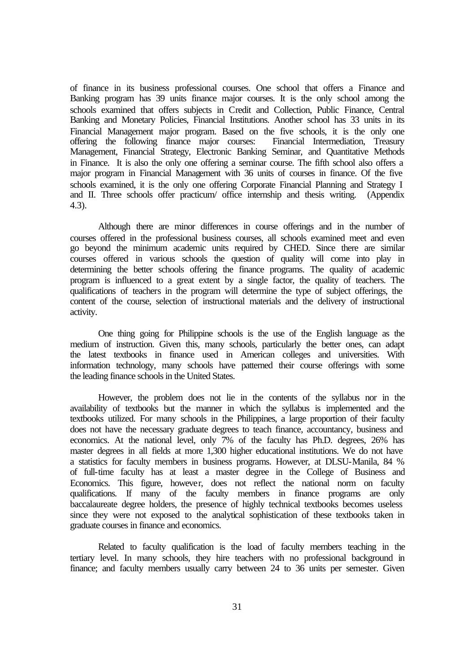of finance in its business professional courses. One school that offers a Finance and Banking program has 39 units finance major courses. It is the only school among the schools examined that offers subjects in Credit and Collection, Public Finance, Central Banking and Monetary Policies, Financial Institutions. Another school has 33 units in its Financial Management major program. Based on the five schools, it is the only one offering the following finance major courses: Financial Intermediation, Treasury Management, Financial Strategy, Electronic Banking Seminar, and Quantitative Methods in Finance. It is also the only one offering a seminar course. The fifth school also offers a major program in Financial Management with 36 units of courses in finance. Of the five schools examined, it is the only one offering Corporate Financial Planning and Strategy I and II. Three schools offer practicum/ office internship and thesis writing. (Appendix 4.3).

Although there are minor differences in course offerings and in the number of courses offered in the professional business courses, all schools examined meet and even go beyond the minimum academic units required by CHED. Since there are similar courses offered in various schools the question of quality will come into play in determining the better schools offering the finance programs. The quality of academic program is influenced to a great extent by a single factor, the quality of teachers. The qualifications of teachers in the program will determine the type of subject offerings, the content of the course, selection of instructional materials and the delivery of instructional activity.

One thing going for Philippine schools is the use of the English language as the medium of instruction. Given this, many schools, particularly the better ones, can adapt the latest textbooks in finance used in American colleges and universities. With information technology, many schools have patterned their course offerings with some the leading finance schools in the United States.

However, the problem does not lie in the contents of the syllabus nor in the availability of textbooks but the manner in which the syllabus is implemented and the textbooks utilized. For many schools in the Philippines, a large proportion of their faculty does not have the necessary graduate degrees to teach finance, accountancy, business and economics. At the national level, only 7% of the faculty has Ph.D. degrees, 26% has master degrees in all fields at more 1,300 higher educational institutions. We do not have a statistics for faculty members in business programs. However, at DLSU-Manila, 84 % of full-time faculty has at least a master degree in the College of Business and Economics. This figure, however, does not reflect the national norm on faculty qualifications. If many of the faculty members in finance programs are only baccalaureate degree holders, the presence of highly technical textbooks becomes useless since they were not exposed to the analytical sophistication of these textbooks taken in graduate courses in finance and economics.

Related to faculty qualification is the load of faculty members teaching in the tertiary level. In many schools, they hire teachers with no professional background in finance; and faculty members usually carry between 24 to 36 units per semester. Given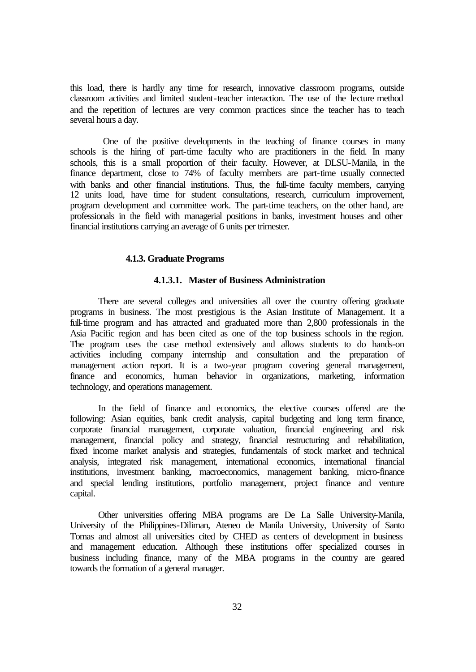this load, there is hardly any time for research, innovative classroom programs, outside classroom activities and limited student-teacher interaction. The use of the lecture method and the repetition of lectures are very common practices since the teacher has to teach several hours a day.

 One of the positive developments in the teaching of finance courses in many schools is the hiring of part-time faculty who are practitioners in the field. In many schools, this is a small proportion of their faculty. However, at DLSU-Manila, in the finance department, close to 74% of faculty members are part-time usually connected with banks and other financial institutions. Thus, the full-time faculty members, carrying 12 units load, have time for student consultations, research, curriculum improvement, program development and committee work. The part-time teachers, on the other hand, are professionals in the field with managerial positions in banks, investment houses and other financial institutions carrying an average of 6 units per trimester.

#### **4.1.3. Graduate Programs**

#### **4.1.3.1. Master of Business Administration**

There are several colleges and universities all over the country offering graduate programs in business. The most prestigious is the Asian Institute of Management. It a full-time program and has attracted and graduated more than 2,800 professionals in the Asia Pacific region and has been cited as one of the top business schools in the region. The program uses the case method extensively and allows students to do hands-on activities including company internship and consultation and the preparation of management action report. It is a two-year program covering general management, finance and economics, human behavior in organizations, marketing, information technology, and operations management.

In the field of finance and economics, the elective courses offered are the following: Asian equities, bank credit analysis, capital budgeting and long term finance, corporate financial management, corporate valuation, financial engineering and risk management, financial policy and strategy, financial restructuring and rehabilitation, fixed income market analysis and strategies, fundamentals of stock market and technical analysis, integrated risk management, international economics, international financial institutions, investment banking, macroeconomics, management banking, micro-finance and special lending institutions, portfolio management, project finance and venture capital.

Other universities offering MBA programs are De La Salle University-Manila, University of the Philippines-Diliman, Ateneo de Manila University, University of Santo Tomas and almost all universities cited by CHED as centers of development in business and management education. Although these institutions offer specialized courses in business including finance, many of the MBA programs in the country are geared towards the formation of a general manager.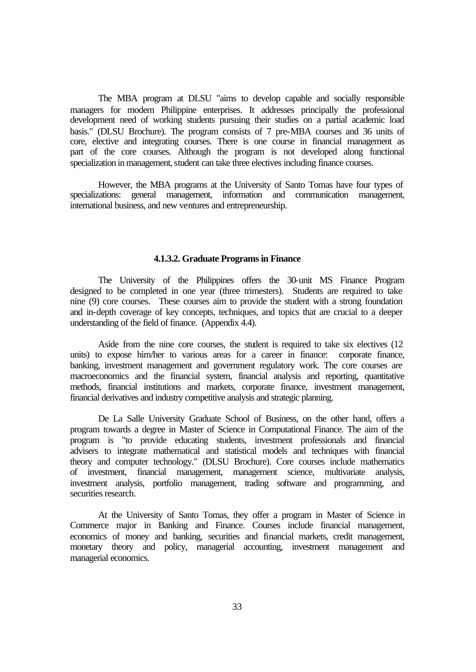The MBA program at DLSU "aims to develop capable and socially responsible managers for modern Philippine enterprises. It addresses principally the professional development need of working students pursuing their studies on a partial academic load basis." (DLSU Brochure). The program consists of 7 pre-MBA courses and 36 units of core, elective and integrating courses. There is one course in financial management as part of the core courses. Although the program is not developed along functional specialization in management, student can take three electives including finance courses.

However, the MBA programs at the University of Santo Tomas have four types of specializations: general management, information and communication management, international business, and new ventures and entrepreneurship.

#### **4.1.3.2. Graduate Programs in Finance**

The University of the Philippines offers the 30-unit MS Finance Program designed to be completed in one year (three trimesters). Students are required to take nine (9) core courses. These courses aim to provide the student with a strong foundation and in-depth coverage of key concepts, techniques, and topics that are crucial to a deeper understanding of the field of finance. (Appendix 4.4).

Aside from the nine core courses, the student is required to take six electives (12 units) to expose him/her to various areas for a career in finance: corporate finance, banking, investment management and government regulatory work. The core courses are macroeconomics and the financial system, financial analysis and reporting, quantitative methods, financial institutions and markets, corporate finance, investment management, financial derivatives and industry competitive analysis and strategic planning.

De La Salle University Graduate School of Business, on the other hand, offers a program towards a degree in Master of Science in Computational Finance. The aim of the program is "to provide educating students, investment professionals and financial advisers to integrate mathematical and statistical models and techniques with financial theory and computer technology." (DLSU Brochure). Core courses include mathematics of investment, financial management, management science, multivariate analysis, investment analysis, portfolio management, trading software and programming, and securities research.

At the University of Santo Tomas, they offer a program in Master of Science in Commerce major in Banking and Finance. Courses include financial management, economics of money and banking, securities and financial markets, credit management, monetary theory and policy, managerial accounting, investment management and managerial economics.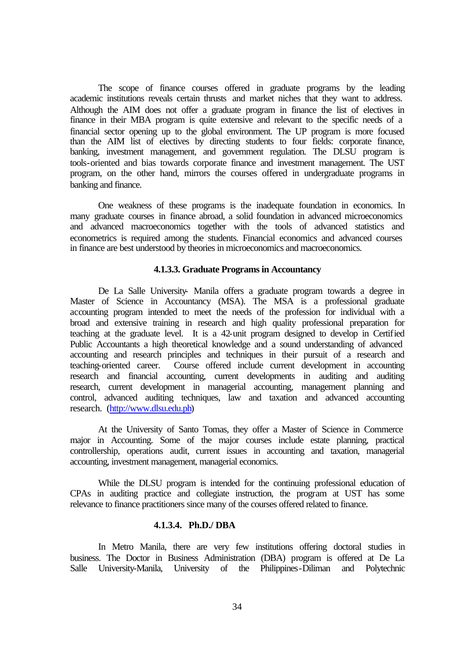The scope of finance courses offered in graduate programs by the leading academic institutions reveals certain thrusts and market niches that they want to address. Although the AIM does not offer a graduate program in finance the list of electives in finance in their MBA program is quite extensive and relevant to the specific needs of a financial sector opening up to the global environment. The UP program is more focused than the AIM list of electives by directing students to four fields: corporate finance, banking, investment management, and government regulation. The DLSU program is tools-oriented and bias towards corporate finance and investment management. The UST program, on the other hand, mirrors the courses offered in undergraduate programs in banking and finance.

One weakness of these programs is the inadequate foundation in economics. In many graduate courses in finance abroad, a solid foundation in advanced microeconomics and advanced macroeconomics together with the tools of advanced statistics and econometrics is required among the students. Financial economics and advanced courses in finance are best understood by theories in microeconomics and macroeconomics.

#### **4.1.3.3. Graduate Programs in Accountancy**

De La Salle University- Manila offers a graduate program towards a degree in Master of Science in Accountancy (MSA). The MSA is a professional graduate accounting program intended to meet the needs of the profession for individual with a broad and extensive training in research and high quality professional preparation for teaching at the graduate level. It is a 42-unit program designed to develop in Certified Public Accountants a high theoretical knowledge and a sound understanding of advanced accounting and research principles and techniques in their pursuit of a research and teaching-oriented career. Course offered include current development in accounting research and financial accounting, current developments in auditing and auditing research, current development in managerial accounting, management planning and control, advanced auditing techniques, law and taxation and advanced accounting research. (http://www.dlsu.edu.ph)

At the University of Santo Tomas, they offer a Master of Science in Commerce major in Accounting. Some of the major courses include estate planning, practical controllership, operations audit, current issues in accounting and taxation, managerial accounting, investment management, managerial economics.

While the DLSU program is intended for the continuing professional education of CPAs in auditing practice and collegiate instruction, the program at UST has some relevance to finance practitioners since many of the courses offered related to finance.

#### **4.1.3.4. Ph.D./ DBA**

In Metro Manila, there are very few institutions offering doctoral studies in business. The Doctor in Business Administration (DBA) program is offered at De La Salle University-Manila, University of the Philippines-Diliman and Polytechnic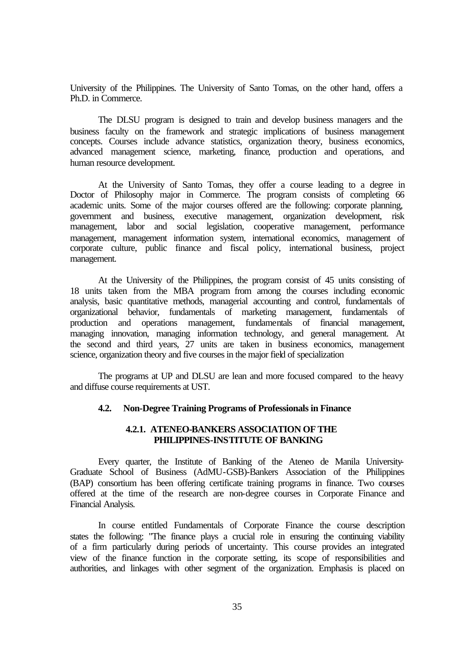University of the Philippines. The University of Santo Tomas, on the other hand, offers a Ph.D. in Commerce.

The DLSU program is designed to train and develop business managers and the business faculty on the framework and strategic implications of business management concepts. Courses include advance statistics, organization theory, business economics, advanced management science, marketing, finance, production and operations, and human resource development.

At the University of Santo Tomas, they offer a course leading to a degree in Doctor of Philosophy major in Commerce. The program consists of completing 66 academic units. Some of the major courses offered are the following: corporate planning, government and business, executive management, organization development, risk management, labor and social legislation, cooperative management, performance management, management information system, international economics, management of corporate culture, public finance and fiscal policy, international business, project management.

At the University of the Philippines, the program consist of 45 units consisting of 18 units taken from the MBA program from among the courses including economic analysis, basic quantitative methods, managerial accounting and control, fundamentals of organizational behavior, fundamentals of marketing management, fundamentals of production and operations management, fundamentals of financial management, managing innovation, managing information technology, and general management. At the second and third years, 27 units are taken in business economics, management science, organization theory and five courses in the major field of specialization

The programs at UP and DLSU are lean and more focused compared to the heavy and diffuse course requirements at UST.

# **4.2. Non-Degree Training Programs of Professionals in Finance**

## **4.2.1. ATENEO-BANKERS ASSOCIATION OF THE PHILIPPINES-INSTITUTE OF BANKING**

Every quarter, the Institute of Banking of the Ateneo de Manila University-Graduate School of Business (AdMU-GSB)-Bankers Association of the Philippines (BAP) consortium has been offering certificate training programs in finance. Two courses offered at the time of the research are non-degree courses in Corporate Finance and Financial Analysis.

In course entitled Fundamentals of Corporate Finance the course description states the following: "The finance plays a crucial role in ensuring the continuing viability of a firm particularly during periods of uncertainty. This course provides an integrated view of the finance function in the corporate setting, its scope of responsibilities and authorities, and linkages with other segment of the organization. Emphasis is placed on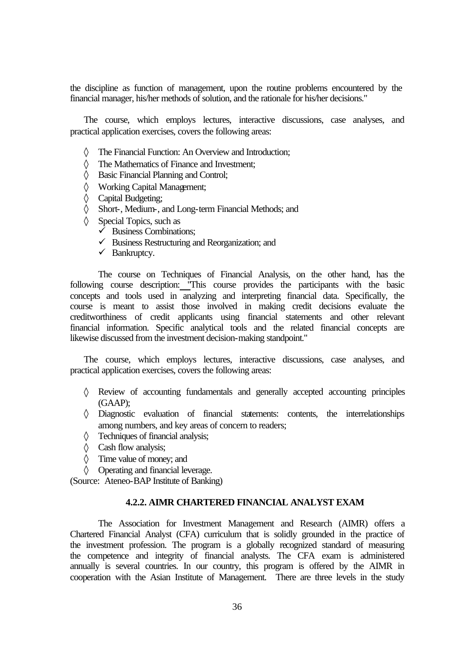the discipline as function of management, upon the routine problems encountered by the financial manager, his/her methods of solution, and the rationale for his/her decisions."

The course, which employs lectures, interactive discussions, case analyses, and practical application exercises, covers the following areas:

- ◊ The Financial Function: An Overview and Introduction;
- ◊ The Mathematics of Finance and Investment;
- ◊ Basic Financial Planning and Control;
- ◊ Working Capital Management;
- ◊ Capital Budgeting;
- ◊ Short-, Medium-, and Long-term Financial Methods; and
- ◊ Special Topics, such as
	- $\overline{\smash{\big)}\ }$  Business Combinations;
	- $\checkmark$  Business Restructuring and Reorganization; and
	- $\checkmark$  Bankruptcy.

The course on Techniques of Financial Analysis, on the other hand, has the following course description: "This course provides the participants with the basic concepts and tools used in analyzing and interpreting financial data. Specifically, the course is meant to assist those involved in making credit decisions evaluate the creditworthiness of credit applicants using financial statements and other relevant financial information. Specific analytical tools and the related financial concepts are likewise discussed from the investment decision-making standpoint."

The course, which employs lectures, interactive discussions, case analyses, and practical application exercises, covers the following areas:

- ◊ Review of accounting fundamentals and generally accepted accounting principles (GAAP);
- ◊ Diagnostic evaluation of financial statements: contents, the interrelationships among numbers, and key areas of concern to readers;
- ◊ Techniques of financial analysis;
- ◊ Cash flow analysis;
- ◊ Time value of money; and
- ◊ Operating and financial leverage.

(Source: Ateneo-BAP Institute of Banking)

## **4.2.2. AIMR CHARTERED FINANCIAL ANALYST EXAM**

The Association for Investment Management and Research (AIMR) offers a Chartered Financial Analyst (CFA) curriculum that is solidly grounded in the practice of the investment profession. The program is a globally recognized standard of measuring the competence and integrity of financial analysts. The CFA exam is administered annually is several countries. In our country, this program is offered by the AIMR in cooperation with the Asian Institute of Management. There are three levels in the study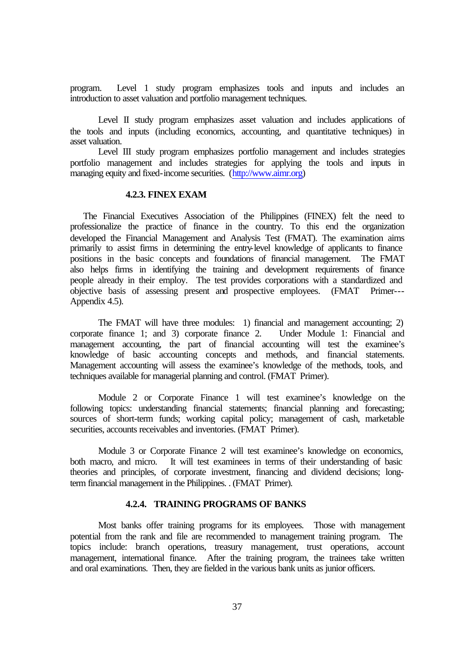program. Level 1 study program emphasizes tools and inputs and includes an introduction to asset valuation and portfolio management techniques.

Level II study program emphasizes asset valuation and includes applications of the tools and inputs (including economics, accounting, and quantitative techniques) in asset valuation.

Level III study program emphasizes portfolio management and includes strategies portfolio management and includes strategies for applying the tools and inputs in managing equity and fixed-income securities. (http://www.aimr.org)

## **4.2.3. FINEX EXAM**

The Financial Executives Association of the Philippines (FINEX) felt the need to professionalize the practice of finance in the country. To this end the organization developed the Financial Management and Analysis Test (FMAT). The examination aims primarily to assist firms in determining the entry-level knowledge of applicants to finance positions in the basic concepts and foundations of financial management. The FMAT also helps firms in identifying the training and development requirements of finance people already in their employ. The test provides corporations with a standardized and objective basis of assessing present and prospective employees. (FMAT Primer--- Appendix 4.5).

The FMAT will have three modules: 1) financial and management accounting; 2) corporate finance 1; and 3) corporate finance 2. Under Module 1: Financial and management accounting, the part of financial accounting will test the examinee's knowledge of basic accounting concepts and methods, and financial statements. Management accounting will assess the examinee's knowledge of the methods, tools, and techniques available for managerial planning and control. (FMAT Primer).

Module 2 or Corporate Finance 1 will test examinee's knowledge on the following topics: understanding financial statements; financial planning and forecasting; sources of short-term funds; working capital policy; management of cash, marketable securities, accounts receivables and inventories. (FMAT Primer).

Module 3 or Corporate Finance 2 will test examinee's knowledge on economics, both macro, and micro. It will test examinees in terms of their understanding of basic theories and principles, of corporate investment, financing and dividend decisions; longterm financial management in the Philippines. . (FMAT Primer).

#### **4.2.4. TRAINING PROGRAMS OF BANKS**

Most banks offer training programs for its employees. Those with management potential from the rank and file are recommended to management training program. The topics include: branch operations, treasury management, trust operations, account management, international finance. After the training program, the trainees take written and oral examinations. Then, they are fielded in the various bank units as junior officers.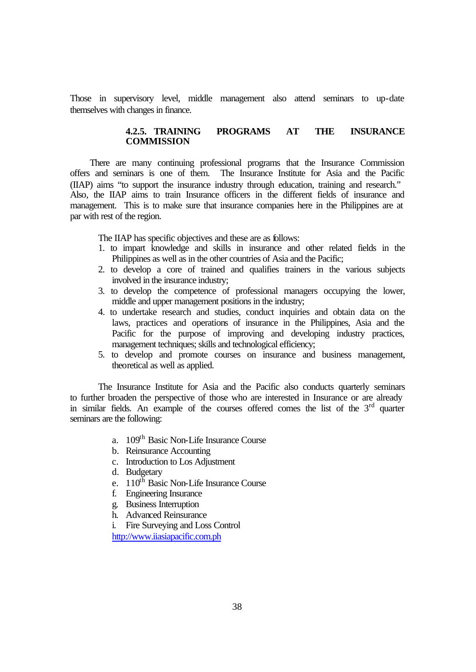Those in supervisory level, middle management also attend seminars to up-date themselves with changes in finance.

## **4.2.5. TRAINING PROGRAMS AT THE INSURANCE COMMISSION**

There are many continuing professional programs that the Insurance Commission offers and seminars is one of them. The Insurance Institute for Asia and the Pacific (IIAP) aims "to support the insurance industry through education, training and research." Also, the IIAP aims to train Insurance officers in the different fields of insurance and management. This is to make sure that insurance companies here in the Philippines are at par with rest of the region.

The IIAP has specific objectives and these are as follows:

- 1. to impart knowledge and skills in insurance and other related fields in the Philippines as well as in the other countries of Asia and the Pacific;
- 2. to develop a core of trained and qualifies trainers in the various subjects involved in the insurance industry;
- 3. to develop the competence of professional managers occupying the lower, middle and upper management positions in the industry;
- 4. to undertake research and studies, conduct inquiries and obtain data on the laws, practices and operations of insurance in the Philippines, Asia and the Pacific for the purpose of improving and developing industry practices, management techniques; skills and technological efficiency;
- 5. to develop and promote courses on insurance and business management, theoretical as well as applied.

The Insurance Institute for Asia and the Pacific also conducts quarterly seminars to further broaden the perspective of those who are interested in Insurance or are already in similar fields. An example of the courses offered comes the list of the  $3<sup>rd</sup>$  quarter seminars are the following:

- a. 109th Basic Non-Life Insurance Course
- b. Reinsurance Accounting
- c. Introduction to Los Adjustment
- d. Budgetary
- e.  $110^{th}$  Basic Non-Life Insurance Course
- f. Engineering Insurance
- g. Business Interruption
- h. Advanced Reinsurance
- i. Fire Surveying and Loss Control

http://www.iiasiapacific.com.ph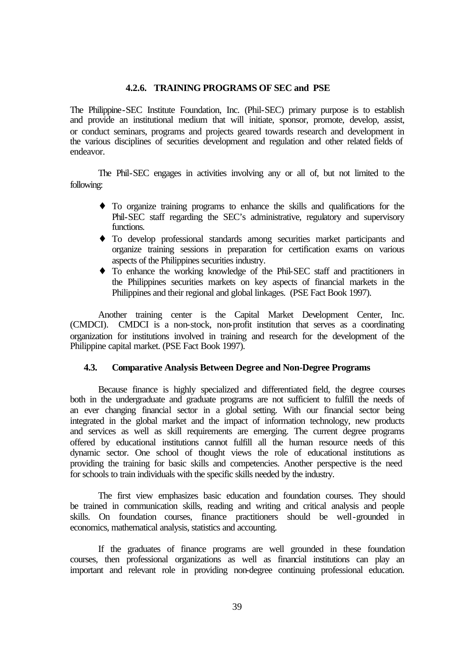#### **4.2.6. TRAINING PROGRAMS OF SEC and PSE**

The Philippine-SEC Institute Foundation, Inc. (Phil-SEC) primary purpose is to establish and provide an institutional medium that will initiate, sponsor, promote, develop, assist, or conduct seminars, programs and projects geared towards research and development in the various disciplines of securities development and regulation and other related fields of endeavor.

The Phil-SEC engages in activities involving any or all of, but not limited to the following:

- ♦ To organize training programs to enhance the skills and qualifications for the Phil-SEC staff regarding the SEC's administrative, regulatory and supervisory functions.
- ♦ To develop professional standards among securities market participants and organize training sessions in preparation for certification exams on various aspects of the Philippines securities industry.
- ♦ To enhance the working knowledge of the Phil-SEC staff and practitioners in the Philippines securities markets on key aspects of financial markets in the Philippines and their regional and global linkages. (PSE Fact Book 1997).

Another training center is the Capital Market Development Center, Inc. (CMDCI). CMDCI is a non-stock, non-profit institution that serves as a coordinating organization for institutions involved in training and research for the development of the Philippine capital market. (PSE Fact Book 1997).

#### **4.3. Comparative Analysis Between Degree and Non-Degree Programs**

Because finance is highly specialized and differentiated field, the degree courses both in the undergraduate and graduate programs are not sufficient to fulfill the needs of an ever changing financial sector in a global setting. With our financial sector being integrated in the global market and the impact of information technology, new products and services as well as skill requirements are emerging. The current degree programs offered by educational institutions cannot fulfill all the human resource needs of this dynamic sector. One school of thought views the role of educational institutions as providing the training for basic skills and competencies. Another perspective is the need for schools to train individuals with the specific skills needed by the industry.

The first view emphasizes basic education and foundation courses. They should be trained in communication skills, reading and writing and critical analysis and people skills. On foundation courses, finance practitioners should be well-grounded in economics, mathematical analysis, statistics and accounting.

If the graduates of finance programs are well grounded in these foundation courses, then professional organizations as well as financial institutions can play an important and relevant role in providing non-degree continuing professional education.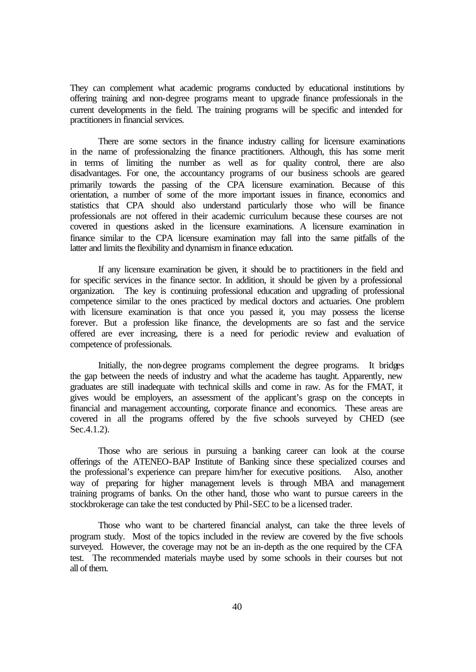They can complement what academic programs conducted by educational institutions by offering training and non-degree programs meant to upgrade finance professionals in the current developments in the field. The training programs will be specific and intended for practitioners in financial services.

There are some sectors in the finance industry calling for licensure examinations in the name of professionalzing the finance practitioners. Although, this has some merit in terms of limiting the number as well as for quality control, there are also disadvantages. For one, the accountancy programs of our business schools are geared primarily towards the passing of the CPA licensure examination. Because of this orientation, a number of some of the more important issues in finance, economics and statistics that CPA should also understand particularly those who will be finance professionals are not offered in their academic curriculum because these courses are not covered in questions asked in the licensure examinations. A licensure examination in finance similar to the CPA licensure examination may fall into the same pitfalls of the latter and limits the flexibility and dynamism in finance education.

If any licensure examination be given, it should be to practitioners in the field and for specific services in the finance sector. In addition, it should be given by a professional organization. The key is continuing professional education and upgrading of professional competence similar to the ones practiced by medical doctors and actuaries. One problem with licensure examination is that once you passed it, you may possess the license forever. But a profession like finance, the developments are so fast and the service offered are ever increasing, there is a need for periodic review and evaluation of competence of professionals.

Initially, the non-degree programs complement the degree programs. It bridges the gap between the needs of industry and what the academe has taught. Apparently, new graduates are still inadequate with technical skills and come in raw. As for the FMAT, it gives would be employers, an assessment of the applicant's grasp on the concepts in financial and management accounting, corporate finance and economics. These areas are covered in all the programs offered by the five schools surveyed by CHED (see Sec.4.1.2).

Those who are serious in pursuing a banking career can look at the course offerings of the ATENEO-BAP Institute of Banking since these specialized courses and the professional's experience can prepare him/her for executive positions. Also, another way of preparing for higher management levels is through MBA and management training programs of banks. On the other hand, those who want to pursue careers in the stockbrokerage can take the test conducted by Phil-SEC to be a licensed trader.

Those who want to be chartered financial analyst, can take the three levels of program study. Most of the topics included in the review are covered by the five schools surveyed. However, the coverage may not be an in-depth as the one required by the CFA test. The recommended materials maybe used by some schools in their courses but not all of them.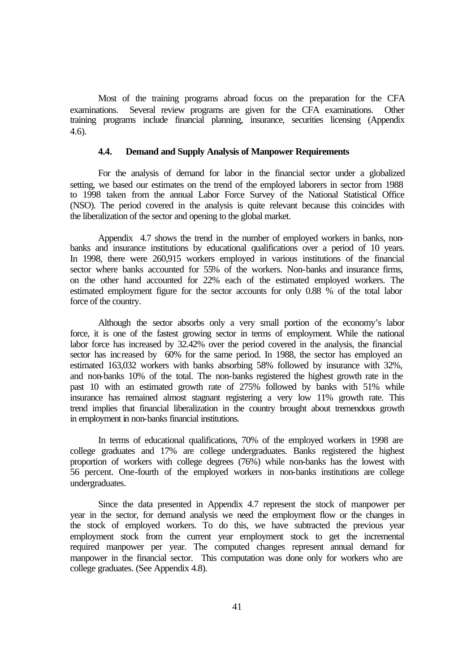Most of the training programs abroad focus on the preparation for the CFA examinations. Several review programs are given for the CFA examinations. Other training programs include financial planning, insurance, securities licensing (Appendix 4.6).

#### **4.4. Demand and Supply Analysis of Manpower Requirements**

For the analysis of demand for labor in the financial sector under a globalized setting, we based our estimates on the trend of the employed laborers in sector from 1988 to 1998 taken from the annual Labor Force Survey of the National Statistical Office (NSO). The period covered in the analysis is quite relevant because this coincides with the liberalization of the sector and opening to the global market.

Appendix 4.7 shows the trend in the number of employed workers in banks, nonbanks and insurance institutions by educational qualifications over a period of 10 years. In 1998, there were 260,915 workers employed in various institutions of the financial sector where banks accounted for 55% of the workers. Non-banks and insurance firms, on the other hand accounted for 22% each of the estimated employed workers. The estimated employment figure for the sector accounts for only 0.88 % of the total labor force of the country.

Although the sector absorbs only a very small portion of the economy's labor force, it is one of the fastest growing sector in terms of employment. While the national labor force has increased by 32.42% over the period covered in the analysis, the financial sector has increased by 60% for the same period. In 1988, the sector has employed an estimated 163,032 workers with banks absorbing 58% followed by insurance with 32%, and non-banks 10% of the total. The non-banks registered the highest growth rate in the past 10 with an estimated growth rate of 275% followed by banks with 51% while insurance has remained almost stagnant registering a very low 11% growth rate. This trend implies that financial liberalization in the country brought about tremendous growth in employment in non-banks financial institutions.

In terms of educational qualifications, 70% of the employed workers in 1998 are college graduates and 17% are college undergraduates. Banks registered the highest proportion of workers with college degrees (76%) while non-banks has the lowest with 56 percent. One-fourth of the employed workers in non-banks institutions are college undergraduates.

Since the data presented in Appendix 4.7 represent the stock of manpower per year in the sector, for demand analysis we need the employment flow or the changes in the stock of employed workers. To do this, we have subtracted the previous year employment stock from the current year employment stock to get the incremental required manpower per year. The computed changes represent annual demand for manpower in the financial sector. This computation was done only for workers who are college graduates. (See Appendix 4.8).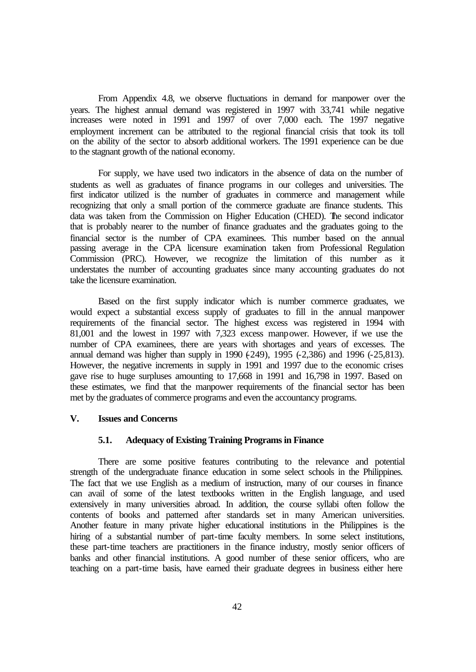From Appendix 4.8, we observe fluctuations in demand for manpower over the years. The highest annual demand was registered in 1997 with 33,741 while negative increases were noted in 1991 and 1997 of over 7,000 each. The 1997 negative employment increment can be attributed to the regional financial crisis that took its toll on the ability of the sector to absorb additional workers. The 1991 experience can be due to the stagnant growth of the national economy.

For supply, we have used two indicators in the absence of data on the number of students as well as graduates of finance programs in our colleges and universities. The first indicator utilized is the number of graduates in commerce and management while recognizing that only a small portion of the commerce graduate are finance students. This data was taken from the Commission on Higher Education (CHED). The second indicator that is probably nearer to the number of finance graduates and the graduates going to the financial sector is the number of CPA examinees. This number based on the annual passing average in the CPA licensure examination taken from Professional Regulation Commission (PRC). However, we recognize the limitation of this number as it understates the number of accounting graduates since many accounting graduates do not take the licensure examination.

Based on the first supply indicator which is number commerce graduates, we would expect a substantial excess supply of graduates to fill in the annual manpower requirements of the financial sector. The highest excess was registered in 1994 with 81,001 and the lowest in 1997 with 7,323 excess manpower. However, if we use the number of CPA examinees, there are years with shortages and years of excesses. The annual demand was higher than supply in 1990 (-249), 1995 (-2,386) and 1996 (-25,813). However, the negative increments in supply in 1991 and 1997 due to the economic crises gave rise to huge surpluses amounting to 17,668 in 1991 and 16,798 in 1997. Based on these estimates, we find that the manpower requirements of the financial sector has been met by the graduates of commerce programs and even the accountancy programs.

## **V. Issues and Concerns**

#### **5.1. Adequacy of Existing Training Programs in Finance**

There are some positive features contributing to the relevance and potential strength of the undergraduate finance education in some select schools in the Philippines. The fact that we use English as a medium of instruction, many of our courses in finance can avail of some of the latest textbooks written in the English language, and used extensively in many universities abroad. In addition, the course syllabi often follow the contents of books and patterned after standards set in many American universities. Another feature in many private higher educational institutions in the Philippines is the hiring of a substantial number of part-time faculty members. In some select institutions, these part-time teachers are practitioners in the finance industry, mostly senior officers of banks and other financial institutions. A good number of these senior officers, who are teaching on a part-time basis, have earned their graduate degrees in business either here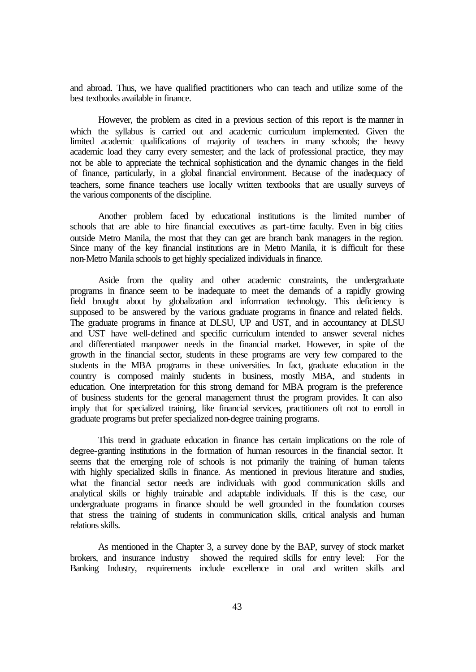and abroad. Thus, we have qualified practitioners who can teach and utilize some of the best textbooks available in finance.

However, the problem as cited in a previous section of this report is the manner in which the syllabus is carried out and academic curriculum implemented. Given the limited academic qualifications of majority of teachers in many schools; the heavy academic load they carry every semester; and the lack of professional practice, they may not be able to appreciate the technical sophistication and the dynamic changes in the field of finance, particularly, in a global financial environment. Because of the inadequacy of teachers, some finance teachers use locally written textbooks that are usually surveys of the various components of the discipline.

Another problem faced by educational institutions is the limited number of schools that are able to hire financial executives as part-time faculty. Even in big cities outside Metro Manila, the most that they can get are branch bank managers in the region. Since many of the key financial institutions are in Metro Manila, it is difficult for these non-Metro Manila schools to get highly specialized individuals in finance.

Aside from the quality and other academic constraints, the undergraduate programs in finance seem to be inadequate to meet the demands of a rapidly growing field brought about by globalization and information technology. This deficiency is supposed to be answered by the various graduate programs in finance and related fields. The graduate programs in finance at DLSU, UP and UST, and in accountancy at DLSU and UST have well-defined and specific curriculum intended to answer several niches and differentiated manpower needs in the financial market. However, in spite of the growth in the financial sector, students in these programs are very few compared to the students in the MBA programs in these universities. In fact, graduate education in the country is composed mainly students in business, mostly MBA, and students in education. One interpretation for this strong demand for MBA program is the preference of business students for the general management thrust the program provides. It can also imply that for specialized training, like financial services, practitioners oft not to enroll in graduate programs but prefer specialized non-degree training programs.

This trend in graduate education in finance has certain implications on the role of degree-granting institutions in the formation of human resources in the financial sector. It seems that the emerging role of schools is not primarily the training of human talents with highly specialized skills in finance. As mentioned in previous literature and studies, what the financial sector needs are individuals with good communication skills and analytical skills or highly trainable and adaptable individuals. If this is the case, our undergraduate programs in finance should be well grounded in the foundation courses that stress the training of students in communication skills, critical analysis and human relations skills.

As mentioned in the Chapter 3, a survey done by the BAP, survey of stock market brokers, and insurance industry showed the required skills for entry level: For the Banking Industry, requirements include excellence in oral and written skills and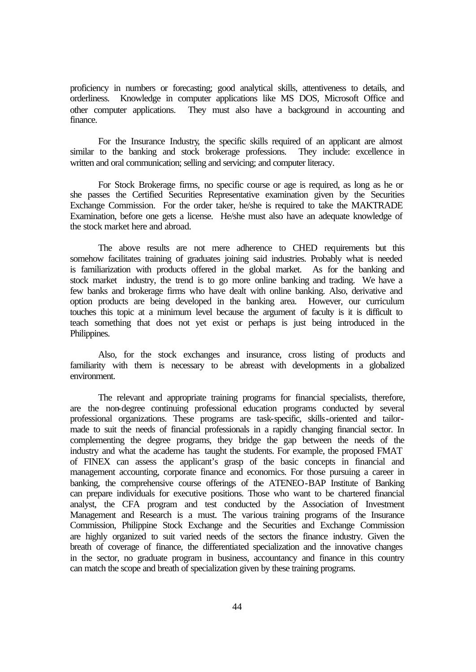proficiency in numbers or forecasting; good analytical skills, attentiveness to details, and orderliness. Knowledge in computer applications like MS DOS, Microsoft Office and other computer applications. They must also have a background in accounting and finance.

For the Insurance Industry*,* the specific skills required of an applicant are almost similar to the banking and stock brokerage professions. They include: excellence in written and oral communication; selling and servicing; and computer literacy.

For Stock Brokerage firms*,* no specific course or age is required, as long as he or she passes the Certified Securities Representative examination given by the Securities Exchange Commission. For the order taker, he/she is required to take the MAKTRADE Examination, before one gets a license. He/she must also have an adequate knowledge of the stock market here and abroad.

The above results are not mere adherence to CHED requirements but this somehow facilitates training of graduates joining said industries. Probably what is needed is familiarization with products offered in the global market. As for the banking and stock market industry, the trend is to go more online banking and trading. We have a few banks and brokerage firms who have dealt with online banking. Also, derivative and option products are being developed in the banking area. However, our curriculum touches this topic at a minimum level because the argument of faculty is it is difficult to teach something that does not yet exist or perhaps is just being introduced in the Philippines.

Also, for the stock exchanges and insurance, cross listing of products and familiarity with them is necessary to be abreast with developments in a globalized environment.

The relevant and appropriate training programs for financial specialists, therefore, are the non-degree continuing professional education programs conducted by several professional organizations. These programs are task-specific, skills-oriented and tailormade to suit the needs of financial professionals in a rapidly changing financial sector. In complementing the degree programs, they bridge the gap between the needs of the industry and what the academe has taught the students. For example, the proposed FMAT of FINEX can assess the applicant's grasp of the basic concepts in financial and management accounting, corporate finance and economics. For those pursuing a career in banking, the comprehensive course offerings of the ATENEO-BAP Institute of Banking can prepare individuals for executive positions. Those who want to be chartered financial analyst, the CFA program and test conducted by the Association of Investment Management and Research is a must. The various training programs of the Insurance Commission, Philippine Stock Exchange and the Securities and Exchange Commission are highly organized to suit varied needs of the sectors the finance industry. Given the breath of coverage of finance, the differentiated specialization and the innovative changes in the sector, no graduate program in business, accountancy and finance in this country can match the scope and breath of specialization given by these training programs.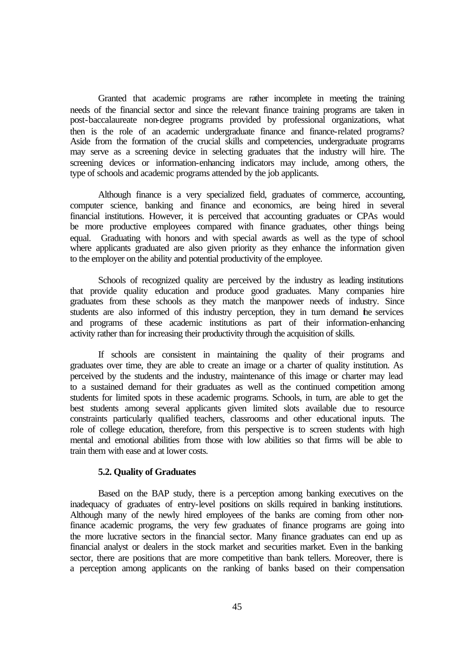Granted that academic programs are rather incomplete in meeting the training needs of the financial sector and since the relevant finance training programs are taken in post-baccalaureate non-degree programs provided by professional organizations, what then is the role of an academic undergraduate finance and finance-related programs? Aside from the formation of the crucial skills and competencies, undergraduate programs may serve as a screening device in selecting graduates that the industry will hire. The screening devices or information-enhancing indicators may include, among others, the type of schools and academic programs attended by the job applicants.

Although finance is a very specialized field, graduates of commerce, accounting, computer science, banking and finance and economics, are being hired in several financial institutions. However, it is perceived that accounting graduates or CPAs would be more productive employees compared with finance graduates, other things being equal. Graduating with honors and with special awards as well as the type of school where applicants graduated are also given priority as they enhance the information given to the employer on the ability and potential productivity of the employee.

Schools of recognized quality are perceived by the industry as leading institutions that provide quality education and produce good graduates. Many companies hire graduates from these schools as they match the manpower needs of industry. Since students are also informed of this industry perception, they in turn demand the services and programs of these academic institutions as part of their information-enhancing activity rather than for increasing their productivity through the acquisition of skills.

If schools are consistent in maintaining the quality of their programs and graduates over time, they are able to create an image or a charter of quality institution. As perceived by the students and the industry, maintenance of this image or charter may lead to a sustained demand for their graduates as well as the continued competition among students for limited spots in these academic programs. Schools, in turn, are able to get the best students among several applicants given limited slots available due to resource constraints particularly qualified teachers, classrooms and other educational inputs. The role of college education, therefore, from this perspective is to screen students with high mental and emotional abilities from those with low abilities so that firms will be able to train them with ease and at lower costs.

#### **5.2. Quality of Graduates**

Based on the BAP study, there is a perception among banking executives on the inadequacy of graduates of entry-level positions on skills required in banking institutions. Although many of the newly hired employees of the banks are coming from other nonfinance academic programs, the very few graduates of finance programs are going into the more lucrative sectors in the financial sector. Many finance graduates can end up as financial analyst or dealers in the stock market and securities market. Even in the banking sector, there are positions that are more competitive than bank tellers. Moreover, there is a perception among applicants on the ranking of banks based on their compensation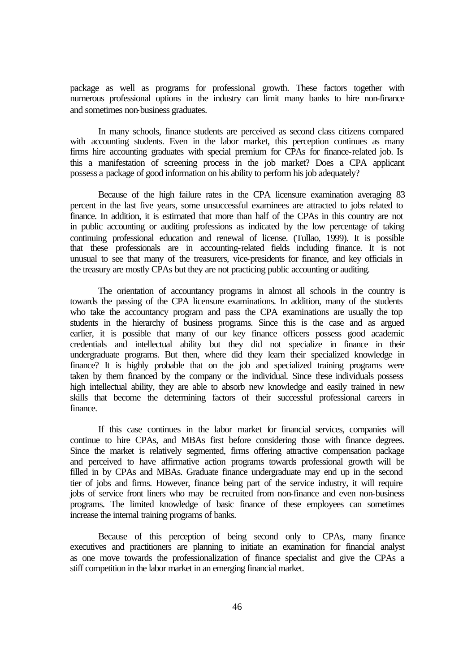package as well as programs for professional growth. These factors together with numerous professional options in the industry can limit many banks to hire non-finance and sometimes non-business graduates.

In many schools, finance students are perceived as second class citizens compared with accounting students. Even in the labor market, this perception continues as many firms hire accounting graduates with special premium for CPAs for finance-related job. Is this a manifestation of screening process in the job market? Does a CPA applicant possess a package of good information on his ability to perform his job adequately?

Because of the high failure rates in the CPA licensure examination averaging 83 percent in the last five years, some unsuccessful examinees are attracted to jobs related to finance. In addition, it is estimated that more than half of the CPAs in this country are not in public accounting or auditing professions as indicated by the low percentage of taking continuing professional education and renewal of license. (Tullao, 1999). It is possible that these professionals are in accounting-related fields including finance. It is not unusual to see that many of the treasurers, vice-presidents for finance, and key officials in the treasury are mostly CPAs but they are not practicing public accounting or auditing.

The orientation of accountancy programs in almost all schools in the country is towards the passing of the CPA licensure examinations. In addition, many of the students who take the accountancy program and pass the CPA examinations are usually the top students in the hierarchy of business programs. Since this is the case and as argued earlier, it is possible that many of our key finance officers possess good academic credentials and intellectual ability but they did not specialize in finance in their undergraduate programs. But then, where did they learn their specialized knowledge in finance? It is highly probable that on the job and specialized training programs were taken by them financed by the company or the individual. Since these individuals possess high intellectual ability, they are able to absorb new knowledge and easily trained in new skills that become the determining factors of their successful professional careers in finance.

If this case continues in the labor market for financial services, companies will continue to hire CPAs, and MBAs first before considering those with finance degrees. Since the market is relatively segmented, firms offering attractive compensation package and perceived to have affirmative action programs towards professional growth will be filled in by CPAs and MBAs. Graduate finance undergraduate may end up in the second tier of jobs and firms. However, finance being part of the service industry, it will require jobs of service front liners who may be recruited from non-finance and even non-business programs. The limited knowledge of basic finance of these employees can sometimes increase the internal training programs of banks.

Because of this perception of being second only to CPAs, many finance executives and practitioners are planning to initiate an examination for financial analyst as one move towards the professionalization of finance specialist and give the CPAs a stiff competition in the labor market in an emerging financial market.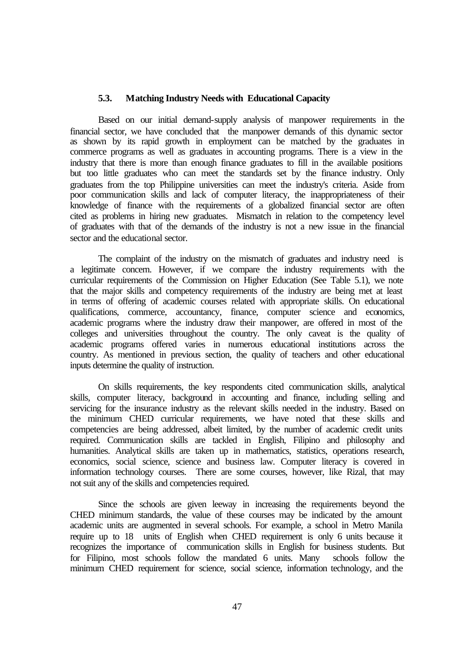#### **5.3. Matching Industry Needs with Educational Capacity**

Based on our initial demand-supply analysis of manpower requirements in the financial sector, we have concluded that the manpower demands of this dynamic sector as shown by its rapid growth in employment can be matched by the graduates in commerce programs as well as graduates in accounting programs. There is a view in the industry that there is more than enough finance graduates to fill in the available positions but too little graduates who can meet the standards set by the finance industry. Only graduates from the top Philippine universities can meet the industry's criteria. Aside from poor communication skills and lack of computer literacy, the inappropriateness of their knowledge of finance with the requirements of a globalized financial sector are often cited as problems in hiring new graduates. Mismatch in relation to the competency level of graduates with that of the demands of the industry is not a new issue in the financial sector and the educational sector.

The complaint of the industry on the mismatch of graduates and industry need is a legitimate concern. However, if we compare the industry requirements with the curricular requirements of the Commission on Higher Education (See Table 5.1), we note that the major skills and competency requirements of the industry are being met at least in terms of offering of academic courses related with appropriate skills. On educational qualifications, commerce, accountancy, finance, computer science and economics, academic programs where the industry draw their manpower, are offered in most of the colleges and universities throughout the country. The only caveat is the quality of academic programs offered varies in numerous educational institutions across the country. As mentioned in previous section, the quality of teachers and other educational inputs determine the quality of instruction.

On skills requirements, the key respondents cited communication skills, analytical skills, computer literacy, background in accounting and finance, including selling and servicing for the insurance industry as the relevant skills needed in the industry. Based on the minimum CHED curricular requirements, we have noted that these skills and competencies are being addressed, albeit limited, by the number of academic credit units required. Communication skills are tackled in English, Filipino and philosophy and humanities. Analytical skills are taken up in mathematics, statistics, operations research, economics, social science, science and business law. Computer literacy is covered in information technology courses. There are some courses, however, like Rizal, that may not suit any of the skills and competencies required.

Since the schools are given leeway in increasing the requirements beyond the CHED minimum standards, the value of these courses may be indicated by the amount academic units are augmented in several schools. For example, a school in Metro Manila require up to 18 units of English when CHED requirement is only 6 units because it recognizes the importance of communication skills in English for business students. But for Filipino, most schools follow the mandated 6 units. Many schools follow the minimum CHED requirement for science, social science, information technology, and the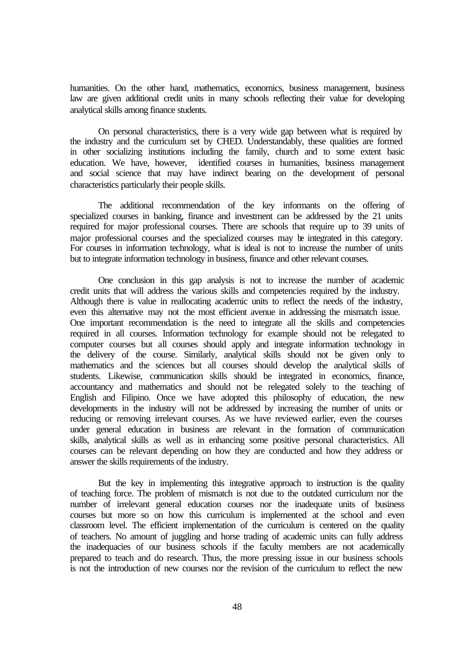humanities. On the other hand, mathematics, economics, business management, business law are given additional credit units in many schools reflecting their value for developing analytical skills among finance students.

On personal characteristics, there is a very wide gap between what is required by the industry and the curriculum set by CHED. Understandably, these qualities are formed in other socializing institutions including the family, church and to some extent basic education. We have, however, identified courses in humanities, business management and social science that may have indirect bearing on the development of personal characteristics particularly their people skills.

The additional recommendation of the key informants on the offering of specialized courses in banking, finance and investment can be addressed by the 21 units required for major professional courses. There are schools that require up to 39 units of major professional courses and the specialized courses may be integrated in this category. For courses in information technology, what is ideal is not to increase the number of units but to integrate information technology in business, finance and other relevant courses.

One conclusion in this gap analysis is not to increase the number of academic credit units that will address the various skills and competencies required by the industry. Although there is value in reallocating academic units to reflect the needs of the industry, even this alternative may not the most efficient avenue in addressing the mismatch issue. One important recommendation is the need to integrate all the skills and competencies required in all courses. Information technology for example should not be relegated to computer courses but all courses should apply and integrate information technology in the delivery of the course. Similarly, analytical skills should not be given only to mathematics and the sciences but all courses should develop the analytical skills of students. Likewise, communication skills should be integrated in economics, finance, accountancy and mathematics and should not be relegated solely to the teaching of English and Filipino. Once we have adopted this philosophy of education, the new developments in the industry will not be addressed by increasing the number of units or reducing or removing irrelevant courses. As we have reviewed earlier, even the courses under general education in business are relevant in the formation of communication skills, analytical skills as well as in enhancing some positive personal characteristics. All courses can be relevant depending on how they are conducted and how they address or answer the skills requirements of the industry.

But the key in implementing this integrative approach to instruction is the quality of teaching force. The problem of mismatch is not due to the outdated curriculum nor the number of irrelevant general education courses nor the inadequate units of business courses but more so on how this curriculum is implemented at the school and even classroom level. The efficient implementation of the curriculum is centered on the quality of teachers. No amount of juggling and horse trading of academic units can fully address the inadequacies of our business schools if the faculty members are not academically prepared to teach and do research. Thus, the more pressing issue in our business schools is not the introduction of new courses nor the revision of the curriculum to reflect the new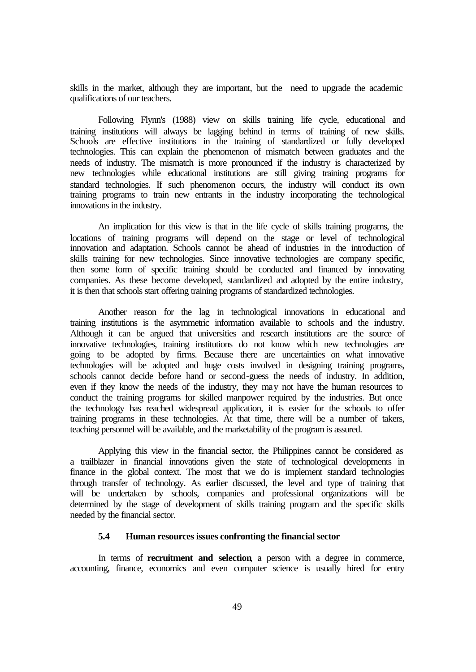skills in the market, although they are important, but the need to upgrade the academic qualifications of our teachers.

Following Flynn's (1988) view on skills training life cycle, educational and training institutions will always be lagging behind in terms of training of new skills. Schools are effective institutions in the training of standardized or fully developed technologies. This can explain the phenomenon of mismatch between graduates and the needs of industry. The mismatch is more pronounced if the industry is characterized by new technologies while educational institutions are still giving training programs for standard technologies. If such phenomenon occurs, the industry will conduct its own training programs to train new entrants in the industry incorporating the technological innovations in the industry.

An implication for this view is that in the life cycle of skills training programs, the locations of training programs will depend on the stage or level of technological innovation and adaptation. Schools cannot be ahead of industries in the introduction of skills training for new technologies. Since innovative technologies are company specific, then some form of specific training should be conducted and financed by innovating companies. As these become developed, standardized and adopted by the entire industry, it is then that schools start offering training programs of standardized technologies.

Another reason for the lag in technological innovations in educational and training institutions is the asymmetric information available to schools and the industry. Although it can be argued that universities and research institutions are the source of innovative technologies, training institutions do not know which new technologies are going to be adopted by firms. Because there are uncertainties on what innovative technologies will be adopted and huge costs involved in designing training programs, schools cannot decide before hand or second-guess the needs of industry. In addition, even if they know the needs of the industry, they may not have the human resources to conduct the training programs for skilled manpower required by the industries. But once the technology has reached widespread application, it is easier for the schools to offer training programs in these technologies. At that time, there will be a number of takers, teaching personnel will be available, and the marketability of the program is assured.

Applying this view in the financial sector, the Philippines cannot be considered as a trailblazer in financial innovations given the state of technological developments in finance in the global context. The most that we do is implement standard technologies through transfer of technology. As earlier discussed, the level and type of training that will be undertaken by schools, companies and professional organizations will be determined by the stage of development of skills training program and the specific skills needed by the financial sector.

## **5.4 Human resources issues confronting the financial sector**

In terms of **recruitment and selection**, a person with a degree in commerce, accounting, finance, economics and even computer science is usually hired for entry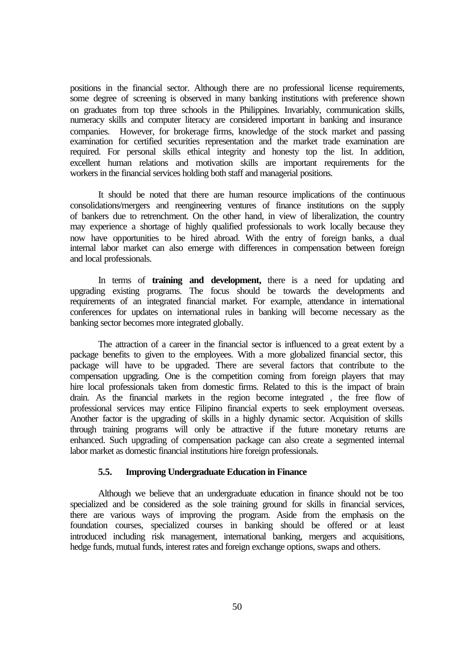positions in the financial sector. Although there are no professional license requirements, some degree of screening is observed in many banking institutions with preference shown on graduates from top three schools in the Philippines. Invariably, communication skills, numeracy skills and computer literacy are considered important in banking and insurance companies. However, for brokerage firms, knowledge of the stock market and passing examination for certified securities representation and the market trade examination are required. For personal skills ethical integrity and honesty top the list. In addition, excellent human relations and motivation skills are important requirements for the workers in the financial services holding both staff and managerial positions.

It should be noted that there are human resource implications of the continuous consolidations/mergers and reengineering ventures of finance institutions on the supply of bankers due to retrenchment. On the other hand, in view of liberalization, the country may experience a shortage of highly qualified professionals to work locally because they now have opportunities to be hired abroad. With the entry of foreign banks, a dual internal labor market can also emerge with differences in compensation between foreign and local professionals.

In terms of **training and development,** there is a need for updating and upgrading existing programs. The focus should be towards the developments and requirements of an integrated financial market. For example, attendance in international conferences for updates on international rules in banking will become necessary as the banking sector becomes more integrated globally.

The attraction of a career in the financial sector is influenced to a great extent by a package benefits to given to the employees. With a more globalized financial sector, this package will have to be upgraded. There are several factors that contribute to the compensation upgrading. One is the competition coming from foreign players that may hire local professionals taken from domestic firms. Related to this is the impact of brain drain. As the financial markets in the region become integrated , the free flow of professional services may entice Filipino financial experts to seek employment overseas. Another factor is the upgrading of skills in a highly dynamic sector. Acquisition of skills through training programs will only be attractive if the future monetary returns are enhanced. Such upgrading of compensation package can also create a segmented internal labor market as domestic financial institutions hire foreign professionals.

# **5.5. Improving Undergraduate Education in Finance**

Although we believe that an undergraduate education in finance should not be too specialized and be considered as the sole training ground for skills in financial services, there are various ways of improving the program. Aside from the emphasis on the foundation courses, specialized courses in banking should be offered or at least introduced including risk management, international banking, mergers and acquisitions, hedge funds, mutual funds, interest rates and foreign exchange options, swaps and others.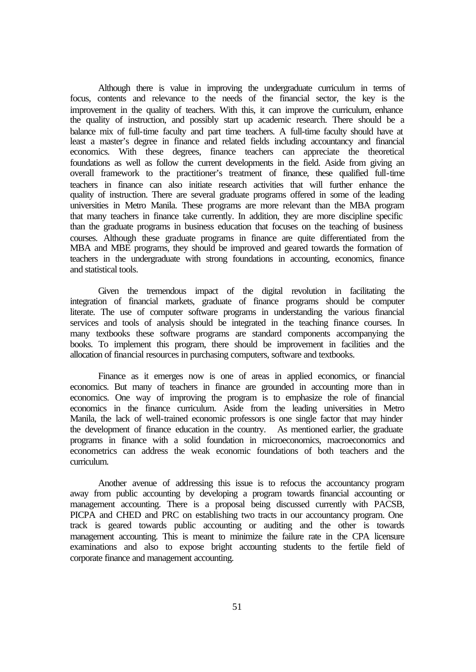Although there is value in improving the undergraduate curriculum in terms of focus, contents and relevance to the needs of the financial sector, the key is the improvement in the quality of teachers. With this, it can improve the curriculum, enhance the quality of instruction, and possibly start up academic research. There should be a balance mix of full-time faculty and part time teachers. A full-time faculty should have at least a master's degree in finance and related fields including accountancy and financial economics. With these degrees, finance teachers can appreciate the theoretical foundations as well as follow the current developments in the field. Aside from giving an overall framework to the practitioner's treatment of finance, these qualified full-time teachers in finance can also initiate research activities that will further enhance the quality of instruction. There are several graduate programs offered in some of the leading universities in Metro Manila. These programs are more relevant than the MBA program that many teachers in finance take currently. In addition, they are more discipline specific than the graduate programs in business education that focuses on the teaching of business courses. Although these graduate programs in finance are quite differentiated from the MBA and MBE programs, they should be improved and geared towards the formation of teachers in the undergraduate with strong foundations in accounting, economics, finance and statistical tools.

Given the tremendous impact of the digital revolution in facilitating the integration of financial markets, graduate of finance programs should be computer literate. The use of computer software programs in understanding the various financial services and tools of analysis should be integrated in the teaching finance courses. In many textbooks these software programs are standard components accompanying the books. To implement this program, there should be improvement in facilities and the allocation of financial resources in purchasing computers, software and textbooks.

Finance as it emerges now is one of areas in applied economics, or financial economics. But many of teachers in finance are grounded in accounting more than in economics. One way of improving the program is to emphasize the role of financial economics in the finance curriculum. Aside from the leading universities in Metro Manila, the lack of well-trained economic professors is one single factor that may hinder the development of finance education in the country. As mentioned earlier, the graduate programs in finance with a solid foundation in microeconomics, macroeconomics and econometrics can address the weak economic foundations of both teachers and the curriculum.

Another avenue of addressing this issue is to refocus the accountancy program away from public accounting by developing a program towards financial accounting or management accounting. There is a proposal being discussed currently with PACSB, PICPA and CHED and PRC on establishing two tracts in our accountancy program. One track is geared towards public accounting or auditing and the other is towards management accounting. This is meant to minimize the failure rate in the CPA licensure examinations and also to expose bright accounting students to the fertile field of corporate finance and management accounting.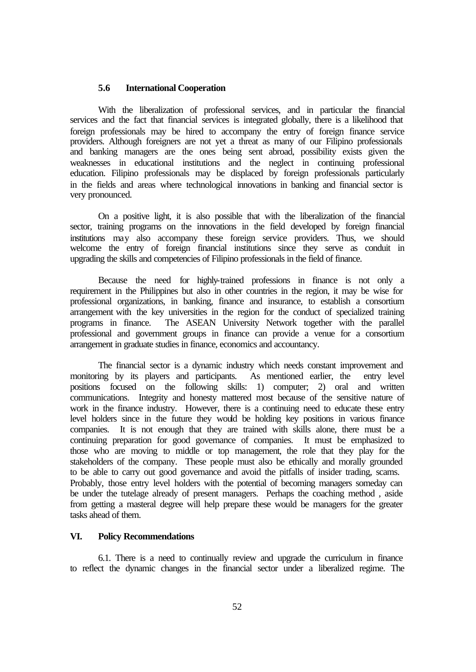#### **5.6 International Cooperation**

With the liberalization of professional services, and in particular the financial services and the fact that financial services is integrated globally, there is a likelihood that foreign professionals may be hired to accompany the entry of foreign finance service providers. Although foreigners are not yet a threat as many of our Filipino professionals and banking managers are the ones being sent abroad, possibility exists given the weaknesses in educational institutions and the neglect in continuing professional education. Filipino professionals may be displaced by foreign professionals particularly in the fields and areas where technological innovations in banking and financial sector is very pronounced.

On a positive light, it is also possible that with the liberalization of the financial sector, training programs on the innovations in the field developed by foreign financial institutions may also accompany these foreign service providers. Thus, we should welcome the entry of foreign financial institutions since they serve as conduit in upgrading the skills and competencies of Filipino professionals in the field of finance.

Because the need for highly-trained professions in finance is not only a requirement in the Philippines but also in other countries in the region, it may be wise for professional organizations, in banking, finance and insurance, to establish a consortium arrangement with the key universities in the region for the conduct of specialized training programs in finance. The ASEAN University Network together with the parallel professional and government groups in finance can provide a venue for a consortium arrangement in graduate studies in finance, economics and accountancy.

The financial sector is a dynamic industry which needs constant improvement and monitoring by its players and participants. As mentioned earlier, the entry level positions focused on the following skills: 1) computer; 2) oral and written communications. Integrity and honesty mattered most because of the sensitive nature of work in the finance industry. However, there is a continuing need to educate these entry level holders since in the future they would be holding key positions in various finance companies. It is not enough that they are trained with skills alone, there must be a continuing preparation for good governance of companies. It must be emphasized to those who are moving to middle or top management, the role that they play for the stakeholders of the company. These people must also be ethically and morally grounded to be able to carry out good governance and avoid the pitfalls of insider trading, scams. Probably, those entry level holders with the potential of becoming managers someday can be under the tutelage already of present managers. Perhaps the coaching method , aside from getting a masteral degree will help prepare these would be managers for the greater tasks ahead of them.

## **VI. Policy Recommendations**

6.1. There is a need to continually review and upgrade the curriculum in finance to reflect the dynamic changes in the financial sector under a liberalized regime. The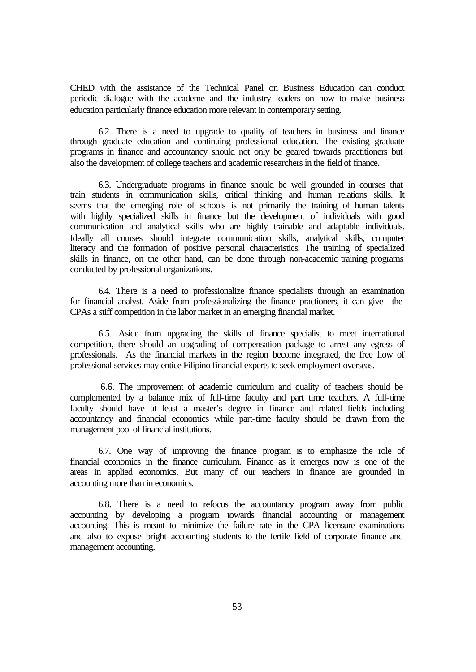CHED with the assistance of the Technical Panel on Business Education can conduct periodic dialogue with the academe and the industry leaders on how to make business education particularly finance education more relevant in contemporary setting.

6.2. There is a need to upgrade to quality of teachers in business and finance through graduate education and continuing professional education. The existing graduate programs in finance and accountancy should not only be geared towards practitioners but also the development of college teachers and academic researchers in the field of finance.

6.3. Undergraduate programs in finance should be well grounded in courses that train students in communication skills, critical thinking and human relations skills. It seems that the emerging role of schools is not primarily the training of human talents with highly specialized skills in finance but the development of individuals with good communication and analytical skills who are highly trainable and adaptable individuals. Ideally all courses should integrate communication skills, analytical skills, computer literacy and the formation of positive personal characteristics. The training of specialized skills in finance, on the other hand, can be done through non-academic training programs conducted by professional organizations.

6.4. There is a need to professionalize finance specialists through an examination for financial analyst. Aside from professionalizing the finance practioners, it can give the CPAs a stiff competition in the labor market in an emerging financial market.

6.5. Aside from upgrading the skills of finance specialist to meet international competition, there should an upgrading of compensation package to arrest any egress of professionals. As the financial markets in the region become integrated, the free flow of professional services may entice Filipino financial experts to seek employment overseas.

 6.6. The improvement of academic curriculum and quality of teachers should be complemented by a balance mix of full-time faculty and part time teachers. A full-time faculty should have at least a master's degree in finance and related fields including accountancy and financial economics while part-time faculty should be drawn from the management pool of financial institutions.

6.7. One way of improving the finance program is to emphasize the role of financial economics in the finance curriculum. Finance as it emerges now is one of the areas in applied economics. But many of our teachers in finance are grounded in accounting more than in economics.

6.8. There is a need to refocus the accountancy program away from public accounting by developing a program towards financial accounting or management accounting. This is meant to minimize the failure rate in the CPA licensure examinations and also to expose bright accounting students to the fertile field of corporate finance and management accounting.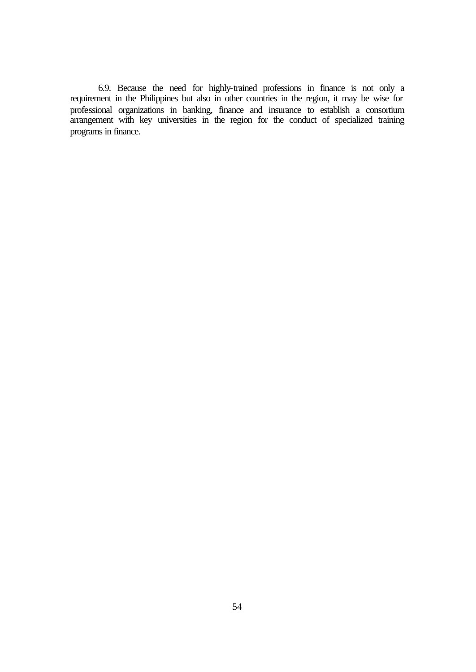6.9. Because the need for highly-trained professions in finance is not only a requirement in the Philippines but also in other countries in the region, it may be wise for professional organizations in banking, finance and insurance to establish a consortium arrangement with key universities in the region for the conduct of specialized training programs in finance.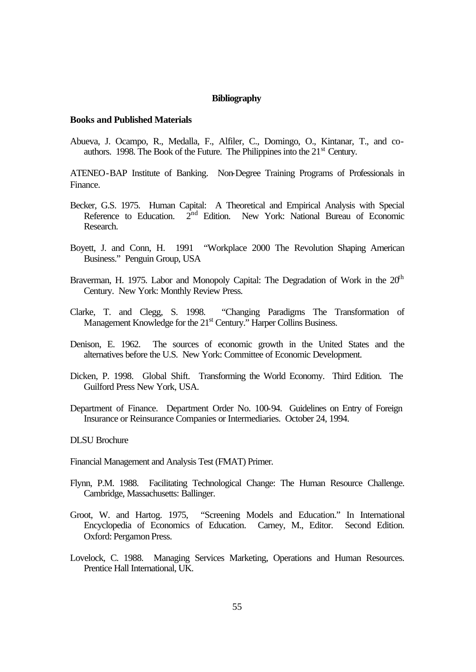#### **Bibliography**

#### **Books and Published Materials**

Abueva, J. Ocampo, R., Medalla, F., Alfiler, C., Domingo, O., Kintanar, T., and coauthors. 1998. The Book of the Future. The Philippines into the  $21<sup>st</sup>$  Century.

ATENEO-BAP Institute of Banking. Non-Degree Training Programs of Professionals in Finance.

- Becker, G.S. 1975. Human Capital: A Theoretical and Empirical Analysis with Special Reference to Education. 2<sup>nd</sup> Edition. New York: National Bureau of Economic Research.
- Boyett, J. and Conn, H. 1991 "Workplace 2000 The Revolution Shaping American Business." Penguin Group, USA
- Braverman, H. 1975. Labor and Monopoly Capital: The Degradation of Work in the  $20<sup>th</sup>$ Century. New York: Monthly Review Press.
- Clarke, T. and Clegg, S. 1998. "Changing Paradigms The Transformation of Management Knowledge for the 21<sup>st</sup> Century." Harper Collins Business.
- Denison, E. 1962. The sources of economic growth in the United States and the alternatives before the U.S. New York: Committee of Economic Development.
- Dicken, P. 1998. Global Shift. Transforming the World Economy. Third Edition. The Guilford Press New York, USA.
- Department of Finance. Department Order No. 100-94. Guidelines on Entry of Foreign Insurance or Reinsurance Companies or Intermediaries. October 24, 1994.

#### DLSU Brochure

Financial Management and Analysis Test (FMAT) Primer.

- Flynn, P.M. 1988. Facilitating Technological Change: The Human Resource Challenge. Cambridge, Massachusetts: Ballinger.
- Groot, W. and Hartog. 1975, "Screening Models and Education." In International Encyclopedia of Economics of Education. Carney, M., Editor. Second Edition. Oxford: Pergamon Press.
- Lovelock, C. 1988. Managing Services Marketing, Operations and Human Resources. Prentice Hall International, UK.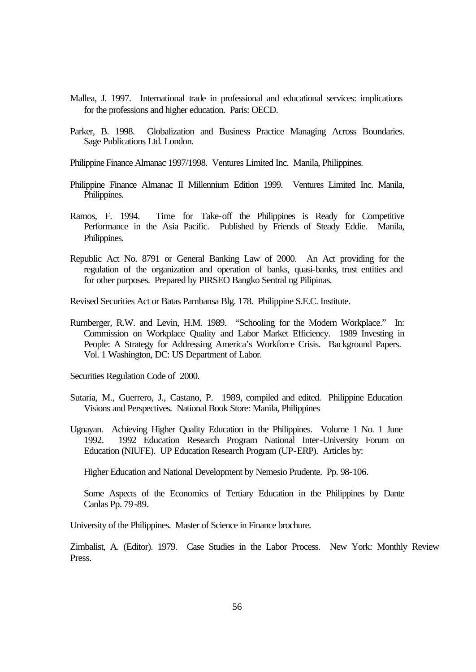- Mallea, J. 1997. International trade in professional and educational services: implications for the professions and higher education. Paris: OECD.
- Parker, B. 1998. Globalization and Business Practice Managing Across Boundaries. Sage Publications Ltd. London.
- Philippine Finance Almanac 1997/1998. Ventures Limited Inc. Manila, Philippines.
- Philippine Finance Almanac II Millennium Edition 1999. Ventures Limited Inc. Manila, Philippines.
- Ramos, F. 1994. Time for Take-off the Philippines is Ready for Competitive Performance in the Asia Pacific. Published by Friends of Steady Eddie. Manila, Philippines.
- Republic Act No. 8791 or General Banking Law of 2000. An Act providing for the regulation of the organization and operation of banks, quasi-banks, trust entities and for other purposes. Prepared by PIRSEO Bangko Sentral ng Pilipinas.

Revised Securities Act or Batas Pambansa Blg. 178. Philippine S.E.C. Institute.

Rumberger, R.W. and Levin, H.M. 1989. "Schooling for the Modern Workplace." In: Commission on Workplace Quality and Labor Market Efficiency. 1989 Investing in People: A Strategy for Addressing America's Workforce Crisis. Background Papers. Vol. 1 Washington, DC: US Department of Labor.

Securities Regulation Code of 2000.

- Sutaria, M., Guerrero, J., Castano, P. 1989, compiled and edited. Philippine Education Visions and Perspectives. National Book Store: Manila, Philippines
- Ugnayan. Achieving Higher Quality Education in the Philippines. Volume 1 No. 1 June 1992. 1992 Education Research Program National Inter-University Forum on Education (NIUFE). UP Education Research Program (UP-ERP). Articles by:

Higher Education and National Development by Nemesio Prudente. Pp. 98-106.

Some Aspects of the Economics of Tertiary Education in the Philippines by Dante Canlas Pp. 79-89.

University of the Philippines. Master of Science in Finance brochure.

Zimbalist, A. (Editor). 1979. Case Studies in the Labor Process. New York: Monthly Review Press.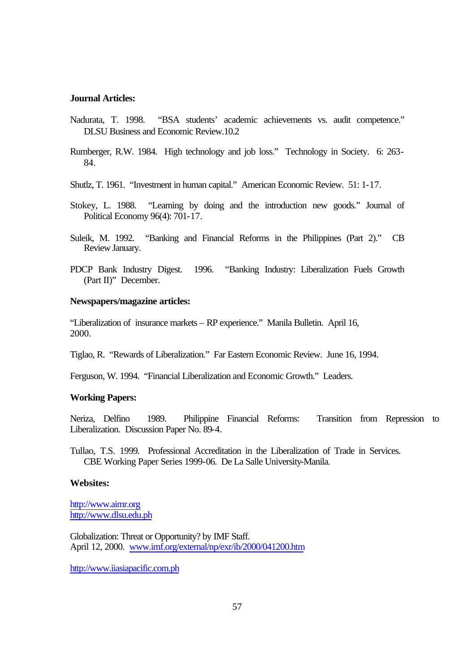#### **Journal Articles:**

- Nadurata, T. 1998. "BSA students' academic achievements vs. audit competence." DLSU Business and Economic Review.10.2
- Rumberger, R.W. 1984. High technology and job loss." Technology in Society. 6: 263- 84.
- Shutlz, T. 1961. "Investment in human capital." American Economic Review. 51: 1-17.
- Stokey, L. 1988. "Learning by doing and the introduction new goods." Journal of Political Economy 96(4): 701-17.
- Suleik, M. 1992. "Banking and Financial Reforms in the Philippines (Part 2)." CB Review January.
- PDCP Bank Industry Digest. 1996. "Banking Industry: Liberalization Fuels Growth (Part II)" December.

#### **Newspapers/magazine articles:**

"Liberalization of insurance markets – RP experience." Manila Bulletin. April 16, 2000.

Tiglao, R. "Rewards of Liberalization." Far Eastern Economic Review. June 16, 1994.

Ferguson, W. 1994. "Financial Liberalization and Economic Growth." Leaders.

#### **Working Papers:**

Neriza, Delfino 1989. Philippine Financial Reforms: Transition from Repression to Liberalization. Discussion Paper No. 89-4.

Tullao, T.S. 1999. Professional Accreditation in the Liberalization of Trade in Services. CBE Working Paper Series 1999-06. De La Salle University-Manila.

#### **Websites:**

http://www.aimr.org http://www.dlsu.edu.ph

Globalization: Threat or Opportunity? by IMF Staff. April 12, 2000. www.imf.org/external/np/exr/ib/2000/041200.htm

http://www.iiasiapacific.com.ph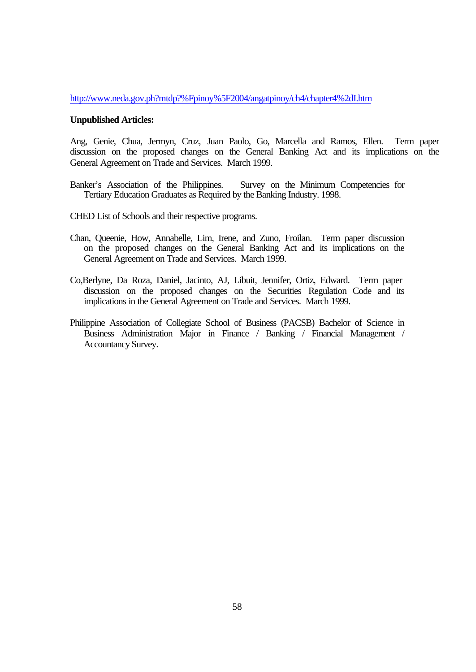http://www.neda.gov.ph?mtdp?%Fpinoy%5F2004/angatpinoy/ch4/chapter4%2dI.htm

#### **Unpublished Articles:**

Ang, Genie, Chua, Jermyn, Cruz, Juan Paolo, Go, Marcella and Ramos, Ellen. Term paper discussion on the proposed changes on the General Banking Act and its implications on the General Agreement on Trade and Services. March 1999.

- Banker's Association of the Philippines. Survey on the Minimum Competencies for Tertiary Education Graduates as Required by the Banking Industry. 1998.
- CHED List of Schools and their respective programs.
- Chan, Queenie, How, Annabelle, Lim, Irene, and Zuno, Froilan. Term paper discussion on the proposed changes on the General Banking Act and its implications on the General Agreement on Trade and Services. March 1999.
- Co,Berlyne, Da Roza, Daniel, Jacinto, AJ, Libuit, Jennifer, Ortiz, Edward. Term paper discussion on the proposed changes on the Securities Regulation Code and its implications in the General Agreement on Trade and Services. March 1999.
- Philippine Association of Collegiate School of Business (PACSB) Bachelor of Science in Business Administration Major in Finance / Banking / Financial Management / Accountancy Survey.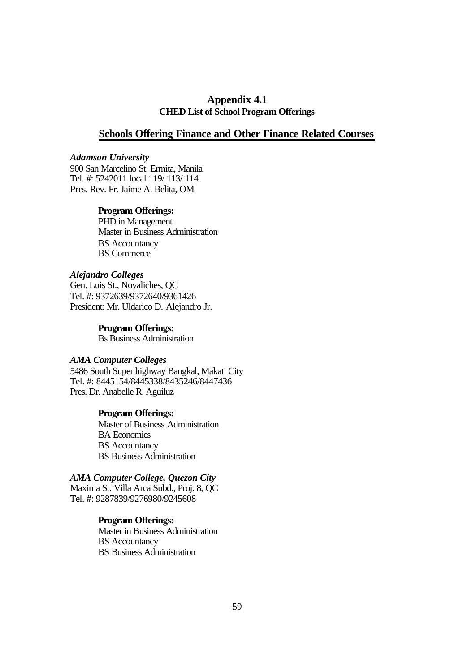# **Appendix 4.1 CHED List of School Program Offerings**

## **Schools Offering Finance and Other Finance Related Courses**

## *Adamson University*

900 San Marcelino St. Ermita, Manila Tel. #: 5242011 local 119/ 113/ 114 Pres. Rev. Fr. Jaime A. Belita, OM

## **Program Offerings:**

PHD in Management Master in Business Administration BS Accountancy BS Commerce

# *Alejandro Colleges*

Gen. Luis St., Novaliches, QC Tel. #: 9372639/9372640/9361426 President: Mr. Uldarico D. Alejandro Jr.

## **Program Offerings:**

Bs Business Administration

### *AMA Computer Colleges*

5486 South Super highway Bangkal, Makati City Tel. #: 8445154/8445338/8435246/8447436 Pres. Dr. Anabelle R. Aguiluz

## **Program Offerings:**

Master of Business Administration BA Economics BS Accountancy BS Business Administration

# *AMA Computer College, Quezon City*

Maxima St. Villa Arca Subd., Proj. 8, QC Tel. #: 9287839/9276980/9245608

## **Program Offerings:**

Master in Business Administration BS Accountancy BS Business Administration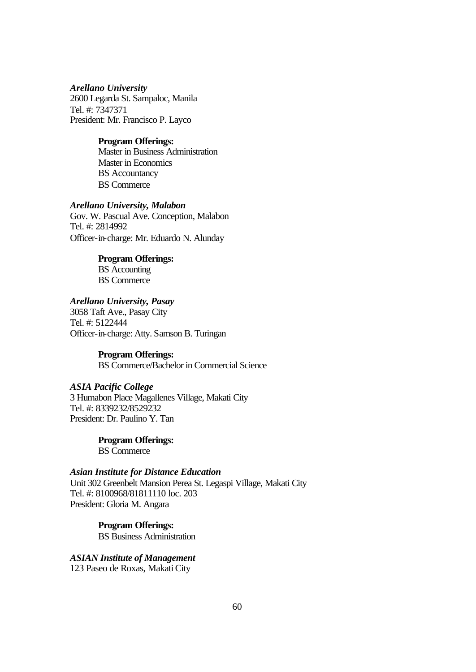## *Arellano University* 2600 Legarda St. Sampaloc, Manila Tel. #: 7347371 President: Mr. Francisco P. Layco

## **Program Offerings:**

Master in Business Administration Master in Economics BS Accountancy BS Commerce

## *Arellano University, Malabon*

Gov. W. Pascual Ave. Conception, Malabon Tel. #: 2814992 Officer-in-charge: Mr. Eduardo N. Alunday

## **Program Offerings:**

BS Accounting BS Commerce

# *Arellano University, Pasay*

3058 Taft Ave., Pasay City Tel. #: 5122444 Officer-in-charge: Atty. Samson B. Turingan

# **Program Offerings:**

BS Commerce/Bachelor in Commercial Science

# *ASIA Pacific College*

3 Humabon Place Magallenes Village, Makati City Tel. #: 8339232/8529232 President: Dr. Paulino Y. Tan

> **Program Offerings:** BS Commerce

# *Asian Institute for Distance Education*

Unit 302 Greenbelt Mansion Perea St. Legaspi Village, Makati City Tel. #: 8100968/81811110 loc. 203 President: Gloria M. Angara

> **Program Offerings:** BS Business Administration

# *ASIAN Institute of Management*

123 Paseo de Roxas, Makati City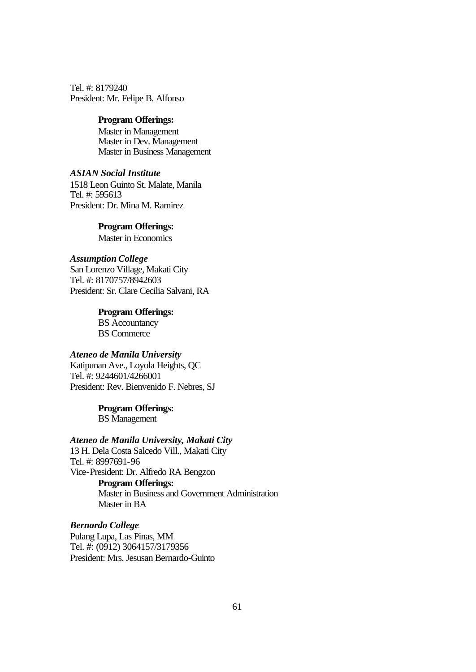Tel. #: 8179240 President: Mr. Felipe B. Alfonso

#### **Program Offerings:**

Master in Management Master in Dev. Management Master in Business Management

# *ASIAN Social Institute*

1518 Leon Guinto St. Malate, Manila Tel. #: 595613 President: Dr. Mina M. Ramirez

## **Program Offerings:**

Master in Economics

# *Assumption College*

San Lorenzo Village, Makati City Tel. #: 8170757/8942603 President: Sr. Clare Cecilia Salvani, RA

## **Program Offerings:**

BS Accountancy BS Commerce

# *Ateneo de Manila University*

Katipunan Ave., Loyola Heights, QC Tel. #: 9244601/4266001 President: Rev. Bienvenido F. Nebres, SJ

# **Program Offerings:**

BS Management

# *Ateneo de Manila University, Makati City*

13 H. Dela Costa Salcedo Vill., Makati City Tel. #: 8997691-96 Vice-President: Dr. Alfredo RA Bengzon **Program Offerings:** Master in Business and Government Administration Master in BA

## *Bernardo College*

Pulang Lupa, Las Pinas, MM Tel. #: (0912) 3064157/3179356 President: Mrs. Jesusan Bernardo-Guinto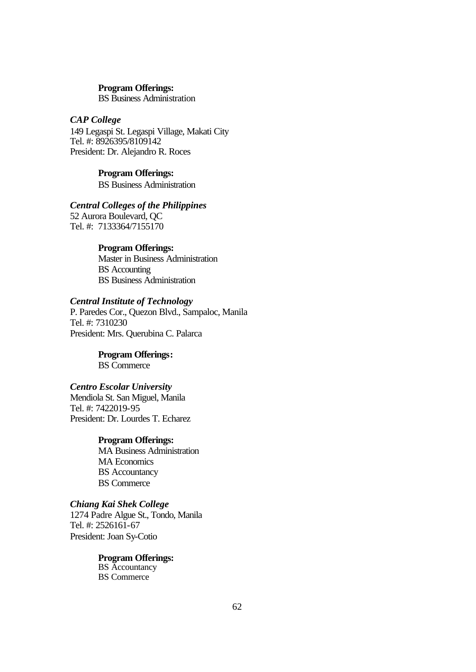#### **Program Offerings:**

BS Business Administration

## *CAP College*

149 Legaspi St. Legaspi Village, Makati City Tel. #: 8926395/8109142 President: Dr. Alejandro R. Roces

# **Program Offerings:**

BS Business Administration

## *Central Colleges of the Philippines*

52 Aurora Boulevard, QC Tel. #: 7133364/7155170

### **Program Offerings:**

Master in Business Administration BS Accounting BS Business Administration

# *Central Institute of Technology*

P. Paredes Cor., Quezon Blvd., Sampaloc, Manila Tel. #: 7310230 President: Mrs. Querubina C. Palarca

# **Program Offerings:**

BS Commerce

#### *Centro Escolar University*

Mendiola St. San Miguel, Manila Tel. #: 7422019-95 President: Dr. Lourdes T. Echarez

#### **Program Offerings:**

MA Business Administration MA Economics BS Accountancy BS Commerce

## *Chiang Kai Shek College*

1274 Padre Algue St., Tondo, Manila Tel. #: 2526161-67 President: Joan Sy-Cotio

> **Program Offerings:** BS Accountancy BS Commerce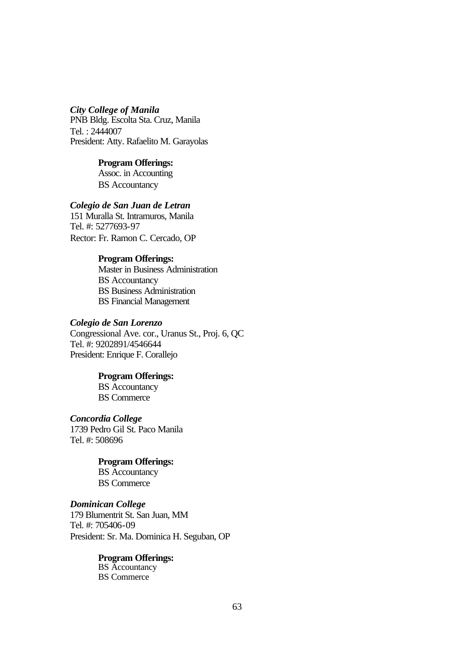# *City College of Manila*

PNB Bldg. Escolta Sta. Cruz, Manila Tel. : 2444007 President: Atty. Rafaelito M. Garayolas

# **Program Offerings:**

Assoc. in Accounting BS Accountancy

# *Colegio de San Juan de Letran*

151 Muralla St. Intramuros, Manila Tel. #: 5277693-97 Rector: Fr. Ramon C. Cercado, OP

#### **Program Offerings:**

Master in Business Administration BS Accountancy BS Business Administration BS Financial Management

#### *Colegio de San Lorenzo*

Congressional Ave. cor., Uranus St., Proj. 6, QC Tel. #: 9202891/4546644 President: Enrique F. Corallejo

#### **Program Offerings:**

BS Accountancy BS Commerce

*Concordia College* 1739 Pedro Gil St. Paco Manila Tel. #: 508696

> **Program Offerings:** BS Accountancy BS Commerce

#### *Dominican College*

179 Blumentrit St. San Juan, MM Tel. #: 705406-09 President: Sr. Ma. Dominica H. Seguban, OP

> **Program Offerings:** BS Accountancy BS Commerce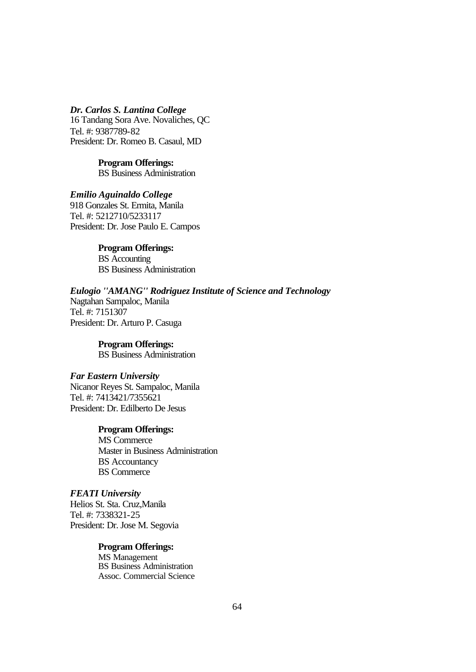*Dr. Carlos S. Lantina College* 16 Tandang Sora Ave. Novaliches, QC Tel. #: 9387789-82 President: Dr. Romeo B. Casaul, MD

> **Program Offerings:** BS Business Administration

*Emilio Aguinaldo College* 918 Gonzales St. Ermita, Manila Tel. #: 5212710/5233117 President: Dr. Jose Paulo E. Campos

> **Program Offerings:** BS Accounting BS Business Administration

*Eulogio ''AMANG'' Rodriguez Institute of Science and Technology* Nagtahan Sampaloc, Manila Tel. #: 7151307 President: Dr. Arturo P. Casuga

> **Program Offerings:** BS Business Administration

*Far Eastern University* Nicanor Reyes St. Sampaloc, Manila Tel. #: 7413421/7355621 President: Dr. Edilberto De Jesus

> **Program Offerings:** MS Commerce Master in Business Administration BS Accountancy BS Commerce

*FEATI University* Helios St. Sta. Cruz,Manila Tel. #: 7338321-25 President: Dr. Jose M. Segovia

> **Program Offerings:** MS Management

BS Business Administration Assoc. Commercial Science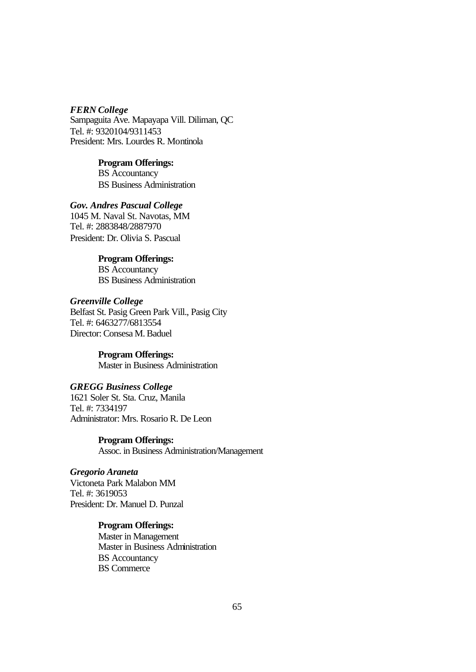#### *FERN College*

Sampaguita Ave. Mapayapa Vill. Diliman, QC Tel. #: 9320104/9311453 President: Mrs. Lourdes R. Montinola

# **Program Offerings:**

BS Accountancy BS Business Administration

# *Gov. Andres Pascual College*

1045 M. Naval St. Navotas, MM Tel. #: 2883848/2887970 President: Dr. Olivia S. Pascual

# **Program Offerings:**

BS Accountancy BS Business Administration

# *Greenville College*

Belfast St. Pasig Green Park Vill., Pasig City Tel. #: 6463277/6813554 Director: Consesa M. Baduel

> **Program Offerings:** Master in Business Administration

#### *GREGG Business College*

1621 Soler St. Sta. Cruz, Manila Tel. #: 7334197 Administrator: Mrs. Rosario R. De Leon

> **Program Offerings:** Assoc. in Business Administration/Management

# *Gregorio Araneta*

Victoneta Park Malabon MM Tel. #: 3619053 President: Dr. Manuel D. Punzal

# **Program Offerings:**

Master in Management Master in Business Administration BS Accountancy BS Commerce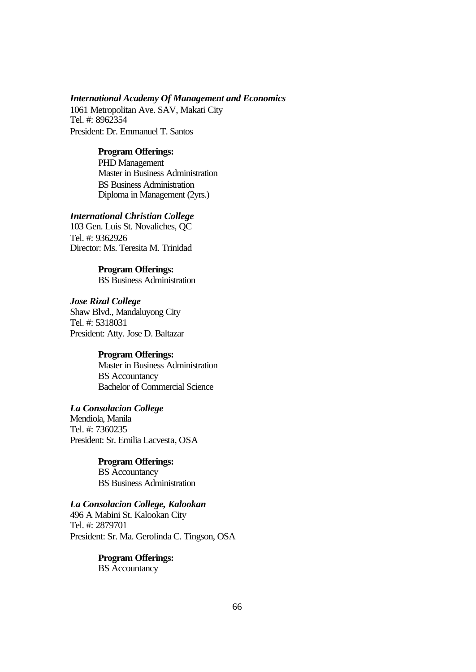#### *International Academy Of Management and Economics*

1061 Metropolitan Ave. SAV, Makati City Tel. #: 8962354 President: Dr. Emmanuel T. Santos

#### **Program Offerings:**

PHD Management Master in Business Administration BS Business Administration Diploma in Management (2yrs.)

# *International Christian College*

103 Gen. Luis St. Novaliches, QC Tel. #: 9362926 Director: Ms. Teresita M. Trinidad

> **Program Offerings:** BS Business Administration

*Jose Rizal College* Shaw Blvd., Mandaluyong City Tel. #: 5318031 President: Atty. Jose D. Baltazar

#### **Program Offerings:**

Master in Business Administration BS Accountancy Bachelor of Commercial Science

# *La Consolacion College*

Mendiola, Manila Tel. #: 7360235 President: Sr. Emilia Lacvesta, OSA

> **Program Offerings:** BS Accountancy BS Business Administration

# *La Consolacion College, Kalookan*

496 A Mabini St. Kalookan City Tel. #: 2879701 President: Sr. Ma. Gerolinda C. Tingson, OSA

> **Program Offerings:** BS Accountancy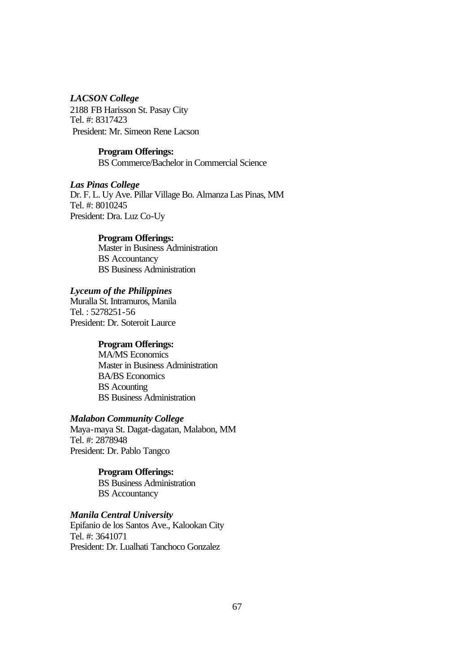#### *LACSON College*

2188 FB Harisson St. Pasay City Tel. #: 8317423 President: Mr. Simeon Rene Lacson

#### **Program Offerings:**

BS Commerce/Bachelor in Commercial Science

# *Las Pinas College*

Dr. F. L. Uy Ave. Pillar Village Bo. Almanza Las Pinas, MM Tel. #: 8010245 President: Dra. Luz Co-Uy

#### **Program Offerings:**

Master in Business Administration BS Accountancy BS Business Administration

# *Lyceum of the Philippines*

Muralla St. Intramuros, Manila Tel. : 5278251-56 President: Dr. Soteroit Laurce

# **Program Offerings:**

MA/MS Economics Master in Business Administration BA/BS Economics BS Acounting BS Business Administration

#### *Malabon Community College*

Maya-maya St. Dagat-dagatan, Malabon, MM Tel. #: 2878948 President: Dr. Pablo Tangco

#### **Program Offerings:**

BS Business Administration BS Accountancy

#### *Manila Central University*

Epifanio de los Santos Ave., Kalookan City Tel. #: 3641071 President: Dr. Lualhati Tanchoco Gonzalez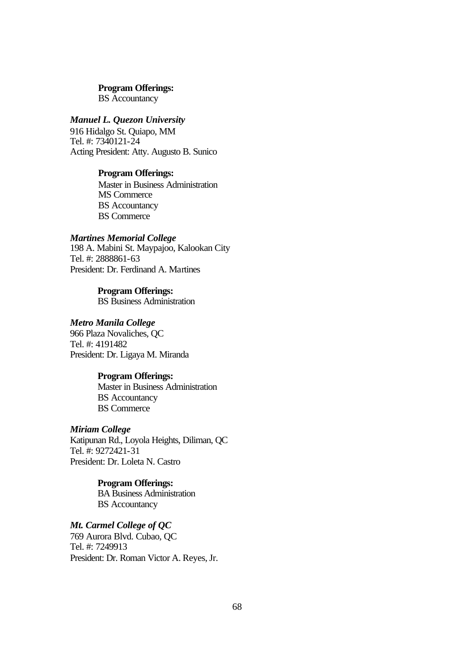BS Accountancy

# *Manuel L. Quezon University*

916 Hidalgo St. Quiapo, MM Tel. #: 7340121-24 Acting President: Atty. Augusto B. Sunico

# **Program Offerings:**

Master in Business Administration MS Commerce BS Accountancy BS Commerce

#### *Martines Memorial College*

198 A. Mabini St. Maypajoo, Kalookan City Tel. #: 2888861-63 President: Dr. Ferdinand A. Martines

> **Program Offerings:** BS Business Administration

### *Metro Manila College*

966 Plaza Novaliches, QC Tel. #: 4191482 President: Dr. Ligaya M. Miranda

#### **Program Offerings:**

Master in Business Administration BS Accountancy BS Commerce

#### *Miriam College*

Katipunan Rd., Loyola Heights, Diliman, QC Tel. #: 9272421-31 President: Dr. Loleta N. Castro

#### **Program Offerings:**

BA Business Administration BS Accountancy

*Mt. Carmel College of QC* 769 Aurora Blvd. Cubao, QC Tel. #: 7249913 President: Dr. Roman Victor A. Reyes, Jr.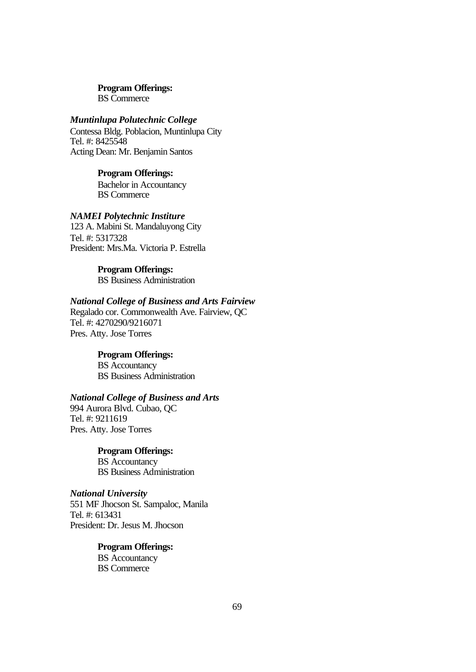BS Commerce

# *Muntinlupa Polutechnic College*

Contessa Bldg. Poblacion, Muntinlupa City Tel. #: 8425548 Acting Dean: Mr. Benjamin Santos

#### **Program Offerings:**

Bachelor in Accountancy BS Commerce

# *NAMEI Polytechnic Institure*

123 A. Mabini St. Mandaluyong City Tel. #: 5317328 President: Mrs.Ma. Victoria P. Estrella

# **Program Offerings:**

BS Business Administration

# *National College of Business and Arts Fairview*

Regalado cor. Commonwealth Ave. Fairview, QC Tel. #: 4270290/9216071 Pres. Atty. Jose Torres

# **Program Offerings:**

BS Accountancy BS Business Administration

# *National College of Business and Arts*

994 Aurora Blvd. Cubao, QC Tel. #: 9211619 Pres. Atty. Jose Torres

# **Program Offerings:**

BS Accountancy BS Business Administration

# *National University*

551 MF Jhocson St. Sampaloc, Manila Tel. #: 613431 President: Dr. Jesus M. Jhocson

# **Program Offerings:**

BS Accountancy BS Commerce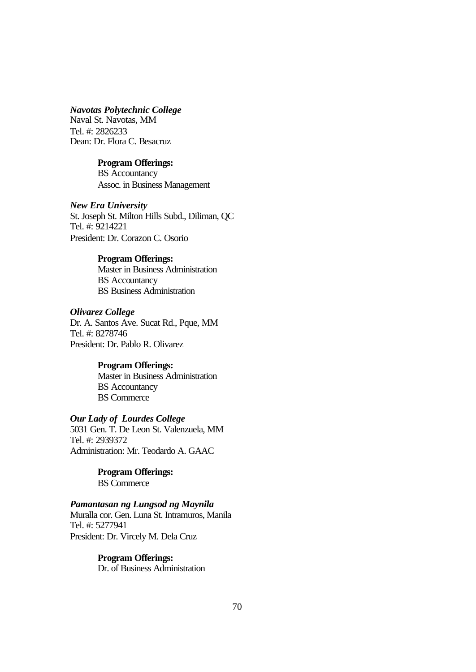#### *Navotas Polytechnic College*

Naval St. Navotas, MM Tel. #: 2826233 Dean: Dr. Flora C. Besacruz

# **Program Offerings:**

BS Accountancy Assoc. in Business Management

#### *New Era University*

St. Joseph St. Milton Hills Subd., Diliman, QC Tel. #: 9214221 President: Dr. Corazon C. Osorio

#### **Program Offerings:**

Master in Business Administration BS Accountancy BS Business Administration

#### *Olivarez College*

Dr. A. Santos Ave. Sucat Rd., Pque, MM Tel. #: 8278746 President: Dr. Pablo R. Olivarez

#### **Program Offerings:**

Master in Business Administration BS Accountancy BS Commerce

#### *Our Lady of Lourdes College*

5031 Gen. T. De Leon St. Valenzuela, MM Tel. #: 2939372 Administration: Mr. Teodardo A. GAAC

> **Program Offerings:** BS Commerce

# *Pamantasan ng Lungsod ng Maynila*

Muralla cor. Gen. Luna St. Intramuros, Manila Tel. #: 5277941 President: Dr. Vircely M. Dela Cruz

> **Program Offerings:** Dr. of Business Administration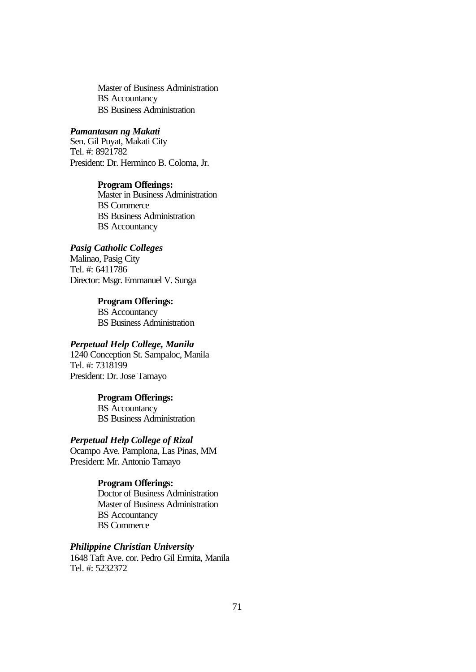Master of Business Administration BS Accountancy BS Business Administration

#### *Pamantasan ng Makati*

Sen. Gil Puyat, Makati City Tel. #: 8921782 President: Dr. Herminco B. Coloma, Jr.

#### **Program Offerings:**

Master in Business Administration BS Commerce BS Business Administration BS Accountancy

#### *Pasig Catholic Colleges*

Malinao, Pasig City Tel. #: 6411786 Director: Msgr. Emmanuel V. Sunga

#### **Program Offerings:**

BS Accountancy BS Business Administration

# *Perpetual Help College, Manila*

1240 Conception St. Sampaloc, Manila Tel. #: 7318199 President: Dr. Jose Tamayo

# **Program Offerings:**

BS Accountancy BS Business Administration

#### *Perpetual Help College of Rizal*

Ocampo Ave. Pamplona, Las Pinas, MM President: Mr. Antonio Tamayo

#### **Program Offerings:**

Doctor of Business Administration Master of Business Administration BS Accountancy BS Commerce

### *Philippine Christian University*

1648 Taft Ave. cor. Pedro Gil Ermita, Manila Tel. #: 5232372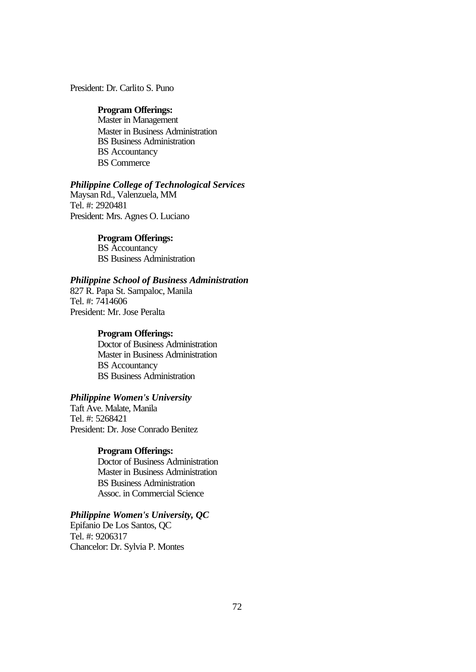# President: Dr. Carlito S. Puno

#### **Program Offerings:**

Master in Management Master in Business Administration BS Business Administration BS Accountancy BS Commerce

#### *Philippine College of Technological Services*

Maysan Rd., Valenzuela, MM Tel. #: 2920481 President: Mrs. Agnes O. Luciano

#### **Program Offerings:**

BS Accountancy BS Business Administration

#### *Philippine School of Business Administration*

827 R. Papa St. Sampaloc, Manila Tel. #: 7414606 President: Mr. Jose Peralta

#### **Program Offerings:**

Doctor of Business Administration Master in Business Administration BS Accountancy BS Business Administration

# *Philippine Women's University*

Taft Ave. Malate, Manila Tel. #: 5268421 President: Dr. Jose Conrado Benitez

#### **Program Offerings:**

Doctor of Business Administration Master in Business Administration BS Business Administration Assoc. in Commercial Science

#### *Philippine Women's University, QC*

Epifanio De Los Santos, QC Tel. #: 9206317 Chancelor: Dr. Sylvia P. Montes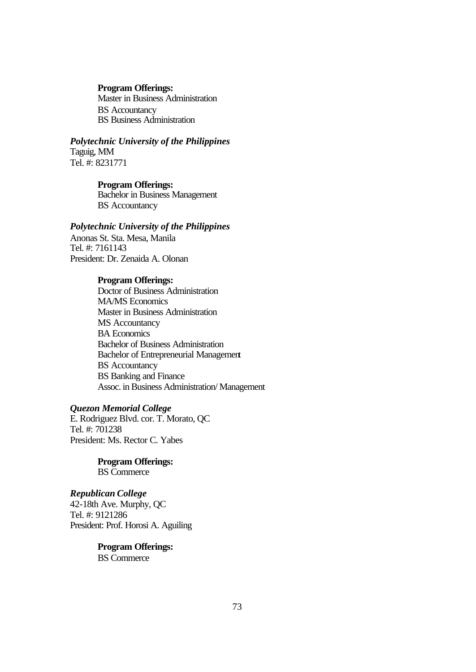Master in Business Administration BS Accountancy BS Business Administration

*Polytechnic University of the Philippines* Taguig, MM Tel. #: 8231771

#### **Program Offerings:**

Bachelor in Business Management BS Accountancy

#### *Polytechnic University of the Philippines*

Anonas St. Sta. Mesa, Manila Tel. #: 7161143 President: Dr. Zenaida A. Olonan

#### **Program Offerings:**

Doctor of Business Administration MA/MS Economics Master in Business Administration MS Accountancy BA Economics Bachelor of Business Administration Bachelor of Entrepreneurial Management BS Accountancy BS Banking and Finance Assoc. in Business Administration/ Management

# *Quezon Memorial College*

E. Rodriguez Blvd. cor. T. Morato, QC Tel. #: 701238 President: Ms. Rector C. Yabes

> **Program Offerings:** BS Commerce

# *Republican College*

42-18th Ave. Murphy, QC Tel. #: 9121286 President: Prof. Horosi A. Aguiling

# **Program Offerings:**

BS Commerce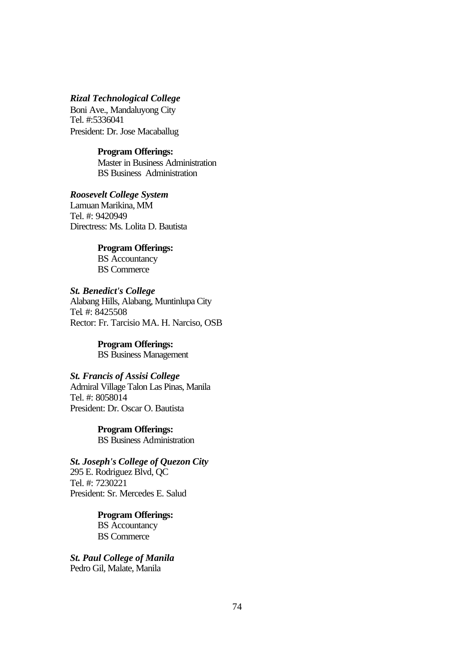# *Rizal Technological College*

Boni Ave., Mandaluyong City Tel. #:5336041 President: Dr. Jose Macaballug

#### **Program Offerings:**

Master in Business Administration BS Business Administration

*Roosevelt College System* Lamuan Marikina, MM Tel. #: 9420949 Directress: Ms. Lolita D. Bautista

> **Program Offerings:** BS Accountancy BS Commerce

*St. Benedict's College* Alabang Hills, Alabang, Muntinlupa City Tel. #: 8425508 Rector: Fr. Tarcisio MA. H. Narciso, OSB

> **Program Offerings:** BS Business Management

#### *St. Francis of Assisi College*

Admiral Village Talon Las Pinas, Manila Tel. #: 8058014 President: Dr. Oscar O. Bautista

> **Program Offerings:** BS Business Administration

*St. Joseph's College of Quezon City* 295 E. Rodriguez Blvd, QC Tel. #: 7230221 President: Sr. Mercedes E. Salud

> **Program Offerings:** BS Accountancy BS Commerce

*St. Paul College of Manila* Pedro Gil, Malate, Manila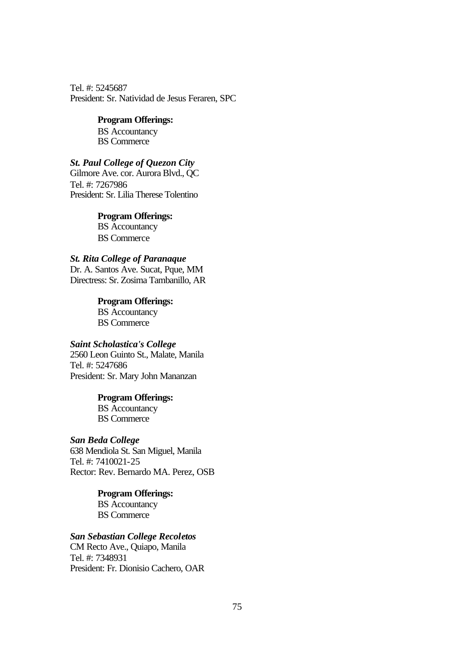Tel. #: 5245687 President: Sr. Natividad de Jesus Feraren, SPC

# **Program Offerings:**

BS Accountancy BS Commerce

# *St. Paul College of Quezon City*

Gilmore Ave. cor. Aurora Blvd., QC Tel. #: 7267986 President: Sr. Lilia Therese Tolentino

# **Program Offerings:**

BS Accountancy BS Commerce

# *St. Rita College of Paranaque*

Dr. A. Santos Ave. Sucat, Pque, MM Directress: Sr. Zosima Tambanillo, AR

> **Program Offerings:** BS Accountancy BS Commerce

# *Saint Scholastica's College*

2560 Leon Guinto St., Malate, Manila Tel. #: 5247686 President: Sr. Mary John Mananzan

#### **Program Offerings:**

BS Accountancy BS Commerce

#### *San Beda College*

638 Mendiola St. San Miguel, Manila Tel. #: 7410021-25 Rector: Rev. Bernardo MA. Perez, OSB

# **Program Offerings:**

BS Accountancy BS Commerce

# *San Sebastian College Recoletos*

CM Recto Ave., Quiapo, Manila Tel. #: 7348931 President: Fr. Dionisio Cachero, OAR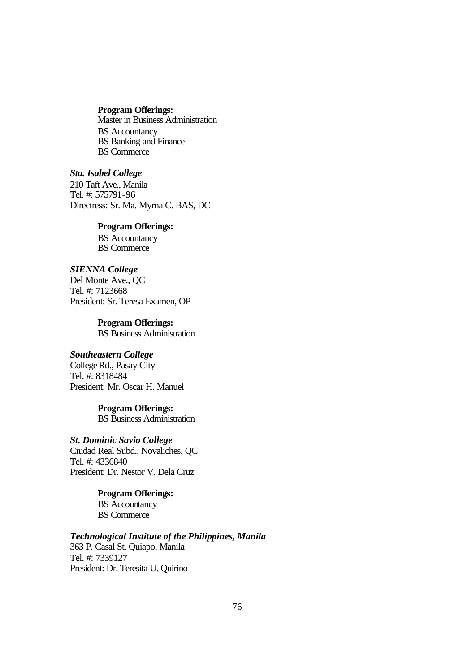Master in Business Administration BS Accountancy BS Banking and Finance BS Commerce

### *Sta. Isabel College*

210 Taft Ave., Manila Tel. #: 575791-96 Directress: Sr. Ma. Myrna C. BAS, DC

#### **Program Offerings:**

BS Accountancy BS Commerce

#### *SIENNA College*

Del Monte Ave., QC Tel. #: 7123668 President: Sr. Teresa Examen, OP

> **Program Offerings:** BS Business Administration

# *Southeastern College*

College Rd., Pasay City Tel. #: 8318484 President: Mr. Oscar H. Manuel

### **Program Offerings:**

BS Business Administration

# *St. Dominic Savio College*

Ciudad Real Subd., Novaliches, QC Tel. #: 4336840 President: Dr. Nestor V. Dela Cruz

> **Program Offerings:** BS Accountancy BS Commerce

# *Technological Institute of the Philippines, Manila*

363 P. Casal St. Quiapo, Manila Tel. #: 7339127 President: Dr. Teresita U. Quirino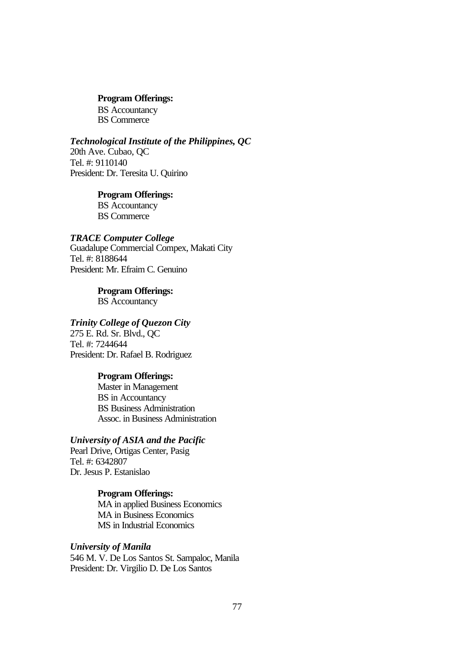BS Accountancy BS Commerce

#### *Technological Institute of the Philippines, QC*

20th Ave. Cubao, QC Tel. #: 9110140 President: Dr. Teresita U. Quirino

#### **Program Offerings:** BS Accountancy

BS Commerce

#### *TRACE Computer College*

Guadalupe Commercial Compex, Makati City Tel. #: 8188644 President: Mr. Efraim C. Genuino

> **Program Offerings:** BS Accountancy

# *Trinity College of Quezon City*

275 E. Rd. Sr. Blvd., QC Tel. #: 7244644 President: Dr. Rafael B. Rodriguez

#### **Program Offerings:**

Master in Management BS in Accountancy BS Business Administration Assoc. in Business Administration

# *University of ASIA and the Pacific*

Pearl Drive, Ortigas Center, Pasig Tel. #: 6342807 Dr. Jesus P. Estanislao

# **Program Offerings:**

MA in applied Business Economics MA in Business Economics MS in Industrial Economics

# *University of Manila*

546 M. V. De Los Santos St. Sampaloc, Manila President: Dr. Virgilio D. De Los Santos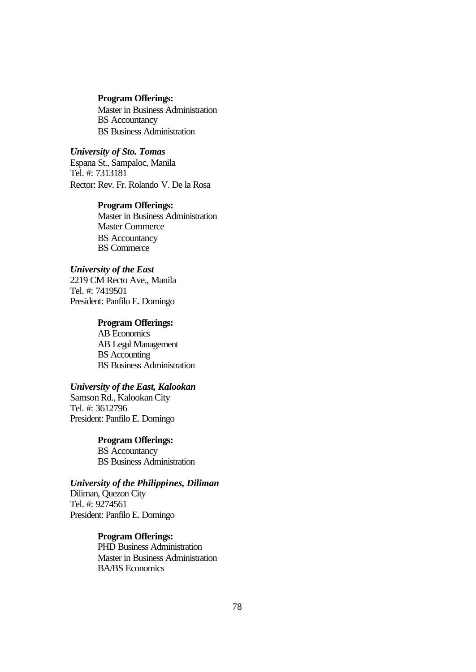Master in Business Administration BS Accountancy BS Business Administration

*University of Sto. Tomas* Espana St., Sampaloc, Manila Tel. #: 7313181 Rector: Rev. Fr. Rolando V. De la Rosa

#### **Program Offerings:**

Master in Business Administration Master Commerce BS Accountancy BS Commerce

# *University of the East*

2219 CM Recto Ave., Manila Tel. #: 7419501 President: Panfilo E. Domingo

# **Program Offerings:**

AB Economics AB Legal Management BS Accounting BS Business Administration

#### *University of the East, Kalookan*

Samson Rd., Kalookan City Tel. #: 3612796 President: Panfilo E. Domingo

#### **Program Offerings:**

BS Accountancy BS Business Administration

# *University of the Philippines, Diliman*

Diliman, Quezon City Tel. #: 9274561 President: Panfilo E. Domingo

# **Program Offerings:**

PHD Business Administration Master in Business Administration BA/BS Economics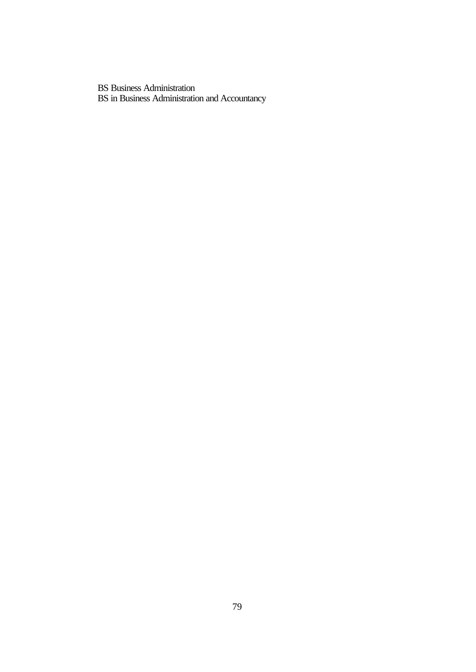BS Business Administration BS in Business Administration and Accountancy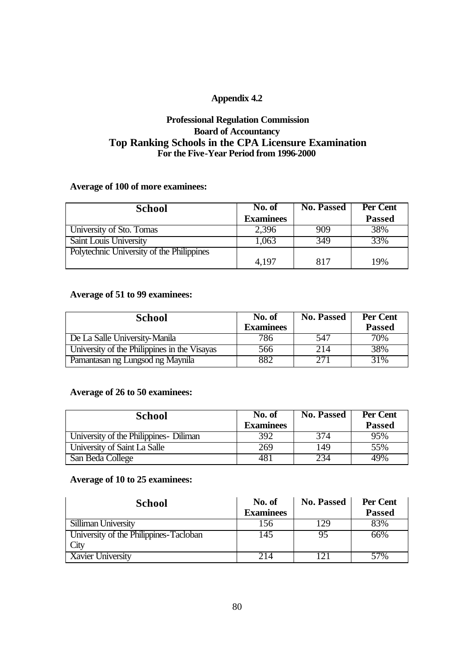# **Appendix 4.2**

# **Professional Regulation Commission Board of Accountancy Top Ranking Schools in the CPA Licensure Examination For the Five-Year Period from 1996-2000**

# **Average of 100 of more examinees:**

| <b>School</b>                             | No. of           | <b>No. Passed</b> | Per Cent      |
|-------------------------------------------|------------------|-------------------|---------------|
|                                           | <b>Examinees</b> |                   | <b>Passed</b> |
| University of Sto. Tomas                  | 2,396            | 909               | 38%           |
| Saint Louis University                    | 1,063            | 349               | 33%           |
| Polytechnic University of the Philippines |                  |                   |               |
|                                           | 4,197            | 817               | 19%           |

# **Average of 51 to 99 examinees:**

| <b>School</b>                                | No. of<br><b>Examinees</b> | <b>No. Passed</b> | Per Cent<br><b>Passed</b> |
|----------------------------------------------|----------------------------|-------------------|---------------------------|
| De La Salle University-Manila                | 786                        | 547               | 70%                       |
| University of the Philippines in the Visayas | 566                        | 214               | $38\%$                    |
| Pamantasan ng Lungsod ng Maynila             | 882                        | 271               | 31%                       |

# **Average of 26 to 50 examinees:**

| <b>School</b>                           | No. of           | <b>No. Passed</b> | Per Cent      |
|-----------------------------------------|------------------|-------------------|---------------|
|                                         | <b>Examinees</b> |                   | <b>Passed</b> |
| University of the Philippines - Diliman | 392              | 374               | 95%           |
| University of Saint La Salle            | 269              | 149               | 55%           |
| San Beda College                        | 481              | 234               | 49%           |

# **Average of 10 to 25 examinees:**

| <b>School</b>                          | No. of<br><b>Examinees</b> | <b>No. Passed</b> | Per Cent<br><b>Passed</b> |
|----------------------------------------|----------------------------|-------------------|---------------------------|
| Silliman University                    | 156                        | 129               | 83%                       |
| University of the Philippines-Tacloban | 145                        | 95                | 66%                       |
| City                                   |                            |                   |                           |
| Xavier University                      | 214                        | $\mathcal{D}$     | 57%                       |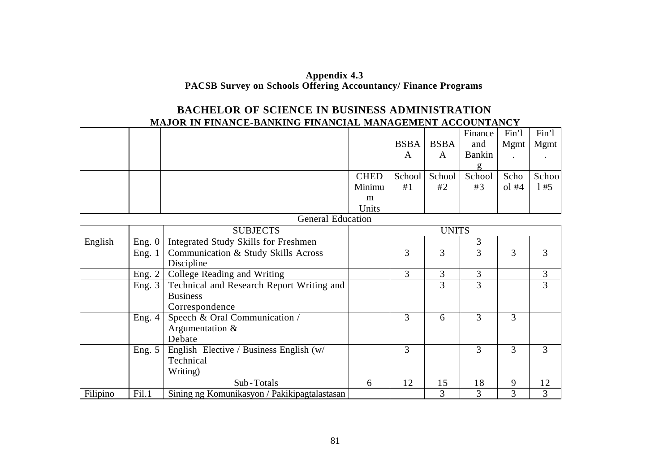# **Appendix 4.3 PACSB Survey on Schools Offering Accountancy/ Finance Programs**

# **BACHELOR OF SCIENCE IN BUSINESS ADMINISTRATION MAJOR IN FINANCE-BANKING FINANCIAL MANAGEMENT ACCOUNTANCY**

|  |                          |             | <b>BSBA</b> | <b>BSBA</b>          | Finance<br>and | Fin'l<br><b>Mgmt</b> | Fin'l<br><b>Mgmt</b> |
|--|--------------------------|-------------|-------------|----------------------|----------------|----------------------|----------------------|
|  |                          |             | A           | A                    | <b>Bankin</b>  | $\blacksquare$       |                      |
|  |                          | <b>CHED</b> |             | School School School |                | Scho                 | Schoo                |
|  |                          | Minimu      | #1          | #2                   | #3             | $ol$ #4              | #5                   |
|  |                          | m           |             |                      |                |                      |                      |
|  |                          | Units       |             |                      |                |                      |                      |
|  | <b>General Education</b> |             |             |                      |                |                      |                      |
|  | <b>SURIECTS</b>          |             |             | <b>IINITS</b>        |                |                      |                      |

|          |          | <b>SUBJECTS</b>                              |   |    | <b>UNITS</b> |    |   |    |
|----------|----------|----------------------------------------------|---|----|--------------|----|---|----|
| English  | Eng. 0   | Integrated Study Skills for Freshmen         |   |    |              |    |   |    |
|          | Eng. 1   | Communication & Study Skills Across          |   | 3  | 3            | 3  | 3 |    |
|          |          | Discipline                                   |   |    |              |    |   |    |
|          | Eng. $2$ | College Reading and Writing                  |   | 3  | 3            | 3  |   |    |
|          | Eng. $3$ | Technical and Research Report Writing and    |   |    | 3            | 3  |   | 3  |
|          |          | <b>Business</b>                              |   |    |              |    |   |    |
|          |          | Correspondence                               |   |    |              |    |   |    |
|          | Eng. $4$ | Speech & Oral Communication /                |   | 3  | 6            | 3  | 3 |    |
|          |          | Argumentation $\&$                           |   |    |              |    |   |    |
|          |          | Debate                                       |   |    |              |    |   |    |
|          | Eng. $5$ | English Elective / Business English (w/      |   | 3  |              |    | 3 |    |
|          |          | Technical                                    |   |    |              |    |   |    |
|          |          | Writing)                                     |   |    |              |    |   |    |
|          |          | Sub-Totals                                   | 6 | 12 | 15           | 18 | 9 | 12 |
| Filipino | Fi1.1    | Sining ng Komunikasyon / Pakikipagtalastasan |   |    | 3            | 3  | 3 |    |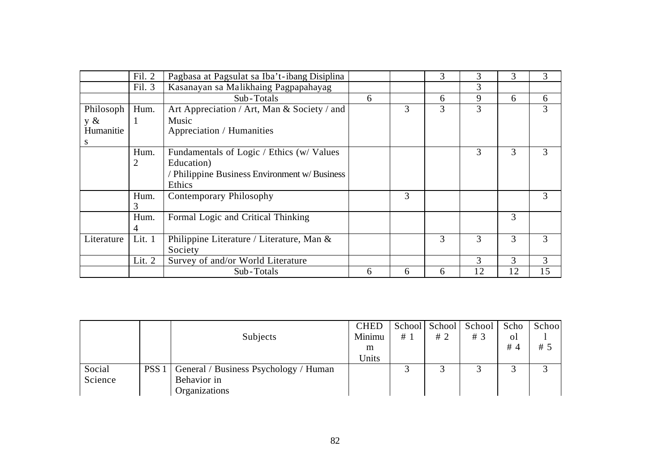|            | Fil. 2 | Pagbasa at Pagsulat sa Iba't-ibang Disiplina  |   |   | 3 | 3  | 3  | 3  |
|------------|--------|-----------------------------------------------|---|---|---|----|----|----|
|            | Fil. 3 | Kasanayan sa Malikhaing Pagpapahayag          |   |   |   | 3  |    |    |
|            |        | Sub-Totals                                    | 6 |   | 6 | 9  | 6  | 6  |
| Philosoph  | Hum.   | Art Appreciation / Art, Man & Society / and   |   | 3 | 3 | 3  |    | 3  |
| y &        |        | Music                                         |   |   |   |    |    |    |
| Humanitie  |        | Appreciation / Humanities                     |   |   |   |    |    |    |
| S          |        |                                               |   |   |   |    |    |    |
|            | Hum.   | Fundamentals of Logic / Ethics (w/ Values     |   |   |   | 3  | 3  | 3  |
|            | 2      | Education)                                    |   |   |   |    |    |    |
|            |        | / Philippine Business Environment w/ Business |   |   |   |    |    |    |
|            |        | Ethics                                        |   |   |   |    |    |    |
|            | Hum.   | Contemporary Philosophy                       |   | 3 |   |    |    | 3  |
|            | 3      |                                               |   |   |   |    |    |    |
|            | Hum.   | Formal Logic and Critical Thinking            |   |   |   |    | 3  |    |
|            | 4      |                                               |   |   |   |    |    |    |
| Literature | Lit. 1 | Philippine Literature / Literature, Man &     |   |   | 3 | 3  | 3  | 3  |
|            |        | Society                                       |   |   |   |    |    |    |
|            | Lit. 2 | Survey of and/or World Literature             |   |   |   | 3  | 3  | 3  |
|            |        | Sub-Totals                                    | 6 | 6 | 6 | 12 | 12 | 15 |

|         |                  |                                       | <b>CHED</b> |    |    | School School School Scho |     | School |
|---------|------------------|---------------------------------------|-------------|----|----|---------------------------|-----|--------|
|         |                  | Subjects                              | Minimu      | #1 | #2 | # $3$                     | οl  |        |
|         |                  |                                       | m           |    |    |                           | # 4 | #5     |
|         |                  |                                       | Units       |    |    |                           |     |        |
| Social  | PSS <sub>1</sub> | General / Business Psychology / Human |             |    |    | ⌒                         |     |        |
| Science |                  | Behavior in                           |             |    |    |                           |     |        |
|         |                  | Organizations                         |             |    |    |                           |     |        |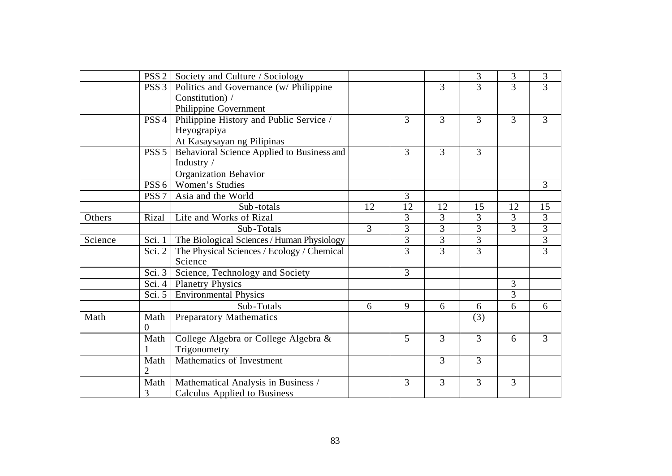|         | PSS <sub>2</sub> | Society and Culture / Sociology            |                |                |                | 3              | 3              | 3              |
|---------|------------------|--------------------------------------------|----------------|----------------|----------------|----------------|----------------|----------------|
|         | PSS <sub>3</sub> | Politics and Governance (w/ Philippine     |                |                | 3              | $\overline{3}$ | $\overline{3}$ | $\overline{3}$ |
|         |                  | Constitution) /                            |                |                |                |                |                |                |
|         |                  | Philippine Government                      |                |                |                |                |                |                |
|         | PSS <sub>4</sub> | Philippine History and Public Service /    |                | $\overline{3}$ | 3              | $\overline{3}$ | 3              | 3              |
|         |                  | Heyograpiya                                |                |                |                |                |                |                |
|         |                  | At Kasaysayan ng Pilipinas                 |                |                |                |                |                |                |
|         | PSS <sub>5</sub> | Behavioral Science Applied to Business and |                | $\overline{3}$ | $\overline{3}$ | $\overline{3}$ |                |                |
|         |                  | Industry /                                 |                |                |                |                |                |                |
|         |                  | <b>Organization Behavior</b>               |                |                |                |                |                |                |
|         | PSS <sub>6</sub> | Women's Studies                            |                |                |                |                |                | 3              |
|         | PSS <sub>7</sub> | Asia and the World                         |                | $\overline{3}$ |                |                |                |                |
|         |                  | Sub-totals                                 | 12             | 12             | 12             | 15             | 12             | 15             |
| Others  | Rizal            | Life and Works of Rizal                    |                | 3              | 3              | $\overline{3}$ | 3              | $\overline{3}$ |
|         |                  | Sub-Totals                                 | $\overline{3}$ | 3              | 3              | 3              | 3              | $\overline{3}$ |
| Science | Sci. 1           | The Biological Sciences / Human Physiology |                | 3              | $\overline{3}$ | 3              |                | $\overline{3}$ |
|         | Sci. 2           | The Physical Sciences / Ecology / Chemical |                | $\overline{3}$ | $\overline{3}$ | $\overline{3}$ |                | $\overline{3}$ |
|         |                  | Science                                    |                |                |                |                |                |                |
|         | Sci. 3           | Science, Technology and Society            |                | $\overline{3}$ |                |                |                |                |
|         | Sci. $4$         | <b>Planetry Physics</b>                    |                |                |                |                | $\overline{3}$ |                |
|         | Sci. $5$         | <b>Environmental Physics</b>               |                |                |                |                | 3              |                |
|         |                  | Sub-Totals                                 | 6              | 9              | 6              | 6              | 6              | 6              |
| Math    | Math             | <b>Preparatory Mathematics</b>             |                |                |                | (3)            |                |                |
|         | $\Omega$         |                                            |                |                |                |                |                |                |
|         | Math             | College Algebra or College Algebra &       |                | 5              | $\overline{3}$ | $\overline{3}$ | 6              | $\overline{3}$ |
|         |                  | Trigonometry                               |                |                |                |                |                |                |
|         | Math             | Mathematics of Investment                  |                |                | 3              | $\overline{3}$ |                |                |
|         | 2                |                                            |                |                |                |                |                |                |
|         | Math             | Mathematical Analysis in Business /        |                | 3              | 3              | $\overline{3}$ | 3              |                |
|         | 3                | <b>Calculus Applied to Business</b>        |                |                |                |                |                |                |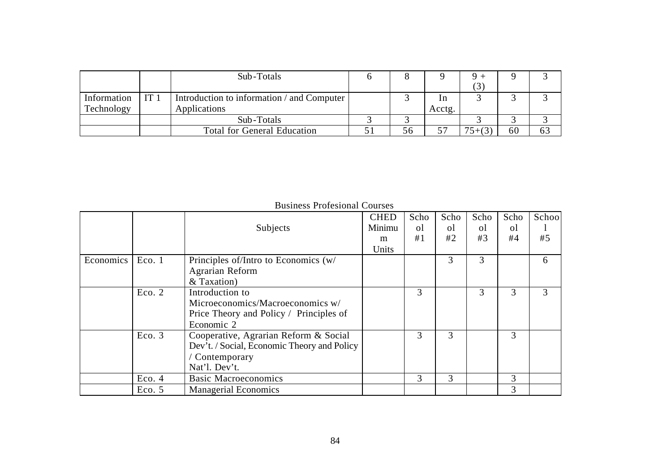|             |                 | Sub-Totals                                 |    |        |           |    |    |
|-------------|-----------------|--------------------------------------------|----|--------|-----------|----|----|
|             |                 |                                            |    |        |           |    |    |
| Information | IT <sub>1</sub> | Introduction to information / and Computer |    | In     |           |    |    |
| Technology  |                 | Applications                               |    | Acctg. |           |    |    |
|             |                 | Sub-Totals                                 |    |        |           |    |    |
|             |                 | <b>Total for General Education</b>         | ჂႩ | 57     | $75+ (3)$ | 60 | 63 |

|           |        | Subjects                                                                                                              | <b>CHED</b><br>Minimu<br>m | Scho<br><sub>o</sub> l<br>#1 | Scho<br>$\Omega$<br>#2 | Scho<br>οl<br>#3 | Scho<br>$\Omega$<br>#4 | Schoo<br>#5 |
|-----------|--------|-----------------------------------------------------------------------------------------------------------------------|----------------------------|------------------------------|------------------------|------------------|------------------------|-------------|
| Economics | Eco. 1 | Principles of/Intro to Economics (w/                                                                                  | Units                      |                              | 3                      | 3                |                        | 6           |
|           |        | Agrarian Reform<br>& Taxation)                                                                                        |                            |                              |                        |                  |                        |             |
|           | Eco. 2 | Introduction to<br>Microeconomics/Macroeconomics w/<br>Price Theory and Policy / Principles of<br>Economic 2          |                            | 3                            |                        | 3                | 3                      | 3           |
|           | Eco. 3 | Cooperative, Agrarian Reform & Social<br>Dev't. / Social, Economic Theory and Policy<br>Contemporary<br>Nat'l. Dev't. |                            | 3                            | 3                      |                  | 3                      |             |
|           | Eco. 4 | <b>Basic Macroeconomics</b>                                                                                           |                            | 3                            | 3                      |                  | 3                      |             |
|           | Eco. 5 | <b>Managerial Economics</b>                                                                                           |                            |                              |                        |                  | 3                      |             |

Business Profesional Courses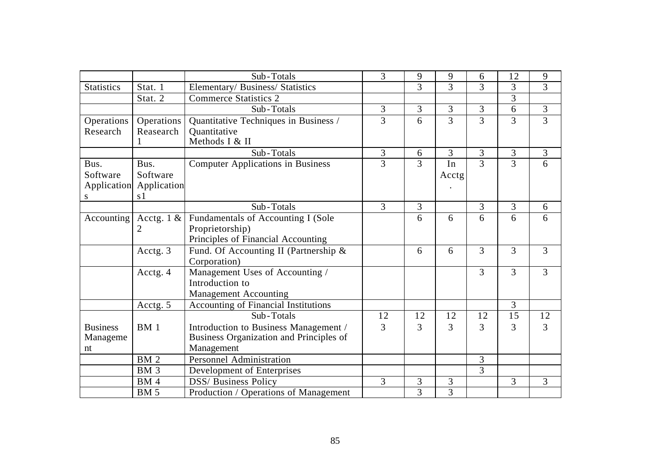|                   |                 | Sub-Totals                               | 3              | 9              | 9              | 6              | 12             | 9              |
|-------------------|-----------------|------------------------------------------|----------------|----------------|----------------|----------------|----------------|----------------|
| <b>Statistics</b> | Stat. 1         | Elementary/ Business/ Statistics         |                | $\overline{3}$ | $\overline{3}$ | $\overline{3}$ | $\overline{3}$ | $\overline{3}$ |
|                   | Stat. 2         | <b>Commerce Statistics 2</b>             |                |                |                |                | 3              |                |
|                   |                 | Sub-Totals                               | 3              | $\overline{3}$ | 3              | 3              | 6              | 3              |
| Operations        | Operations      | Quantitative Techniques in Business /    | 3              | 6              | 3              | $\overline{3}$ | 3              | $\overline{3}$ |
| Research          | Reasearch       | Ouantitative                             |                |                |                |                |                |                |
|                   |                 | Methods I & II                           |                |                |                |                |                |                |
|                   |                 | Sub-Totals                               | 3              | 6              | 3              | 3              | $\mathfrak{Z}$ | $\mathfrak{Z}$ |
| Bus.              | Bus.            | <b>Computer Applications in Business</b> | $\overline{3}$ | $\overline{3}$ | In             | $\overline{3}$ | 3              | 6              |
| Software          | Software        |                                          |                |                | Acctg          |                |                |                |
| Application       | Application     |                                          |                |                |                |                |                |                |
| S                 | s <sub>1</sub>  |                                          |                |                |                |                |                |                |
|                   |                 | Sub-Totals                               | 3              | $\overline{3}$ |                | 3              | 3              | 6              |
| Accounting        | Acctg. $1 \&$   | Fundamentals of Accounting I (Sole       |                | 6              | 6              | 6              | 6              | 6              |
|                   | 2               | Proprietorship)                          |                |                |                |                |                |                |
|                   |                 | Principles of Financial Accounting       |                |                |                |                |                |                |
|                   | Acctg. 3        | Fund. Of Accounting II (Partnership &    |                | 6              | 6              | $\overline{3}$ | $\overline{3}$ | 3              |
|                   |                 | Corporation)                             |                |                |                |                |                |                |
|                   | Acctg. 4        | Management Uses of Accounting /          |                |                |                | $\overline{3}$ | $\overline{3}$ | 3              |
|                   |                 | Introduction to                          |                |                |                |                |                |                |
|                   |                 | <b>Management Accounting</b>             |                |                |                |                |                |                |
|                   | Acctg. 5        | Accounting of Financial Institutions     |                |                |                |                | 3              |                |
|                   |                 | Sub-Totals                               | 12             | 12             | 12             | 12             | 15             | 12             |
| <b>Business</b>   | <b>BM</b> 1     | Introduction to Business Management /    | 3              | 3              | 3              | $\overline{3}$ | 3              | 3              |
| Manageme          |                 | Business Organization and Principles of  |                |                |                |                |                |                |
| nt                |                 | Management                               |                |                |                |                |                |                |
|                   | <b>BM2</b>      | <b>Personnel Administration</b>          |                |                |                | 3              |                |                |
|                   | BM <sub>3</sub> | Development of Enterprises               |                |                |                | 3              |                |                |
|                   | <b>BM4</b>      | <b>DSS/</b> Business Policy              | 3              | 3              | 3              |                | 3              | 3              |
|                   | <b>BM5</b>      | Production / Operations of Management    |                | 3              | 3              |                |                |                |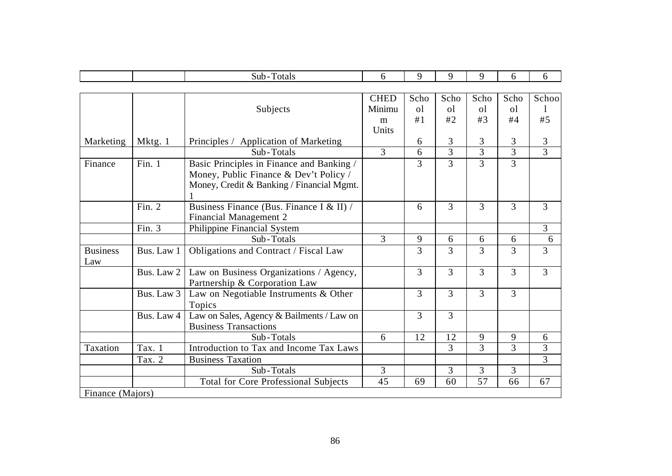|                  |            | Sub-Totals                                  | 6              | 9              | 9              | 9              | 6              | 6              |
|------------------|------------|---------------------------------------------|----------------|----------------|----------------|----------------|----------------|----------------|
|                  |            |                                             |                |                |                |                |                |                |
|                  |            |                                             | <b>CHED</b>    | Scho           | Scho           | Scho           | Scho           | Schoo          |
|                  |            | Subjects                                    | Minimu         | <sub>o</sub> l | <sub>o</sub> l | <sub>o</sub> l | <sub>o</sub> l |                |
|                  |            |                                             | m              | #1             | #2             | #3             | #4             | #5             |
|                  |            |                                             | Units          |                |                |                |                |                |
| Marketing        | Mktg. 1    | Principles / Application of Marketing       |                | 6              | 3              | 3              | 3              | 3              |
|                  |            | Sub-Totals                                  | $\overline{3}$ | 6              | 3              | 3              | $\overline{3}$ | 3              |
| Finance          | Fin. $1$   | Basic Principles in Finance and Banking /   |                | 3              | 3              | 3              | $\overline{3}$ |                |
|                  |            | Money, Public Finance & Dev't Policy /      |                |                |                |                |                |                |
|                  |            | Money, Credit & Banking / Financial Mgmt.   |                |                |                |                |                |                |
|                  |            |                                             |                |                |                |                |                |                |
|                  | Fin. $2$   | Business Finance (Bus. Finance I & II) /    |                | 6              | $\overline{3}$ | 3              | $\overline{3}$ | 3              |
|                  |            | Financial Management 2                      |                |                |                |                |                |                |
|                  | Fin. 3     | Philippine Financial System                 |                |                |                |                |                | 3              |
|                  |            | Sub-Totals                                  | 3              | 9              | 6              | 6              | 6              | 6              |
| <b>Business</b>  | Bus. Law 1 | Obligations and Contract / Fiscal Law       |                | 3              | $\overline{3}$ | 3              | 3              | 3              |
| Law              |            |                                             |                |                |                |                |                |                |
|                  | Bus. Law 2 | Law on Business Organizations / Agency,     |                | 3              | 3              | 3              | 3              | $\overline{3}$ |
|                  |            | Partnership & Corporation Law               |                |                |                |                |                |                |
|                  | Bus. Law 3 | Law on Negotiable Instruments & Other       |                | 3              | 3              | 3              | $\overline{3}$ |                |
|                  |            | Topics                                      |                |                |                |                |                |                |
|                  | Bus. Law 4 | Law on Sales, Agency & Bailments / Law on   |                | 3              | $\overline{3}$ |                |                |                |
|                  |            | <b>Business Transactions</b>                |                |                |                |                |                |                |
|                  |            | Sub-Totals                                  | 6              | 12             | 12             | 9              | 9              | 6              |
| Taxation         | Tax. 1     | Introduction to Tax and Income Tax Laws     |                |                | 3              | 3              | 3              | 3              |
|                  | Tax. 2     | <b>Business Taxation</b>                    |                |                |                |                |                | 3              |
|                  |            | Sub-Totals                                  | 3              |                | 3              | 3              | $\overline{3}$ |                |
|                  |            | <b>Total for Core Professional Subjects</b> | 45             | 69             | 60             | 57             | 66             | 67             |
| Finance (Majors) |            |                                             |                |                |                |                |                |                |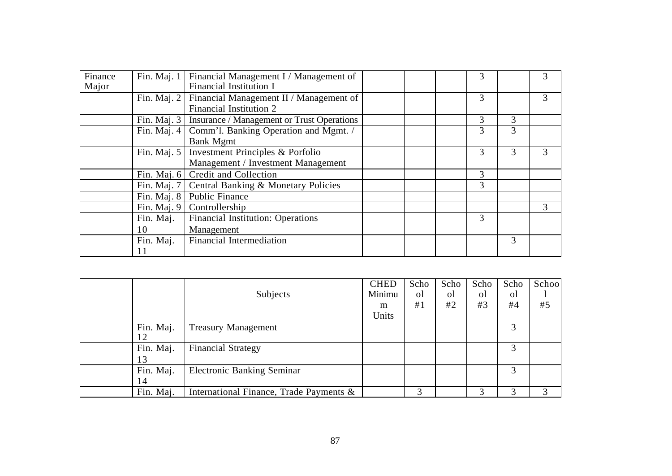| Finance<br>Major | Fin. Maj. 1   | Financial Management I / Management of<br><b>Financial Institution I</b> |  | 3 |   |   |
|------------------|---------------|--------------------------------------------------------------------------|--|---|---|---|
|                  | Fin. Maj. 2   | Financial Management II / Management of<br>Financial Institution 2       |  | 3 |   | 3 |
|                  |               | Fin. Maj. 3   Insurance / Management or Trust Operations                 |  | 3 | 3 |   |
|                  | Fin. Maj. $4$ | Comm'l. Banking Operation and Mgmt. /<br><b>Bank Mgmt</b>                |  | 3 | 3 |   |
|                  | Fin. Maj. $5$ | Investment Principles & Porfolio<br>Management / Investment Management   |  | 3 | 3 | 3 |
|                  |               | Fin. Maj. 6   Credit and Collection                                      |  | 3 |   |   |
|                  |               | Fin. Maj. 7   Central Banking & Monetary Policies                        |  | 3 |   |   |
|                  |               | Fin. Maj. 8   Public Finance                                             |  |   |   |   |
|                  |               | Fin. Maj. $9$ Controllership                                             |  |   |   | 3 |
|                  | Fin. Maj.     | <b>Financial Institution: Operations</b>                                 |  | 3 |   |   |
|                  | 10            | Management                                                               |  |   |   |   |
|                  | Fin. Maj.     | Financial Intermediation                                                 |  |   | 3 |   |

|           |                                         | <b>CHED</b> | Scho | Scho           | Scho | Scho | Schoo |
|-----------|-----------------------------------------|-------------|------|----------------|------|------|-------|
|           | Subjects                                | Minimu      | οl   | <sub>o</sub> l | οl   | οl   |       |
|           |                                         | m           | #1   | #2             | #3   | #4   | #5    |
|           |                                         | Units       |      |                |      |      |       |
| Fin. Maj. | <b>Treasury Management</b>              |             |      |                |      | 3    |       |
| 12        |                                         |             |      |                |      |      |       |
| Fin. Maj. | <b>Financial Strategy</b>               |             |      |                |      |      |       |
| 13        |                                         |             |      |                |      |      |       |
| Fin. Maj. | <b>Electronic Banking Seminar</b>       |             |      |                |      | 3    |       |
| 14        |                                         |             |      |                |      |      |       |
| Fin. Maj. | International Finance, Trade Payments & |             |      |                | 3    |      |       |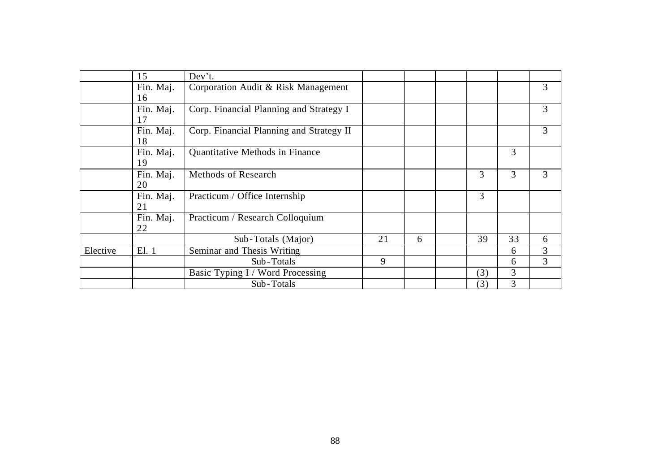|          | 15        | Dev't.                                   |    |   |     |    |   |
|----------|-----------|------------------------------------------|----|---|-----|----|---|
|          | Fin. Maj. | Corporation Audit & Risk Management      |    |   |     |    | 3 |
|          | 16        |                                          |    |   |     |    |   |
|          | Fin. Maj. | Corp. Financial Planning and Strategy I  |    |   |     |    | 3 |
|          | 17        |                                          |    |   |     |    |   |
|          | Fin. Maj. | Corp. Financial Planning and Strategy II |    |   |     |    | 3 |
|          | 18        |                                          |    |   |     |    |   |
|          | Fin. Maj. | Quantitative Methods in Finance          |    |   |     | 3  |   |
|          | 19        |                                          |    |   |     |    |   |
|          | Fin. Maj. | <b>Methods of Research</b>               |    |   | 3   | 3  | 3 |
|          | 20        |                                          |    |   |     |    |   |
|          | Fin. Maj. | Practicum / Office Internship            |    |   | 3   |    |   |
|          | 21        |                                          |    |   |     |    |   |
|          | Fin. Maj. | Practicum / Research Colloquium          |    |   |     |    |   |
|          | 22        |                                          |    |   |     |    |   |
|          |           | Sub-Totals (Major)                       | 21 | 6 | 39  | 33 | 6 |
| Elective | El. 1     | Seminar and Thesis Writing               |    |   |     | 6  | 3 |
|          |           | Sub-Totals                               | 9  |   |     | 6  | 3 |
|          |           | Basic Typing I / Word Processing         |    |   | (3) | 3  |   |
|          |           | Sub-Totals                               |    |   | (3) | 3  |   |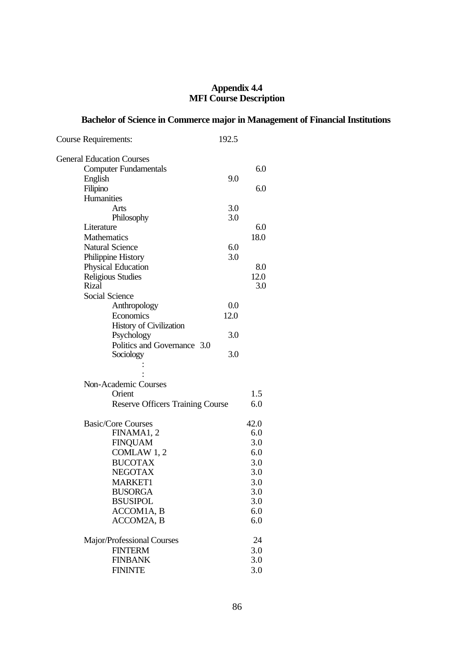#### **Appendix 4.4 MFI Course Description**

# **Bachelor of Science in Commerce major in Management of Financial Institutions**

| 192.5 |                                                                             |
|-------|-----------------------------------------------------------------------------|
|       |                                                                             |
|       | 6.0                                                                         |
| 9.0   |                                                                             |
|       | 6.0                                                                         |
|       |                                                                             |
| 3.0   |                                                                             |
| 3.0   |                                                                             |
|       | 6.0                                                                         |
|       | 18.0                                                                        |
|       |                                                                             |
|       |                                                                             |
|       | 8.0                                                                         |
|       | 12.0<br>3.0                                                                 |
|       |                                                                             |
|       |                                                                             |
|       |                                                                             |
|       |                                                                             |
|       |                                                                             |
|       |                                                                             |
| 3.0   |                                                                             |
|       |                                                                             |
|       |                                                                             |
|       |                                                                             |
|       | 1.5                                                                         |
|       | 6.0                                                                         |
|       | 42.0                                                                        |
|       | 6.0                                                                         |
|       | 3.0                                                                         |
|       | 6.0                                                                         |
|       | 3.0                                                                         |
|       | 3.0                                                                         |
|       | 3.0                                                                         |
|       | 3.0                                                                         |
|       | 3.0                                                                         |
|       | 6.0                                                                         |
|       | 6.0                                                                         |
|       | 24                                                                          |
|       | 3.0                                                                         |
|       | 3.0                                                                         |
|       | 3.0                                                                         |
|       | 6.0<br>3.0<br>0.0<br>12.0<br>3.0<br><b>Reserve Officers Training Course</b> |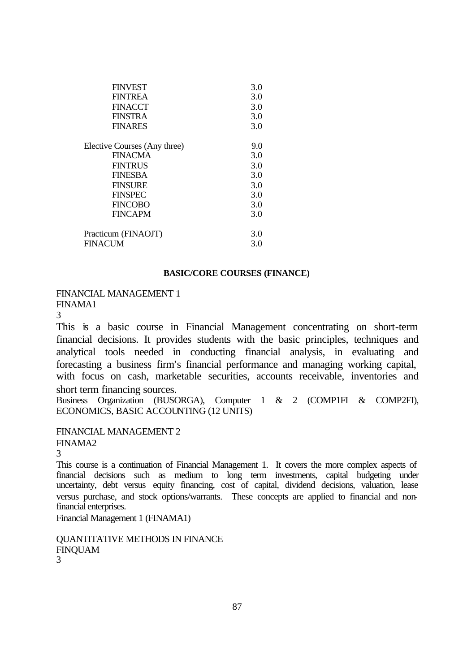| <b>FINVEST</b>               | 3.0 |
|------------------------------|-----|
| <b>FINTREA</b>               | 3.0 |
| <b>FINACCT</b>               | 3.0 |
| <b>FINSTRA</b>               | 3.0 |
| <b>FINARES</b>               | 3.0 |
| Elective Courses (Any three) | 9.0 |
| <b>FINACMA</b>               | 3.0 |
| <b>FINTRUS</b>               | 3.0 |
| <b>FINESBA</b>               | 3.0 |
| <b>FINSURE</b>               | 3.0 |
| <b>FINSPEC</b>               | 3.0 |
| <b>FINCOBO</b>               | 3.0 |
| <b>FINCAPM</b>               | 3.0 |
| Practicum (FINAOJT)          | 3.0 |
| <b>FINACUM</b>               | 3.0 |

#### **BASIC/CORE COURSES (FINANCE)**

FINANCIAL MANAGEMENT 1

FINAMA1

3

This is a basic course in Financial Management concentrating on short-term financial decisions. It provides students with the basic principles, techniques and analytical tools needed in conducting financial analysis, in evaluating and forecasting a business firm's financial performance and managing working capital, with focus on cash, marketable securities, accounts receivable, inventories and short term financing sources.

Business Organization (BUSORGA), Computer 1 & 2 (COMP1FI & COMP2FI), ECONOMICS, BASIC ACCOUNTING (12 UNITS)

FINANCIAL MANAGEMENT 2 FINAMA2

3

This course is a continuation of Financial Management 1. It covers the more complex aspects of financial decisions such as medium to long term investments, capital budgeting under uncertainty, debt versus equity financing, cost of capital, dividend decisions, valuation, lease versus purchase, and stock options/warrants. These concepts are applied to financial and nonfinancial enterprises.

Financial Management 1 (FINAMA1)

QUANTITATIVE METHODS IN FINANCE FINQUAM 3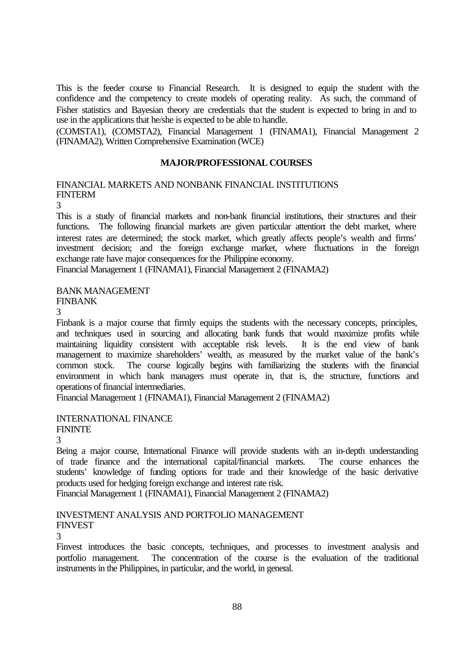This is the feeder course to Financial Research. It is designed to equip the student with the confidence and the competency to create models of operating reality. As such, the command of Fisher statistics and Bayesian theory are credentials that the student is expected to bring in and to use in the applications that he/she is expected to be able to handle.

(COMSTA1), (COMSTA2), Financial Management 1 (FINAMA1), Financial Management 2 (FINAMA2), Written Comprehensive Examination (WCE)

# **MAJOR/PROFESSIONAL COURSES**

#### FINANCIAL MARKETS AND NONBANK FINANCIAL INSTITUTIONS FINTERM

3

This is a study of financial markets and non-bank financial institutions, their structures and their functions. The following financial markets are given particular attention the debt market, where interest rates are determined; the stock market, which greatly affects people's wealth and firms' investment decision; and the foreign exchange market, where fluctuations in the foreign exchange rate have major consequences for the Philippine economy.

Financial Management 1 (FINAMA1), Financial Management 2 (FINAMA2)

#### BANK MANAGEMENT FINBANK

3

Finbank is a major course that firmly equips the students with the necessary concepts, principles, and techniques used in sourcing and allocating bank funds that would maximize profits while maintaining liquidity consistent with acceptable risk levels. It is the end view of bank management to maximize shareholders' wealth, as measured by the market value of the bank's common stock. The course logically begins with familiarizing the students with the financial environment in which bank managers must operate in, that is, the structure, functions and operations of financial intermediaries.

Financial Management 1 (FINAMA1), Financial Management 2 (FINAMA2)

# INTERNATIONAL FINANCE

**FININTE** 

3

Being a major course, International Finance will provide students with an in-depth understanding of trade finance and the international capital/financial markets. The course enhances the students' knowledge of funding options for trade and their knowledge of the basic derivative products used for hedging foreign exchange and interest rate risk.

Financial Management 1 (FINAMA1), Financial Management 2 (FINAMA2)

# INVESTMENT ANALYSIS AND PORTFOLIO MANAGEMENT FINVEST

3

Finvest introduces the basic concepts, techniques, and processes to investment analysis and portfolio management. The concentration of the course is the evaluation of the traditional instruments in the Philippines, in particular, and the world, in general.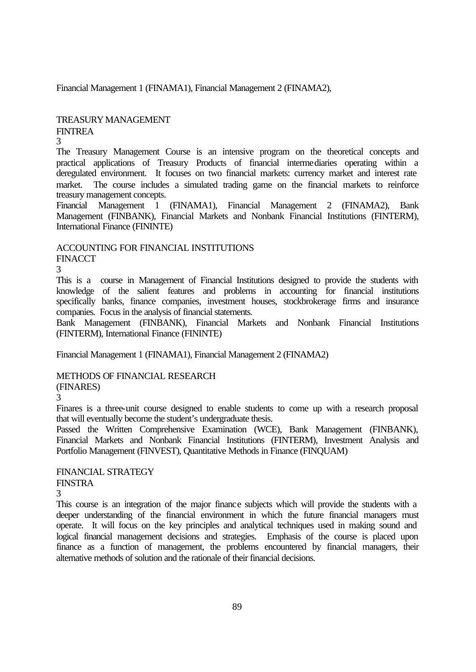Financial Management 1 (FINAMA1), Financial Management 2 (FINAMA2),

# TREASURY MANAGEMENT

# FINTREA

3

The Treasury Management Course is an intensive program on the theoretical concepts and practical applications of Treasury Products of financial intermediaries operating within a deregulated environment. It focuses on two financial markets: currency market and interest rate market. The course includes a simulated trading game on the financial markets to reinforce treasury management concepts.

Financial Management 1 (FINAMA1), Financial Management 2 (FINAMA2), Bank Management (FINBANK), Financial Markets and Nonbank Financial Institutions (FINTERM), International Finance (FININTE)

ACCOUNTING FOR FINANCIAL INSTITUTIONS

**FINACCT** 

3

This is a course in Management of Financial Institutions designed to provide the students with knowledge of the salient features and problems in accounting for financial institutions specifically banks, finance companies, investment houses, stockbrokerage firms and insurance companies. Focus in the analysis of financial statements.

Bank Management (FINBANK), Financial Markets and Nonbank Financial Institutions (FINTERM), International Finance (FININTE)

Financial Management 1 (FINAMA1), Financial Management 2 (FINAMA2)

# METHODS OF FINANCIAL RESEARCH

# (FINARES)

3

Finares is a three-unit course designed to enable students to come up with a research proposal that will eventually become the student's undergraduate thesis.

Passed the Written Comprehensive Examination (WCE), Bank Management (FINBANK), Financial Markets and Nonbank Financial Institutions (FINTERM), Investment Analysis and Portfolio Management (FINVEST), Quantitative Methods in Finance (FINQUAM)

# FINANCIAL STRATEGY

**FINSTRA** 

3

This course is an integration of the major finance subjects which will provide the students with a deeper understanding of the financial environment in which the future financial managers must operate. It will focus on the key principles and analytical techniques used in making sound and logical financial management decisions and strategies. Emphasis of the course is placed upon finance as a function of management, the problems encountered by financial managers, their alternative methods of solution and the rationale of their financial decisions.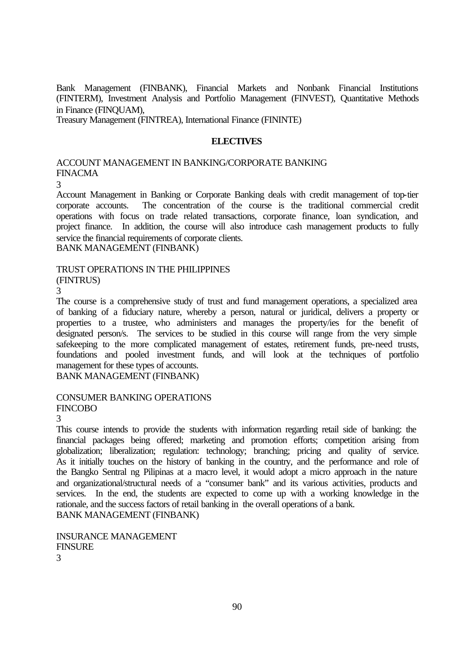Bank Management (FINBANK), Financial Markets and Nonbank Financial Institutions (FINTERM), Investment Analysis and Portfolio Management (FINVEST), Quantitative Methods in Finance (FINQUAM),

Treasury Management (FINTREA), International Finance (FININTE)

#### **ELECTIVES**

# ACCOUNT MANAGEMENT IN BANKING/CORPORATE BANKING FINACMA

3

Account Management in Banking or Corporate Banking deals with credit management of top-tier corporate accounts. The concentration of the course is the traditional commercial credit operations with focus on trade related transactions, corporate finance, loan syndication, and project finance. In addition, the course will also introduce cash management products to fully service the financial requirements of corporate clients. BANK MANAGEMENT (FINBANK)

#### TRUST OPERATIONS IN THE PHILIPPINES (FINTRUS)

3

The course is a comprehensive study of trust and fund management operations, a specialized area of banking of a fiduciary nature, whereby a person, natural or juridical, delivers a property or properties to a trustee, who administers and manages the property/ies for the benefit of designated person/s. The services to be studied in this course will range from the very simple safekeeping to the more complicated management of estates, retirement funds, pre-need trusts, foundations and pooled investment funds, and will look at the techniques of portfolio management for these types of accounts.

BANK MANAGEMENT (FINBANK)

#### CONSUMER BANKING OPERATIONS FINCOBO

3

This course intends to provide the students with information regarding retail side of banking: the financial packages being offered; marketing and promotion efforts; competition arising from globalization; liberalization; regulation: technology; branching; pricing and quality of service. As it initially touches on the history of banking in the country, and the performance and role of the Bangko Sentral ng Pilipinas at a macro level, it would adopt a micro approach in the nature and organizational/structural needs of a "consumer bank" and its various activities, products and services. In the end, the students are expected to come up with a working knowledge in the rationale, and the success factors of retail banking in the overall operations of a bank. BANK MANAGEMENT (FINBANK)

INSURANCE MANAGEMENT FINSURE

3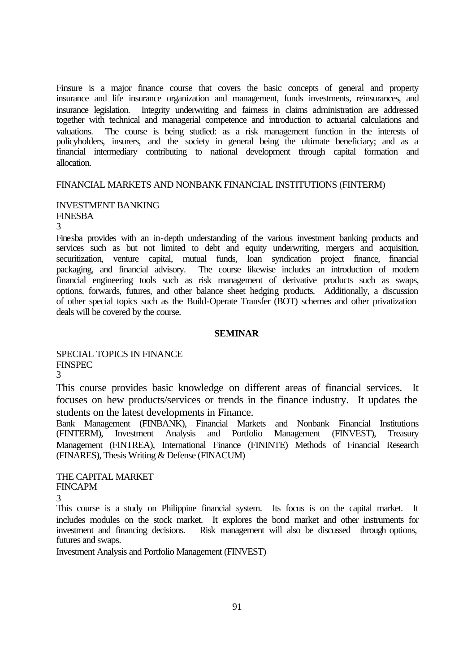Finsure is a major finance course that covers the basic concepts of general and property insurance and life insurance organization and management, funds investments, reinsurances, and insurance legislation. Integrity underwriting and fairness in claims administration are addressed together with technical and managerial competence and introduction to actuarial calculations and valuations. The course is being studied: as a risk management function in the interests of policyholders, insurers, and the society in general being the ultimate beneficiary; and as a financial intermediary contributing to national development through capital formation and allocation.

#### FINANCIAL MARKETS AND NONBANK FINANCIAL INSTITUTIONS (FINTERM)

#### INVESTMENT BANKING FINESBA

3

Finesba provides with an in-depth understanding of the various investment banking products and services such as but not limited to debt and equity underwriting, mergers and acquisition, securitization, venture capital, mutual funds, loan syndication project finance, financial packaging, and financial advisory. The course likewise includes an introduction of modern financial engineering tools such as risk management of derivative products such as swaps, options, forwards, futures, and other balance sheet hedging products. Additionally, a discussion of other special topics such as the Build-Operate Transfer (BOT) schemes and other privatization deals will be covered by the course.

#### **SEMINAR**

SPECIAL TOPICS IN FINANCE FINSPEC

3

This course provides basic knowledge on different areas of financial services. It focuses on hew products/services or trends in the finance industry. It updates the students on the latest developments in Finance.

Bank Management (FINBANK), Financial Markets and Nonbank Financial Institutions (FINTERM), Investment Analysis and Portfolio Management (FINVEST), Treasury Management (FINTREA), International Finance (FININTE) Methods of Financial Research (FINARES), Thesis Writing & Defense (FINACUM)

THE CAPITAL MARKET FINCAPM

3

This course is a study on Philippine financial system. Its focus is on the capital market. It includes modules on the stock market. It explores the bond market and other instruments for investment and financing decisions. Risk management will also be discussed through options, futures and swaps.

Investment Analysis and Portfolio Management (FINVEST)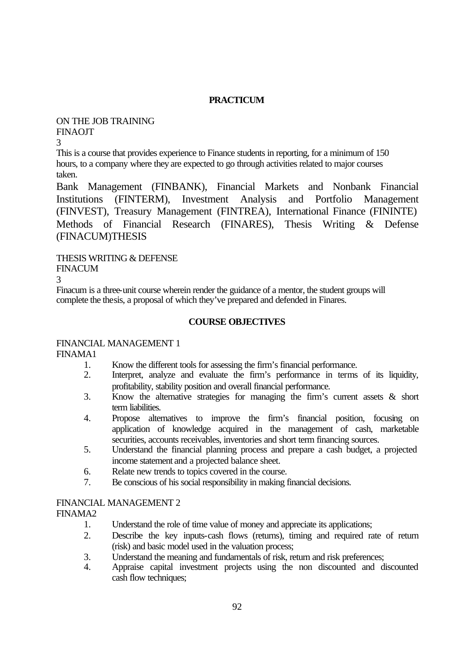# **PRACTICUM**

# ON THE JOB TRAINING FINAOJT

3

This is a course that provides experience to Finance students in reporting, for a minimum of 150 hours, to a company where they are expected to go through activities related to major courses taken.

Bank Management (FINBANK), Financial Markets and Nonbank Financial Institutions (FINTERM), Investment Analysis and Portfolio Management (FINVEST), Treasury Management (FINTREA), International Finance (FININTE) Methods of Financial Research (FINARES), Thesis Writing & Defense (FINACUM)THESIS

THESIS WRITING & DEFENSE

FINACUM

3

Finacum is a three-unit course wherein render the guidance of a mentor, the student groups will complete the thesis, a proposal of which they've prepared and defended in Finares.

# **COURSE OBJECTIVES**

# FINANCIAL MANAGEMENT 1

FINAMA1

- 1. Know the different tools for assessing the firm's financial performance.
- 2. Interpret, analyze and evaluate the firm's performance in terms of its liquidity, profitability, stability position and overall financial performance.
- 3. Know the alternative strategies for managing the firm's current assets & short term liabilities.
- 4. Propose alternatives to improve the firm's financial position, focusing on application of knowledge acquired in the management of cash, marketable securities, accounts receivables, inventories and short term financing sources.
- 5. Understand the financial planning process and prepare a cash budget, a projected income statement and a projected balance sheet.
- 6. Relate new trends to topics covered in the course.
- 7. Be conscious of his social responsibility in making financial decisions.

# FINANCIAL MANAGEMENT 2

FINAMA2

- 1. Understand the role of time value of money and appreciate its applications;
- 2. Describe the key inputs-cash flows (returns), timing and required rate of return (risk) and basic model used in the valuation process;
- 3. Understand the meaning and fundamentals of risk, return and risk preferences;
- 4. Appraise capital investment projects using the non discounted and discounted cash flow techniques;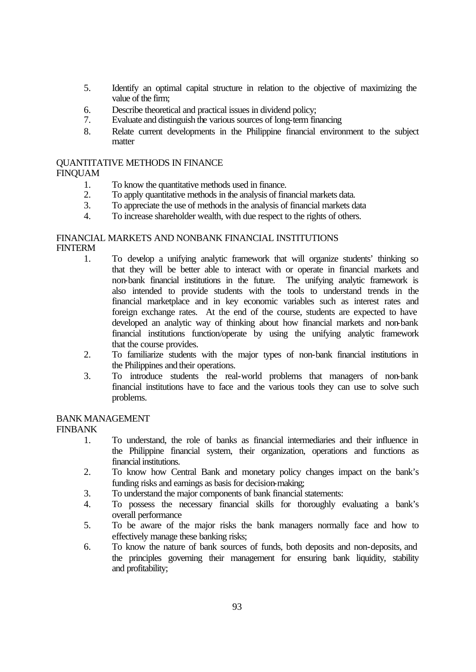- 5. Identify an optimal capital structure in relation to the objective of maximizing the value of the firm;
- 6. Describe theoretical and practical issues in dividend policy;<br>7. Evaluate and distinguish the various sources of long-term fir
- 7. Evaluate and distinguish the various sources of long-term financing
- 8. Relate current developments in the Philippine financial environment to the subject matter

# QUANTITATIVE METHODS IN FINANCE

# FINQUAM

- 1. To know the quantitative methods used in finance.
- 2. To apply quantitative methods in the analysis of financial markets data.<br>3. To appreciate the use of methods in the analysis of financial markets data.
- 3. To appreciate the use of methods in the analysis of financial markets data
- 4. To increase shareholder wealth, with due respect to the rights of others.

# FINANCIAL MARKETS AND NONBANK FINANCIAL INSTITUTIONS **FINTERM**

- 1. To develop a unifying analytic framework that will organize students' thinking so that they will be better able to interact with or operate in financial markets and non-bank financial institutions in the future. The unifying analytic framework is also intended to provide students with the tools to understand trends in the financial marketplace and in key economic variables such as interest rates and foreign exchange rates. At the end of the course, students are expected to have developed an analytic way of thinking about how financial markets and non-bank financial institutions function/operate by using the unifying analytic framework that the course provides.
- 2. To familiarize students with the major types of non-bank financial institutions in the Philippines and their operations.
- 3. To introduce students the real-world problems that managers of non-bank financial institutions have to face and the various tools they can use to solve such problems.

# BANK MANAGEMENT

# FINBANK

- 1. To understand, the role of banks as financial intermediaries and their influence in the Philippine financial system, their organization, operations and functions as financial institutions.
- 2. To know how Central Bank and monetary policy changes impact on the bank's funding risks and earnings as basis for decision-making;
- 3. To understand the major components of bank financial statements:
- 4. To possess the necessary financial skills for thoroughly evaluating a bank's overall performance
- 5. To be aware of the major risks the bank managers normally face and how to effectively manage these banking risks;
- 6. To know the nature of bank sources of funds, both deposits and non-deposits, and the principles governing their management for ensuring bank liquidity, stability and profitability;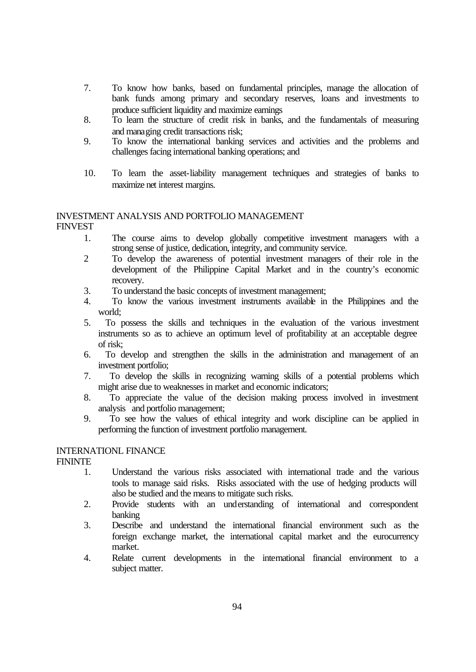- 7. To know how banks, based on fundamental principles, manage the allocation of bank funds among primary and secondary reserves, loans and investments to produce sufficient liquidity and maximize earnings
- 8. To learn the structure of credit risk in banks, and the fundamentals of measuring and managing credit transactions risk;
- 9. To know the international banking services and activities and the problems and challenges facing international banking operations; and
- 10. To learn the asset-liability management techniques and strategies of banks to maximize net interest margins.

#### INVESTMENT ANALYSIS AND PORTFOLIO MANAGEMENT **FINVEST**

- 1. The course aims to develop globally competitive investment managers with a strong sense of justice, dedication, integrity, and community service.
- 2 To develop the awareness of potential investment managers of their role in the development of the Philippine Capital Market and in the country's economic recovery.
- 3. To understand the basic concepts of investment management;<br>4 To know the various investment instruments available in
- To know the various investment instruments available in the Philippines and the world;
- 5. To possess the skills and techniques in the evaluation of the various investment instruments so as to achieve an optimum level of profitability at an acceptable degree of risk;
- 6. To develop and strengthen the skills in the administration and management of an investment portfolio;
- 7. To develop the skills in recognizing warning skills of a potential problems which might arise due to weaknesses in market and economic indicators;
- 8. To appreciate the value of the decision making process involved in investment analysis and portfolio management;
- 9. To see how the values of ethical integrity and work discipline can be applied in performing the function of investment portfolio management.

# INTERNATIONL FINANCE

FININTE

- 1. Understand the various risks associated with international trade and the various tools to manage said risks. Risks associated with the use of hedging products will also be studied and the means to mitigate such risks.
- 2. Provide students with an understanding of international and correspondent banking
- 3. Describe and understand the international financial environment such as the foreign exchange market, the international capital market and the eurocurrency market.
- 4. Relate current developments in the international financial environment to a subject matter.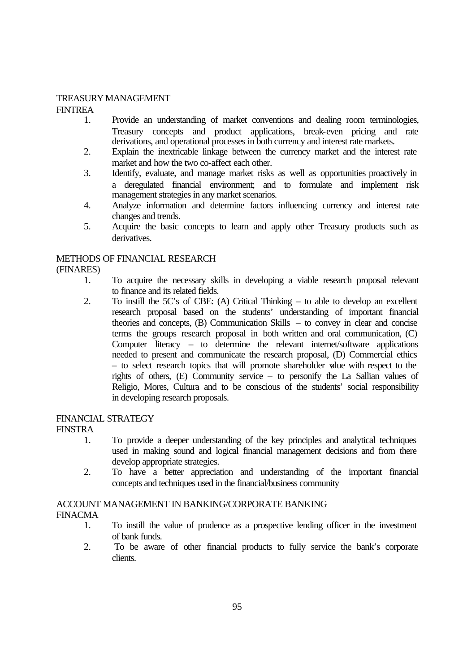# TREASURY MANAGEMENT

FINTREA

- 1. Provide an understanding of market conventions and dealing room terminologies, Treasury concepts and product applications, break-even pricing and rate derivations, and operational processes in both currency and interest rate markets.
- 2. Explain the inextricable linkage between the currency market and the interest rate market and how the two co-affect each other.
- 3. Identify, evaluate, and manage market risks as well as opportunities proactively in a deregulated financial environment; and to formulate and implement risk management strategies in any market scenarios.
- 4. Analyze information and determine factors influencing currency and interest rate changes and trends.
- 5. Acquire the basic concepts to learn and apply other Treasury products such as derivatives.

# METHODS OF FINANCIAL RESEARCH

# (FINARES)

- 1. To acquire the necessary skills in developing a viable research proposal relevant to finance and its related fields.
- 2. To instill the 5C's of CBE: (A) Critical Thinking to able to develop an excellent research proposal based on the students' understanding of important financial theories and concepts, (B) Communication Skills – to convey in clear and concise terms the groups research proposal in both written and oral communication, (C) Computer literacy – to determine the relevant internet/software applications needed to present and communicate the research proposal, (D) Commercial ethics – to select research topics that will promote shareholder value with respect to the rights of others, (E) Community service – to personify the La Sallian values of Religio, Mores, Cultura and to be conscious of the students' social responsibility in developing research proposals.

# FINANCIAL STRATEGY

FINSTRA

- 1. To provide a deeper understanding of the key principles and analytical techniques used in making sound and logical financial management decisions and from there develop appropriate strategies.
- 2. To have a better appreciation and understanding of the important financial concepts and techniques used in the financial/business community

# ACCOUNT MANAGEMENT IN BANKING/CORPORATE BANKING

FINACMA

- 1. To instill the value of prudence as a prospective lending officer in the investment of bank funds.
- 2. To be aware of other financial products to fully service the bank's corporate clients.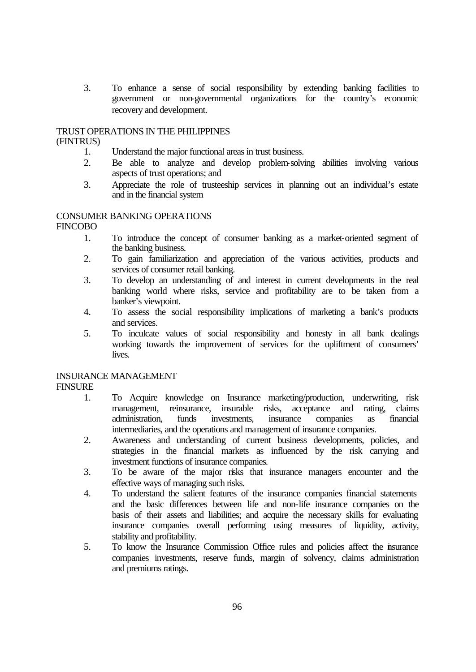3. To enhance a sense of social responsibility by extending banking facilities to government or non-governmental organizations for the country's economic recovery and development.

# TRUST OPERATIONS IN THE PHILIPPINES

# (FINTRUS)

- 1. Understand the major functional areas in trust business.
- 2. Be able to analyze and develop problem-solving abilities involving various aspects of trust operations; and
- 3. Appreciate the role of trusteeship services in planning out an individual's estate and in the financial system

# CONSUMER BANKING OPERATIONS

FINCOBO

- 1. To introduce the concept of consumer banking as a market-oriented segment of the banking business.
- 2. To gain familiarization and appreciation of the various activities, products and services of consumer retail banking.
- 3. To develop an understanding of and interest in current developments in the real banking world where risks, service and profitability are to be taken from a banker's viewpoint.
- 4. To assess the social responsibility implications of marketing a bank's products and services.
- 5. To inculcate values of social responsibility and honesty in all bank dealings working towards the improvement of services for the upliftment of consumers' lives.

# INSURANCE MANAGEMENT

**FINSURE** 

- 1. To Acquire knowledge on Insurance marketing/production, underwriting, risk management, reinsurance, insurable risks, acceptance and rating, claims administration. funds investments, insurance companies as financial administration, funds investments, insurance companies as intermediaries, and the operations and management of insurance companies.
- 2. Awareness and understanding of current business developments, policies, and strategies in the financial markets as influenced by the risk carrying and investment functions of insurance companies.
- 3. To be aware of the major risks that insurance managers encounter and the effective ways of managing such risks.
- 4. To understand the salient features of the insurance companies financial statements and the basic differences between life and non-life insurance companies on the basis of their assets and liabilities; and acquire the necessary skills for evaluating insurance companies overall performing using measures of liquidity, activity, stability and profitability.
- 5. To know the Insurance Commission Office rules and policies affect the insurance companies investments, reserve funds, margin of solvency, claims administration and premiums ratings.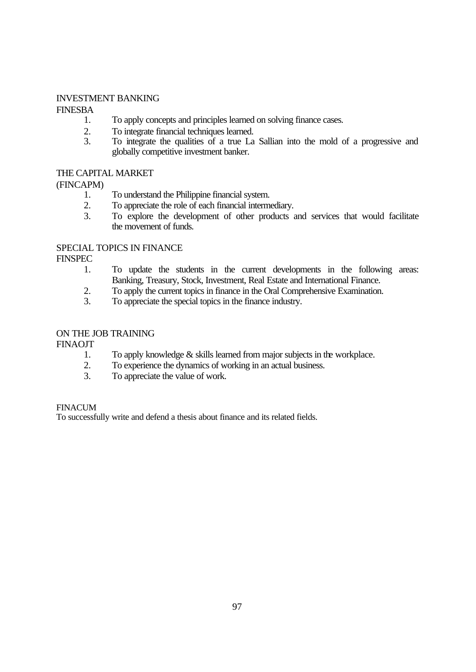# INVESTMENT BANKING

FINESBA

- 1. To apply concepts and principles learned on solving finance cases.
- 2. To integrate financial techniques learned.
- 3. To integrate the qualities of a true La Sallian into the mold of a progressive and globally competitive investment banker.

# THE CAPITAL MARKET

(FINCAPM)

- 1. To understand the Philippine financial system.<br>2. To appreciate the role of each financial intermed
- To appreciate the role of each financial intermediary.
- 3. To explore the development of other products and services that would facilitate the movement of funds.

# SPECIAL TOPICS IN FINANCE

**FINSPEC** 

- 1. To update the students in the current developments in the following areas: Banking, Treasury, Stock, Investment, Real Estate and International Finance.
- 2. To apply the current topics in finance in the Oral Comprehensive Examination.<br>3. To appreciate the special topics in the finance industry.
- To appreciate the special topics in the finance industry.

# ON THE JOB TRAINING

FINAOJT

- 1. To apply knowledge & skills learned from major subjects in the workplace.
- 2. To experience the dynamics of working in an actual business.<br>3. To appreciate the value of work.
- To appreciate the value of work.

# FINACUM

To successfully write and defend a thesis about finance and its related fields.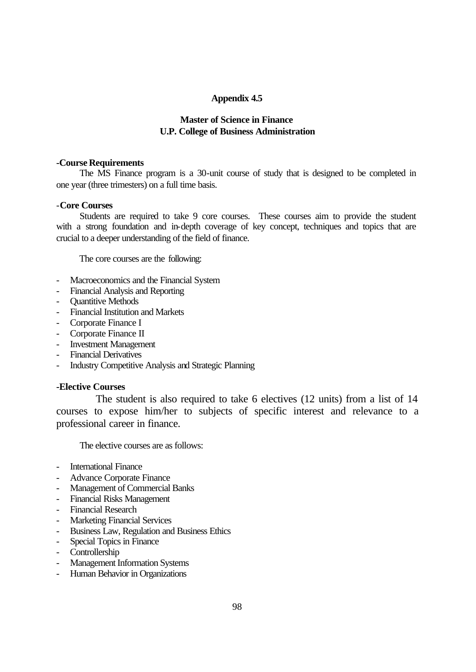# **Appendix 4.5**

# **Master of Science in Finance U.P. College of Business Administration**

## **-Course Requirements**

The MS Finance program is a 30-unit course of study that is designed to be completed in one year (three trimesters) on a full time basis.

# -**Core Courses**

Students are required to take 9 core courses. These courses aim to provide the student with a strong foundation and in-depth coverage of key concept, techniques and topics that are crucial to a deeper understanding of the field of finance.

The core courses are the following:

- Macroeconomics and the Financial System
- Financial Analysis and Reporting
- **Quantitive Methods**
- Financial Institution and Markets
- Corporate Finance I
- Corporate Finance II
- Investment Management
- Financial Derivatives
- Industry Competitive Analysis and Strategic Planning

# **-Elective Courses**

 The student is also required to take 6 electives (12 units) from a list of 14 courses to expose him/her to subjects of specific interest and relevance to a professional career in finance.

The elective courses are as follows:

- International Finance
- Advance Corporate Finance
- Management of Commercial Banks
- Financial Risks Management
- Financial Research
- Marketing Financial Services
- Business Law, Regulation and Business Ethics
- Special Topics in Finance
- Controllership
- Management Information Systems
- Human Behavior in Organizations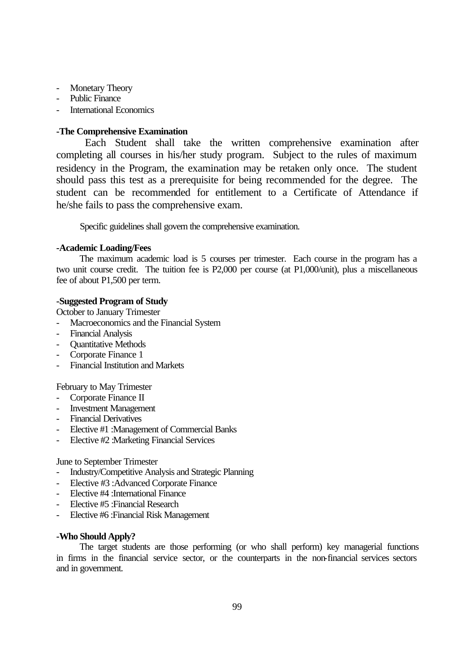- Monetary Theory
- Public Finance
- International Economics

# **-The Comprehensive Examination**

 Each Student shall take the written comprehensive examination after completing all courses in his/her study program. Subject to the rules of maximum residency in the Program, the examination may be retaken only once. The student should pass this test as a prerequisite for being recommended for the degree. The student can be recommended for entitlement to a Certificate of Attendance if he/she fails to pass the comprehensive exam.

Specific guidelines shall govern the comprehensive examination.

# **-Academic Loading/Fees**

The maximum academic load is 5 courses per trimester. Each course in the program has a two unit course credit. The tuition fee is P2,000 per course (at P1,000/unit), plus a miscellaneous fee of about P1,500 per term.

## **-Suggested Program of Study**

October to January Trimester

- Macroeconomics and the Financial System
- Financial Analysis
- **Ouantitative Methods**
- Corporate Finance 1
- Financial Institution and Markets

February to May Trimester

- Corporate Finance II
- Investment Management
- Financial Derivatives
- Elective #1 :Management of Commercial Banks
- Elective #2 :Marketing Financial Services

June to September Trimester

- Industry/Competitive Analysis and Strategic Planning
- Elective #3 :Advanced Corporate Finance
- Elective #4 :International Finance
- Elective #5 :Financial Research
- Elective #6 :Financial Risk Management

#### **-Who Should Apply?**

The target students are those performing (or who shall perform) key managerial functions in firms in the financial service sector, or the counterparts in the non-financial services sectors and in government.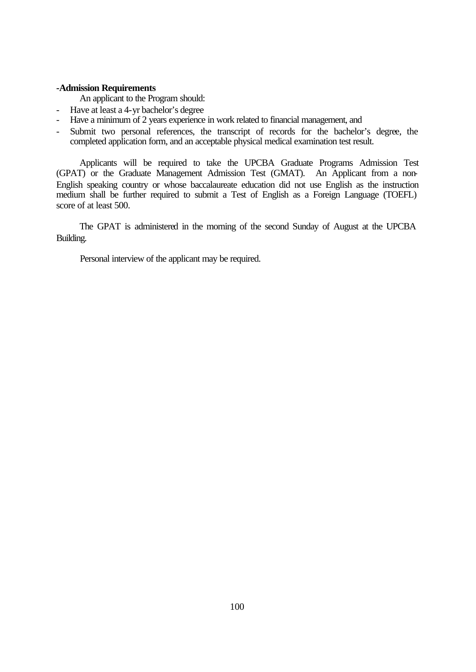# **-Admission Requirements**

An applicant to the Program should:

- Have at least a 4-yr bachelor's degree
- Have a minimum of 2 years experience in work related to financial management, and
- Submit two personal references, the transcript of records for the bachelor's degree, the completed application form, and an acceptable physical medical examination test result.

 Applicants will be required to take the UPCBA Graduate Programs Admission Test (GPAT) or the Graduate Management Admission Test (GMAT). An Applicant from a non-English speaking country or whose baccalaureate education did not use English as the instruction medium shall be further required to submit a Test of English as a Foreign Language (TOEFL) score of at least 500.

 The GPAT is administered in the morning of the second Sunday of August at the UPCBA Building.

Personal interview of the applicant may be required.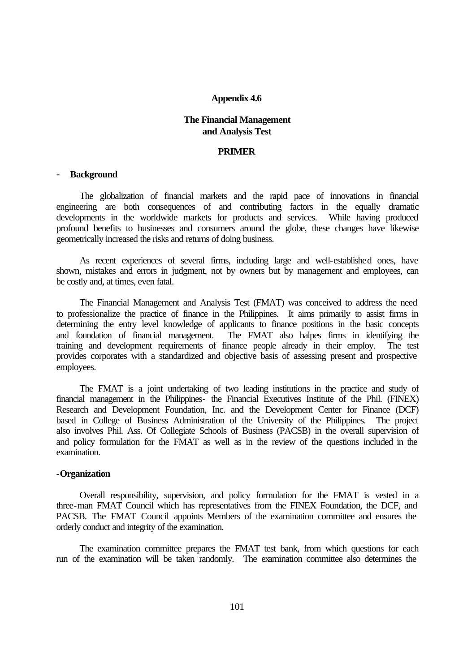#### **Appendix 4.6**

# **The Financial Management and Analysis Test**

#### **PRIMER**

#### - **Background**

The globalization of financial markets and the rapid pace of innovations in financial engineering are both consequences of and contributing factors in the equally dramatic developments in the worldwide markets for products and services. While having produced profound benefits to businesses and consumers around the globe, these changes have likewise geometrically increased the risks and returns of doing business.

 As recent experiences of several firms, including large and well-established ones, have shown, mistakes and errors in judgment, not by owners but by management and employees, can be costly and, at times, even fatal.

 The Financial Management and Analysis Test (FMAT) was conceived to address the need to professionalize the practice of finance in the Philippines. It aims primarily to assist firms in determining the entry level knowledge of applicants to finance positions in the basic concepts and foundation of financial management. The FMAT also halpes firms in identifying the training and development requirements of finance people already in their employ. The test provides corporates with a standardized and objective basis of assessing present and prospective employees.

 The FMAT is a joint undertaking of two leading institutions in the practice and study of financial management in the Philippines- the Financial Executives Institute of the Phil. (FINEX) Research and Development Foundation, Inc. and the Development Center for Finance (DCF) based in College of Business Administration of the University of the Philippines. The project also involves Phil. Ass. Of Collegiate Schools of Business (PACSB) in the overall supervision of and policy formulation for the FMAT as well as in the review of the questions included in the examination.

#### -**Organization**

 Overall responsibility, supervision, and policy formulation for the FMAT is vested in a three-man FMAT Council which has representatives from the FINEX Foundation, the DCF, and PACSB. The FMAT Council appoints Members of the examination committee and ensures the orderly conduct and integrity of the examination.

 The examination committee prepares the FMAT test bank, from which questions for each run of the examination will be taken randomly. The examination committee also determines the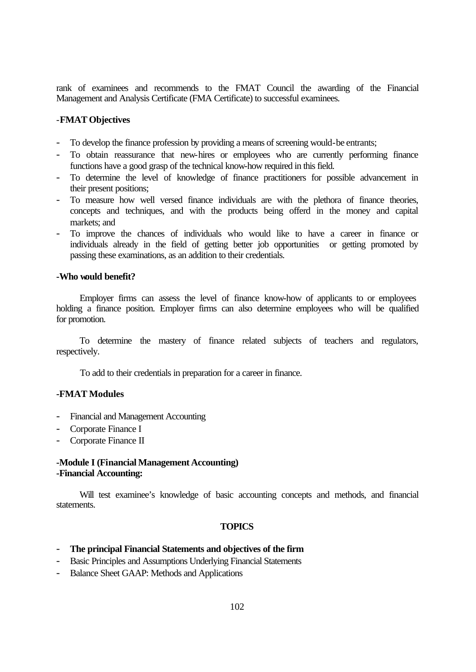rank of examinees and recommends to the FMAT Council the awarding of the Financial Management and Analysis Certificate (FMA Certificate) to successful examinees.

# -**FMAT Objectives**

- To develop the finance profession by providing a means of screening would-be entrants;
- To obtain reassurance that new-hires or employees who are currently performing finance functions have a good grasp of the technical know-how required in this field.
- To determine the level of knowledge of finance practitioners for possible advancement in their present positions;
- To measure how well versed finance individuals are with the plethora of finance theories, concepts and techniques, and with the products being offerd in the money and capital markets; and
- To improve the chances of individuals who would like to have a career in finance or individuals already in the field of getting better job opportunities or getting promoted by passing these examinations, as an addition to their credentials.

# **-Who would benefit?**

 Employer firms can assess the level of finance know-how of applicants to or employees holding a finance position. Employer firms can also determine employees who will be qualified for promotion.

 To determine the mastery of finance related subjects of teachers and regulators, respectively.

To add to their credentials in preparation for a career in finance.

# **-FMAT Modules**

- Financial and Management Accounting
- Corporate Finance I
- Corporate Finance II

# **-Module I (Financial Management Accounting) -Financial Accounting:**

 Will test examinee's knowledge of basic accounting concepts and methods, and financial statements.

#### **TOPICS**

- **The principal Financial Statements and objectives of the firm**
- Basic Principles and Assumptions Underlying Financial Statements
- Balance Sheet GAAP: Methods and Applications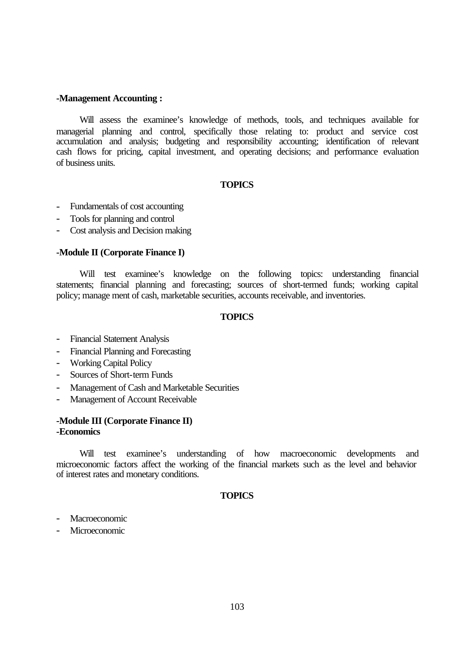### **-Management Accounting :**

 Will assess the examinee's knowledge of methods, tools, and techniques available for managerial planning and control, specifically those relating to: product and service cost accumulation and analysis; budgeting and responsibility accounting; identification of relevant cash flows for pricing, capital investment, and operating decisions; and performance evaluation of business units.

# **TOPICS**

- Fundamentals of cost accounting
- Tools for planning and control
- Cost analysis and Decision making

### **-Module II (Corporate Finance I)**

Will test examinee's knowledge on the following topics: understanding financial statements; financial planning and forecasting; sources of short-termed funds; working capital policy; manage ment of cash, marketable securities, accounts receivable, and inventories.

### **TOPICS**

- Financial Statement Analysis
- Financial Planning and Forecasting
- Working Capital Policy
- Sources of Short-term Funds
- Management of Cash and Marketable Securities
- Management of Account Receivable

## **-Module III (Corporate Finance II) -Economics**

 Will test examinee's understanding of how macroeconomic developments and microeconomic factors affect the working of the financial markets such as the level and behavior of interest rates and monetary conditions.

# **TOPICS**

- **Macroeconomic**
- Microeconomic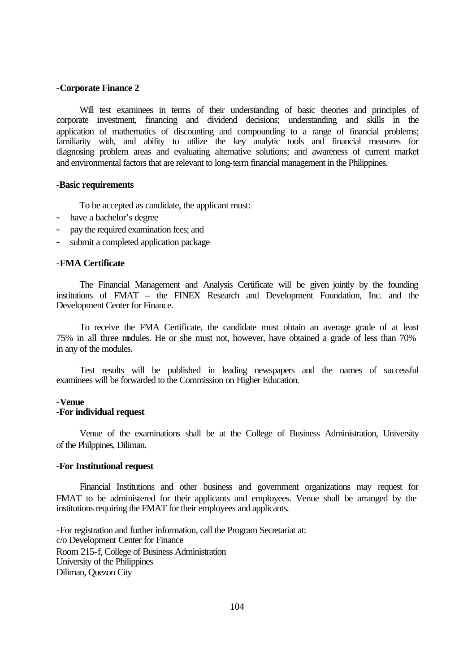## -**Corporate Finance 2**

 Will test examinees in terms of their understanding of basic theories and principles of corporate investment, financing and dividend decisions; understanding and skills in the application of mathematics of discounting and compounding to a range of financial problems; familiarity with, and ability to utilize the key analytic tools and financial measures for diagnosing problem areas and evaluating alternative solutions; and awareness of current market and environmental factors that are relevant to long-term financial management in the Philippines.

#### **-Basic requirements**

To be accepted as candidate, the applicant must:

- have a bachelor's degree
- pay the required examination fees; and
- submit a completed application package

#### -**FMA Certificate**

 The Financial Management and Analysis Certificate will be given jointly by the founding institutions of FMAT – the FINEX Research and Development Foundation, Inc. and the Development Center for Finance.

 To receive the FMA Certificate, the candidate must obtain an average grade of at least 75% in all three modules. He or she must not, however, have obtained a grade of less than 70% in any of the modules.

 Test results will be published in leading newspapers and the names of successful examinees will be forwarded to the Commission on Higher Education.

#### -**Venue**

# **-For individual request**

Venue of the examinations shall be at the College of Business Administration, University of the Philppines, Diliman.

### **-For Institutional request**

 Financial Institutions and other business and government organizations may request for FMAT to be administered for their applicants and employees. Venue shall be arranged by the institutions requiring the FMAT for their employees and applicants.

-For registration and further information, call the Program Secretariat at: c/o Development Center for Finance Room 215-f, College of Business Administration University of the Philippines Diliman, Quezon City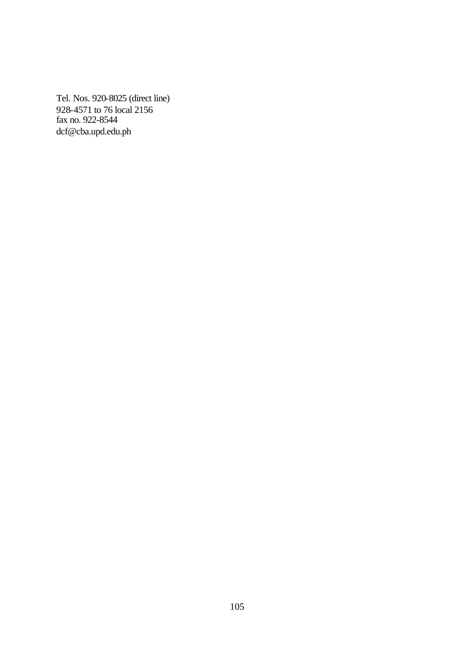Tel. Nos. 920-8025 (direct line) 928-4571 to 76 local 2156 fax no. 922-8544 dcf@cba.upd.edu.ph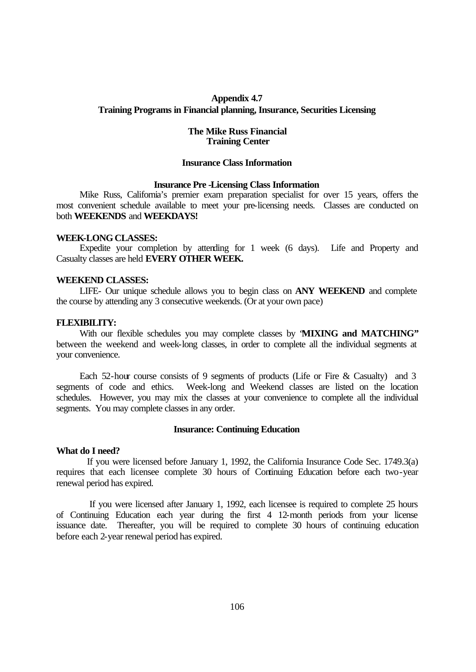# **Appendix 4.7 Training Programs in Financial planning, Insurance, Securities Licensing**

# **The Mike Russ Financial Training Center**

## **Insurance Class Information**

#### **Insurance Pre -Licensing Class Information**

 Mike Russ, California's premier exam preparation specialist for over 15 years, offers the most convenient schedule available to meet your pre-licensing needs. Classes are conducted on both **WEEKENDS** and **WEEKDAYS!**

#### **WEEK-LONG CLASSES:**

 Expedite your completion by attending for 1 week (6 days). Life and Property and Casualty classes are held **EVERY OTHER WEEK.**

#### **WEEKEND CLASSES:**

LIFE- Our unique schedule allows you to begin class on **ANY WEEKEND** and complete the course by attending any 3 consecutive weekends. (Or at your own pace)

### **FLEXIBILITY:**

 With our flexible schedules you may complete classes by "**MIXING and MATCHING"** between the weekend and week-long classes, in order to complete all the individual segments at your convenience.

 Each 52-hour course consists of 9 segments of products (Life or Fire & Casualty) and 3 segments of code and ethics. Week-long and Weekend classes are listed on the location schedules. However, you may mix the classes at your convenience to complete all the individual segments. You may complete classes in any order.

#### **Insurance: Continuing Education**

# **What do I need?**

 If you were licensed before January 1, 1992, the California Insurance Code Sec. 1749.3(a) requires that each licensee complete 30 hours of Continuing Education before each two-year renewal period has expired.

 If you were licensed after January 1, 1992, each licensee is required to complete 25 hours of Continuing Education each year during the first 4 12-month periods from your license issuance date. Thereafter, you will be required to complete 30 hours of continuing education before each 2-year renewal period has expired.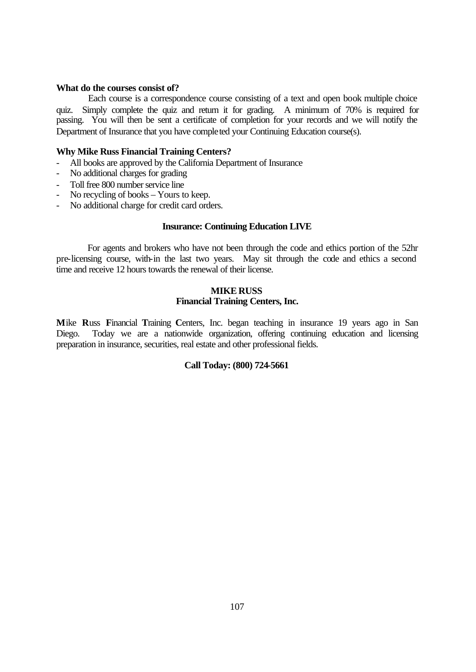## **What do the courses consist of?**

 Each course is a correspondence course consisting of a text and open book multiple choice quiz. Simply complete the quiz and return it for grading. A minimum of 70% is required for passing. You will then be sent a certificate of completion for your records and we will notify the Department of Insurance that you have completed your Continuing Education course(s).

## **Why Mike Russ Financial Training Centers?**

- All books are approved by the California Department of Insurance
- No additional charges for grading
- Toll free 800 number service line
- No recycling of books Yours to keep.
- No additional charge for credit card orders.

### **Insurance: Continuing Education LIVE**

 For agents and brokers who have not been through the code and ethics portion of the 52hr pre-licensing course, with-in the last two years. May sit through the code and ethics a second time and receive 12 hours towards the renewal of their license.

## **MIKE RUSS Financial Training Centers, Inc.**

**M**ike **R**uss **F**inancial **T**raining **C**enters, Inc. began teaching in insurance 19 years ago in San Diego. Today we are a nationwide organization, offering continuing education and licensing preparation in insurance, securities, real estate and other professional fields.

# **Call Today: (800) 724-5661**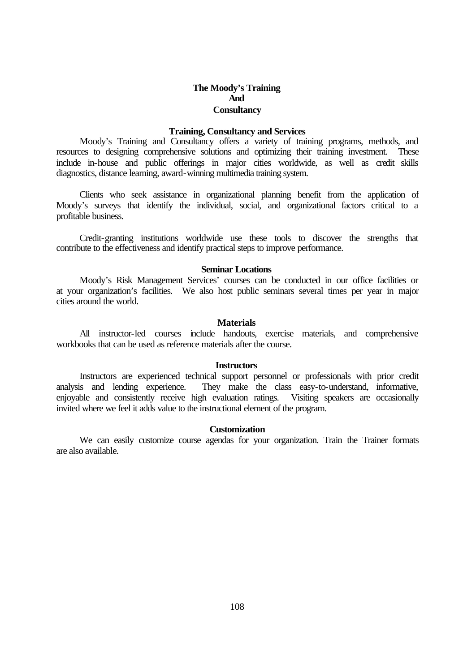# **The Moody's Training And Consultancy**

# **Training, Consultancy and Services**

Moody's Training and Consultancy offers a variety of training programs, methods, and resources to designing comprehensive solutions and optimizing their training investment. These include in-house and public offerings in major cities worldwide, as well as credit skills diagnostics, distance learning, award-winning multimedia training system.

 Clients who seek assistance in organizational planning benefit from the application of Moody's surveys that identify the individual, social, and organizational factors critical to a profitable business.

 Credit-granting institutions worldwide use these tools to discover the strengths that contribute to the effectiveness and identify practical steps to improve performance.

# **Seminar Locations**

Moody's Risk Management Services' courses can be conducted in our office facilities or at your organization's facilities. We also host public seminars several times per year in major cities around the world.

#### **Materials**

 All instructor-led courses include handouts, exercise materials, and comprehensive workbooks that can be used as reference materials after the course.

#### **Instructors**

Instructors are experienced technical support personnel or professionals with prior credit analysis and lending experience. They make the class easy-to-understand, informative, enjoyable and consistently receive high evaluation ratings. Visiting speakers are occasionally invited where we feel it adds value to the instructional element of the program.

## **Customization**

We can easily customize course agendas for your organization. Train the Trainer formats are also available.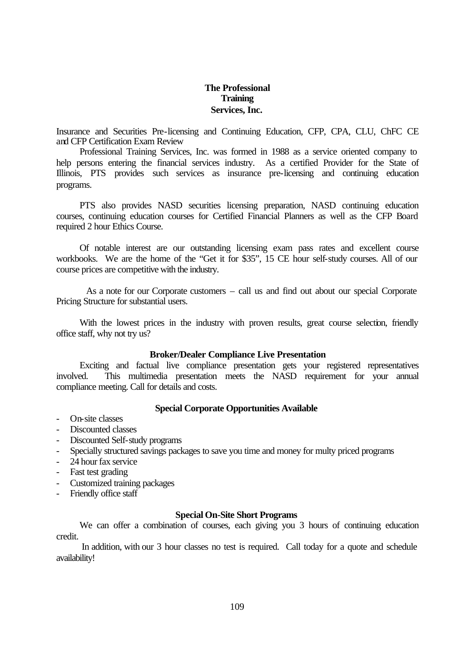# **The Professional Training Services, Inc.**

Insurance and Securities Pre-licensing and Continuing Education, CFP, CPA, CLU, ChFC CE and CFP Certification Exam Review

Professional Training Services, Inc. was formed in 1988 as a service oriented company to help persons entering the financial services industry. As a certified Provider for the State of Illinois, PTS provides such services as insurance pre-licensing and continuing education programs.

 PTS also provides NASD securities licensing preparation, NASD continuing education courses, continuing education courses for Certified Financial Planners as well as the CFP Board required 2 hour Ethics Course.

 Of notable interest are our outstanding licensing exam pass rates and excellent course workbooks. We are the home of the "Get it for \$35", 15 CE hour self-study courses. All of our course prices are competitive with the industry.

 As a note for our Corporate customers – call us and find out about our special Corporate Pricing Structure for substantial users.

 With the lowest prices in the industry with proven results, great course selection, friendly office staff, why not try us?

#### **Broker/Dealer Compliance Live Presentation**

Exciting and factual live compliance presentation gets your registered representatives involved. This multimedia presentation meets the NASD requirement for your annual compliance meeting. Call for details and costs.

# **Special Corporate Opportunities Available**

- On-site classes
- Discounted classes
- Discounted Self-study programs
- Specially structured savings packages to save you time and money for multy priced programs
- 24 hour fax service
- Fast test grading
- Customized training packages
- Friendly office staff

#### **Special On-Site Short Programs**

We can offer a combination of courses, each giving you 3 hours of continuing education credit.

 In addition, with our 3 hour classes no test is required. Call today for a quote and schedule availability!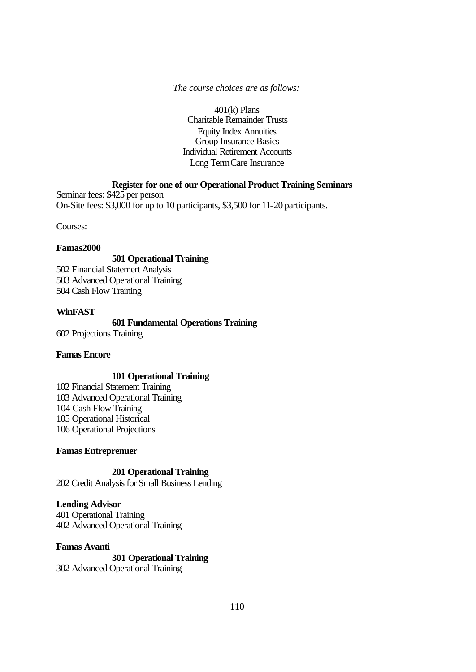# *The course choices are as follows:*

401(k) Plans Charitable Remainder Trusts Equity Index Annuities Group Insurance Basics Individual Retirement Accounts Long Term Care Insurance

# **Register for one of our Operational Product Training Seminars**

Seminar fees: \$425 per person On-Site fees: \$3,000 for up to 10 participants, \$3,500 for 11-20 participants.

Courses:

### **Famas2000**

# **501 Operational Training**

502 Financial Statement Analysis 503 Advanced Operational Training 504 Cash Flow Training

# **WinFAST**

**601 Fundamental Operations Training** 602 Projections Training

# **Famas Encore**

# **101 Operational Training**

102 Financial Statement Training 103 Advanced Operational Training 104 Cash Flow Training 105 Operational Historical 106 Operational Projections

# **Famas Entreprenuer**

**201 Operational Training**

202 Credit Analysis for Small Business Lending

# **Lending Advisor**

401 Operational Training 402 Advanced Operational Training

# **Famas Avanti**

**301 Operational Training** 302 Advanced Operational Training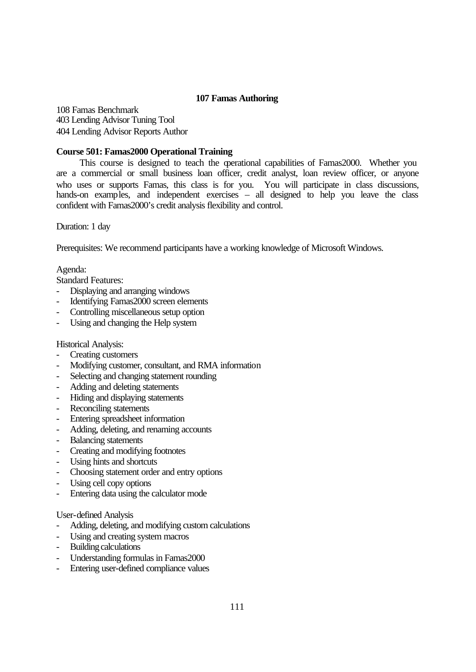# **107 Famas Authoring**

108 Famas Benchmark 403 Lending Advisor Tuning Tool 404 Lending Advisor Reports Author

# **Course 501: Famas2000 Operational Training**

This course is designed to teach the operational capabilities of Famas2000. Whether you are a commercial or small business loan officer, credit analyst, loan review officer, or anyone who uses or supports Famas, this class is for you. You will participate in class discussions, hands-on examples, and independent exercises – all designed to help you leave the class confident with Famas2000's credit analysis flexibility and control.

Duration: 1 day

Prerequisites: We recommend participants have a working knowledge of Microsoft Windows.

Agenda:

Standard Features:

- Displaying and arranging windows
- Identifying Famas2000 screen elements
- Controlling miscellaneous setup option
- Using and changing the Help system

Historical Analysis:

- Creating customers
- Modifying customer, consultant, and RMA information
- Selecting and changing statement rounding
- Adding and deleting statements
- Hiding and displaying statements
- Reconciling statements
- Entering spreadsheet information
- Adding, deleting, and renaming accounts
- Balancing statements
- Creating and modifying footnotes
- Using hints and shortcuts
- Choosing statement order and entry options
- Using cell copy options
- Entering data using the calculator mode

User-defined Analysis

- Adding, deleting, and modifying custom calculations
- Using and creating system macros
- Building calculations
- Understanding formulas in Famas2000
- Entering user-defined compliance values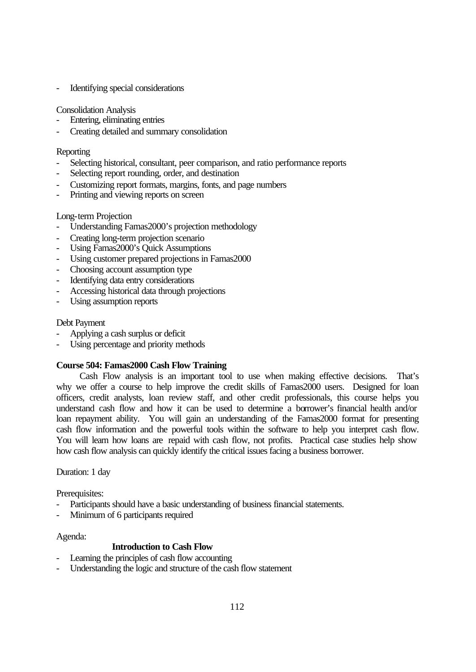Identifying special considerations

# Consolidation Analysis

- Entering, eliminating entries
- Creating detailed and summary consolidation

# **Reporting**

- Selecting historical, consultant, peer comparison, and ratio performance reports
- Selecting report rounding, order, and destination
- Customizing report formats, margins, fonts, and page numbers
- Printing and viewing reports on screen

# Long-term Projection

- Understanding Famas2000's projection methodology
- Creating long-term projection scenario
- Using Famas2000's Quick Assumptions
- Using customer prepared projections in Famas2000
- Choosing account assumption type
- Identifying data entry considerations
- Accessing historical data through projections
- Using assumption reports

# Debt Payment

- Applying a cash surplus or deficit
- Using percentage and priority methods

# **Course 504: Famas2000 Cash Flow Training**

 Cash Flow analysis is an important tool to use when making effective decisions. That's why we offer a course to help improve the credit skills of Famas2000 users. Designed for loan officers, credit analysts, loan review staff, and other credit professionals, this course helps you understand cash flow and how it can be used to determine a borrower's financial health and/or loan repayment ability. You will gain an understanding of the Famas2000 format for presenting cash flow information and the powerful tools within the software to help you interpret cash flow. You will learn how loans are repaid with cash flow, not profits. Practical case studies help show how cash flow analysis can quickly identify the critical issues facing a business borrower.

# Duration: 1 day

Prerequisites:

- Participants should have a basic understanding of business financial statements.
- Minimum of 6 participants required

# Agenda:

# **Introduction to Cash Flow**

- Learning the principles of cash flow accounting
- Understanding the logic and structure of the cash flow statement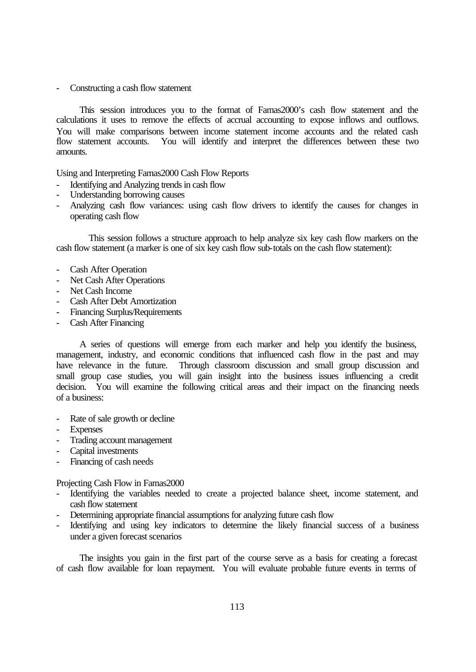# Constructing a cash flow statement

 This session introduces you to the format of Famas2000's cash flow statement and the calculations it uses to remove the effects of accrual accounting to expose inflows and outflows. You will make comparisons between income statement income accounts and the related cash flow statement accounts. You will identify and interpret the differences between these two amounts.

Using and Interpreting Famas2000 Cash Flow Reports

- Identifying and Analyzing trends in cash flow
- Understanding borrowing causes
- Analyzing cash flow variances: using cash flow drivers to identify the causes for changes in operating cash flow

 This session follows a structure approach to help analyze six key cash flow markers on the cash flow statement (a marker is one of six key cash flow sub-totals on the cash flow statement):

- Cash After Operation
- Net Cash After Operations
- Net Cash Income
- Cash After Debt Amortization
- Financing Surplus/Requirements
- Cash After Financing

 A series of questions will emerge from each marker and help you identify the business, management, industry, and economic conditions that influenced cash flow in the past and may have relevance in the future. Through classroom discussion and small group discussion and small group case studies, you will gain insight into the business issues influencing a credit decision. You will examine the following critical areas and their impact on the financing needs of a business:

- Rate of sale growth or decline
- **Expenses**
- Trading account management
- Capital investments
- Financing of cash needs

Projecting Cash Flow in Famas2000

- Identifying the variables needed to create a projected balance sheet, income statement, and cash flow statement
- Determining appropriate financial assumptions for analyzing future cash flow
- Identifying and using key indicators to determine the likely financial success of a business under a given forecast scenarios

 The insights you gain in the first part of the course serve as a basis for creating a forecast of cash flow available for loan repayment. You will evaluate probable future events in terms of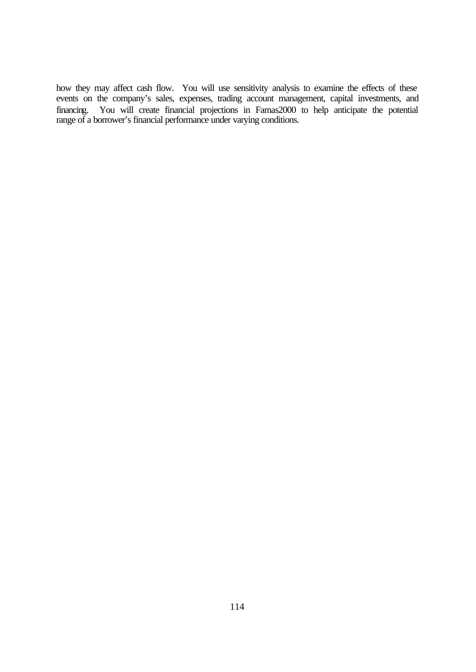how they may affect cash flow. You will use sensitivity analysis to examine the effects of these events on the company's sales, expenses, trading account management, capital investments, and financing. You will create financial projections in Famas2000 to help anticipate the potential range of a borrower's financial performance under varying conditions.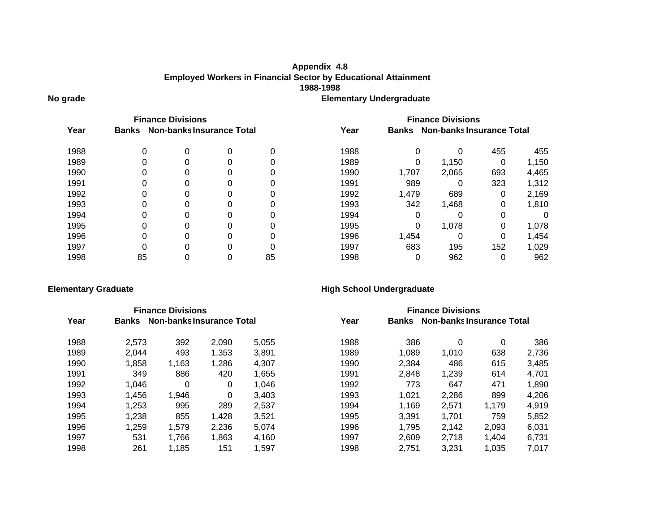# **No grade Elementary Undergraduate Appendix 4.8 1988-1998 Employed Workers in Financial Sector by Educational Attainment**

| <b>Finance Divisions</b> |              |                                  |   |    | <b>Finance Divisions</b> |                                           |       |     |       |
|--------------------------|--------------|----------------------------------|---|----|--------------------------|-------------------------------------------|-------|-----|-------|
| Year                     | <b>Banks</b> | <b>Non-banks Insurance Total</b> |   |    | Year                     | Non-banks Insurance Total<br><b>Banks</b> |       |     |       |
| 1988                     | 0            | 0                                |   | 0  | 1988                     | 0                                         | 0     | 455 | 455   |
| 1989                     | 0            | 0                                | 0 | 0  | 1989                     | 0                                         | 1,150 | 0   | 1,150 |
| 1990                     | 0            | 0                                | 0 |    | 1990                     | 1,707                                     | 2,065 | 693 | 4,465 |
| 1991                     | 0            | 0                                |   |    | 1991                     | 989                                       | 0     | 323 | 1,312 |
| 1992                     | 0            | 0                                | 0 |    | 1992                     | 1,479                                     | 689   | 0   | 2,169 |
| 1993                     | 0            | 0                                | 0 |    | 1993                     | 342                                       | 1,468 | 0   | 1,810 |
| 1994                     | 0            | 0                                |   |    | 1994                     | 0                                         | Ω     | 0   | 0     |
| 1995                     | 0            | 0                                | 0 |    | 1995                     | 0                                         | 1,078 | 0   | 1,078 |
| 1996                     | 0            | 0                                | 0 |    | 1996                     | 1,454                                     | Ω     | 0   | 1,454 |
| 1997                     | ი            | O                                |   |    | 1997                     | 683                                       | 195   | 152 | 1,029 |
| 1998                     | 85           |                                  |   | 85 | 1998                     | 0                                         | 962   | 0   | 962   |

# **Elementary Graduate High School Undergraduate**

|      |              | <b>Finance Divisions</b> |                           |       | <b>Finance Divisions</b> |                                           |       |       |       |  |
|------|--------------|--------------------------|---------------------------|-------|--------------------------|-------------------------------------------|-------|-------|-------|--|
| Year | <b>Banks</b> |                          | Non-banks Insurance Total |       | Year                     | Non-banks Insurance Total<br><b>Banks</b> |       |       |       |  |
| 1988 | 2,573        | 392                      | 2,090                     | 5,055 | 1988                     | 386                                       | 0     | 0     | 386   |  |
| 1989 | 2,044        | 493                      | 1,353                     | 3,891 | 1989                     | 1,089                                     | 1,010 | 638   | 2,736 |  |
| 1990 | 1,858        | 1,163                    | 1,286                     | 4,307 | 1990                     | 2,384                                     | 486   | 615   | 3,485 |  |
| 1991 | 349          | 886                      | 420                       | 1,655 | 1991                     | 2,848                                     | 1,239 | 614   | 4.701 |  |
| 1992 | 1,046        | 0                        | 0                         | 1.046 | 1992                     | 773                                       | 647   | 471   | 1,890 |  |
| 1993 | 1,456        | 1,946                    | 0                         | 3.403 | 1993                     | 1,021                                     | 2,286 | 899   | 4,206 |  |
| 1994 | 1,253        | 995                      | 289                       | 2,537 | 1994                     | 1,169                                     | 2,571 | 1.179 | 4,919 |  |
| 1995 | 1,238        | 855                      | 1,428                     | 3.521 | 1995                     | 3.391                                     | 1.701 | 759   | 5,852 |  |
| 1996 | 1,259        | 1,579                    | 2,236                     | 5,074 | 1996                     | 1,795                                     | 2,142 | 2,093 | 6,031 |  |
| 1997 | 531          | 1,766                    | 1,863                     | 4,160 | 1997                     | 2.609                                     | 2,718 | 1.404 | 6,731 |  |
| 1998 | 261          | 1,185                    | 151                       | 1,597 | 1998                     | 2.751                                     | 3.231 | 1.035 | 7.017 |  |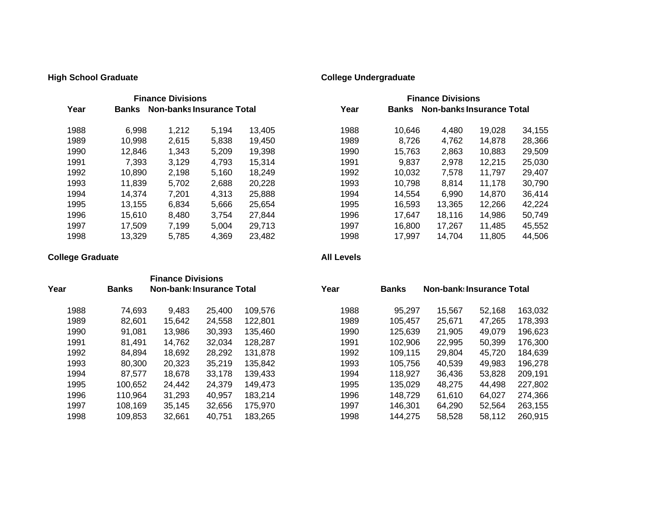# **High School Graduate College Undergraduate**

| <b>Finance Divisions</b>                          |        |       |       |        | <b>Finance Divisions</b>                  |        |        |        |        |  |
|---------------------------------------------------|--------|-------|-------|--------|-------------------------------------------|--------|--------|--------|--------|--|
| Year<br>Non-banks Insurance Total<br><b>Banks</b> |        |       |       | Year   | Non-banks Insurance Total<br><b>Banks</b> |        |        |        |        |  |
| 1988                                              | 6.998  | 1,212 | 5.194 | 13,405 | 1988                                      | 10.646 | 4,480  | 19,028 | 34,155 |  |
| 1989                                              | 10.998 | 2,615 | 5,838 | 19,450 | 1989                                      | 8.726  | 4,762  | 14.878 | 28,366 |  |
| 1990                                              | 12.846 | 1,343 | 5.209 | 19,398 | 1990                                      | 15.763 | 2,863  | 10.883 | 29,509 |  |
| 1991                                              | 7.393  | 3,129 | 4,793 | 15,314 | 1991                                      | 9,837  | 2,978  | 12,215 | 25,030 |  |
| 1992                                              | 10,890 | 2,198 | 5,160 | 18,249 | 1992                                      | 10,032 | 7.578  | 11.797 | 29,407 |  |
| 1993                                              | 11.839 | 5.702 | 2,688 | 20.228 | 1993                                      | 10.798 | 8.814  | 11.178 | 30,790 |  |
| 1994                                              | 14.374 | 7,201 | 4.313 | 25,888 | 1994                                      | 14.554 | 6.990  | 14.870 | 36,414 |  |
| 1995                                              | 13.155 | 6.834 | 5.666 | 25,654 | 1995                                      | 16.593 | 13,365 | 12.266 | 42,224 |  |
| 1996                                              | 15.610 | 8.480 | 3.754 | 27.844 | 1996                                      | 17.647 | 18.116 | 14.986 | 50,749 |  |
| 1997                                              | 17.509 | 7.199 | 5.004 | 29.713 | 1997                                      | 16.800 | 17.267 | 11.485 | 45,552 |  |
| 1998                                              | 13.329 | 5,785 | 4,369 | 23,482 | 1998                                      | 17.997 | 14.704 | 11.805 | 44,506 |  |

# **College Graduate All Levels**

|      |              | <b>Finance Divisions</b>         |        |         |      |              |                                  |        |         |
|------|--------------|----------------------------------|--------|---------|------|--------------|----------------------------------|--------|---------|
| Year | <b>Banks</b> | <b>Non-bank: Insurance Total</b> |        |         | Year | <b>Banks</b> | <b>Non-bank: Insurance Total</b> |        |         |
| 1988 | 74,693       | 9,483                            | 25,400 | 109,576 | 1988 | 95,297       | 15,567                           | 52,168 | 163,032 |
| 1989 | 82.601       | 15.642                           | 24,558 | 122,801 | 1989 | 105.457      | 25,671                           | 47.265 | 178,393 |
| 1990 | 91,081       | 13,986                           | 30,393 | 135.460 | 1990 | 125,639      | 21,905                           | 49.079 | 196,623 |
| 1991 | 81.491       | 14.762                           | 32,034 | 128.287 | 1991 | 102,906      | 22,995                           | 50.399 | 176,300 |
| 1992 | 84.894       | 18,692                           | 28,292 | 131,878 | 1992 | 109,115      | 29,804                           | 45,720 | 184,639 |
| 1993 | 80,300       | 20,323                           | 35,219 | 135,842 | 1993 | 105,756      | 40,539                           | 49.983 | 196,278 |
| 1994 | 87,577       | 18,678                           | 33,178 | 139,433 | 1994 | 118,927      | 36,436                           | 53,828 | 209,191 |
| 1995 | 100.652      | 24,442                           | 24,379 | 149,473 | 1995 | 135,029      | 48,275                           | 44,498 | 227,802 |
| 1996 | 110.964      | 31.293                           | 40,957 | 183.214 | 1996 | 148.729      | 61.610                           | 64.027 | 274,366 |
| 1997 | 108.169      | 35,145                           | 32,656 | 175,970 | 1997 | 146,301      | 64.290                           | 52,564 | 263,155 |
| 1998 | 109.853      | 32,661                           | 40.751 | 183.265 | 1998 | 144.275      | 58,528                           | 58,112 | 260.915 |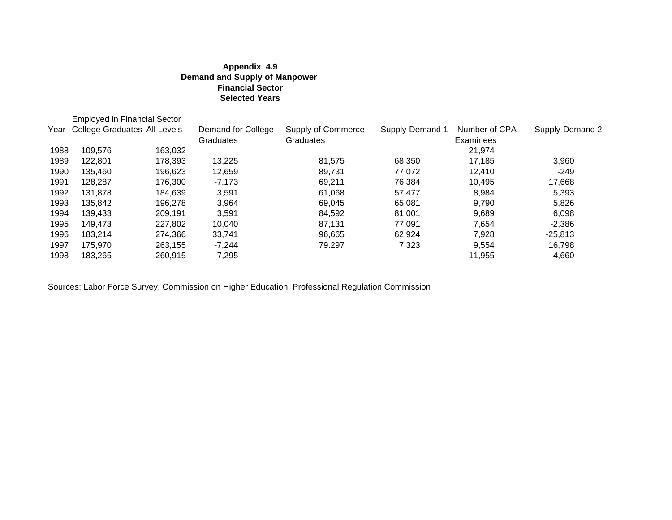# **Appendix 4.9 Demand and Supply of Manpower Financial Sector Selected Years**

|      | <b>Employed in Financial Sector</b> |         |                                 |                                 |                 |                            |                 |
|------|-------------------------------------|---------|---------------------------------|---------------------------------|-----------------|----------------------------|-----------------|
| Year | <b>College Graduates All Levels</b> |         | Demand for College<br>Graduates | Supply of Commerce<br>Graduates | Supply-Demand 1 | Number of CPA<br>Examinees | Supply-Demand 2 |
| 1988 | 109,576                             | 163,032 |                                 |                                 |                 | 21,974                     |                 |
| 1989 | 122.801                             | 178,393 | 13,225                          | 81,575                          | 68,350          | 17,185                     | 3,960           |
| 1990 | 135.460                             | 196,623 | 12,659                          | 89.731                          | 77.072          | 12.410                     | $-249$          |
| 1991 | 128.287                             | 176.300 | $-7.173$                        | 69.211                          | 76,384          | 10.495                     | 17,668          |
| 1992 | 131,878                             | 184,639 | 3,591                           | 61,068                          | 57,477          | 8,984                      | 5,393           |
| 1993 | 135.842                             | 196.278 | 3.964                           | 69.045                          | 65.081          | 9.790                      | 5,826           |
| 1994 | 139.433                             | 209.191 | 3.591                           | 84.592                          | 81.001          | 9,689                      | 6,098           |
| 1995 | 149.473                             | 227.802 | 10.040                          | 87,131                          | 77.091          | 7,654                      | $-2,386$        |
| 1996 | 183.214                             | 274,366 | 33.741                          | 96,665                          | 62,924          | 7,928                      | $-25,813$       |
| 1997 | 175.970                             | 263.155 | $-7.244$                        | 79.297                          | 7,323           | 9,554                      | 16,798          |
| 1998 | 183,265                             | 260.915 | 7,295                           |                                 |                 | 11,955                     | 4,660           |

Sources: Labor Force Survey, Commission on Higher Education, Professional Regulation Commission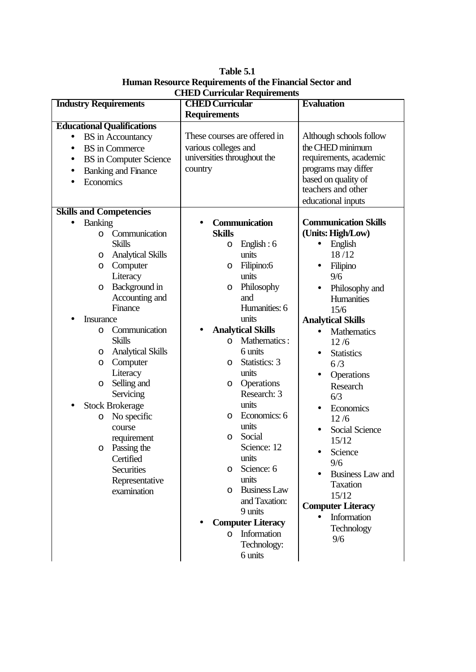**Industry Requirements CHED Curricular Requirements Evaluation Educational Qualifications BS** in Accountancy • BS in Commerce • BS in Computer Science • Banking and Finance • Economics These courses are offered in various colleges and universities throughout the country Although schools follow the CHED minimum requirements, academic programs may differ based on quality of teachers and other educational inputs **Skills and Competencies** • Banking o Communication Skills o Analytical Skills o Computer **Literacy** o Background in Accounting and Finance **Insurance** o Communication Skills o Analytical Skills o Computer **Literacy** o Selling and **Servicing Stock Brokerage** o No specific course requirement o Passing the **Certified Securities** Representative examination • **Communication Skills** o English : 6 units o Filipino:6 units o Philosophy and Humanities: 6 units • **Analytical Skills** o Mathematics : 6 units o Statistics: 3 units o Operations Research: 3 units o Economics: 6 units o Social Science: 12 units o Science: 6 units o Business Law and Taxation: 9 units • **Computer Literacy** o Information Technology: 6 units **Communication Skills (Units: High/Low)** • English 18 /12 • Filipino 9/6 • Philosophy and **Humanities** 15/6 **Analytical Skills** • Mathematics 12 /6 • Statistics  $6/3$ • Operations Research 6/3 • Economics  $12/6$ Social Science 15/12 • Science 9/6 • Business Law and Taxation 15/12 **Computer Literacy** • Information **Technology** 9/6

**Table 5.1 Human Resource Requirements of the Financial Sector and CHED Curricular Requirements**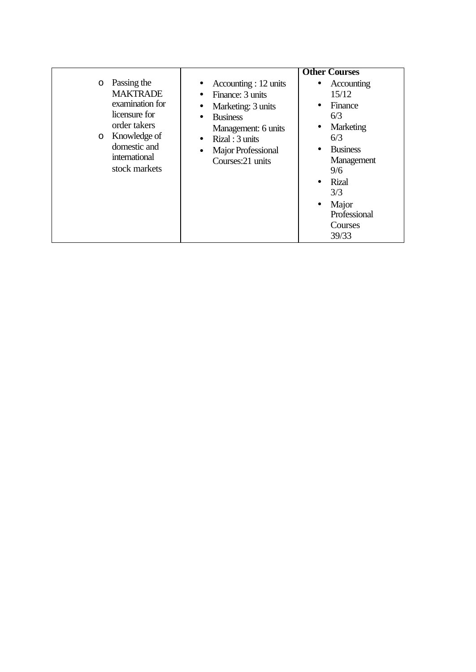|                                                                                                                                                                   | <b>Other Courses</b>                                                                                                                                                                                                                                                                                                                                                                                                                        |
|-------------------------------------------------------------------------------------------------------------------------------------------------------------------|---------------------------------------------------------------------------------------------------------------------------------------------------------------------------------------------------------------------------------------------------------------------------------------------------------------------------------------------------------------------------------------------------------------------------------------------|
| Passing the<br>$\circ$<br><b>MAKTRADE</b><br>examination for<br>licensure for<br>order takers<br>o Knowledge of<br>domestic and<br>international<br>stock markets | Accounting : 12 units<br>$\bullet$ Accounting<br>$\bullet$<br>15/12<br>Finance: 3 units<br>$\bullet$<br>Finance<br>Marketing: 3 units<br>٠<br>6/3<br><b>Business</b><br>$\bullet$<br>Marketing<br>Management: 6 units<br>6/3<br>Rizal: 3 units<br>$\bullet$<br><b>Business</b><br>Major Professional<br>$\bullet$<br>Management<br>Courses:21 units<br>9/6<br><b>Rizal</b><br>3/3<br>Major<br>$\bullet$<br>Professional<br>Courses<br>39/33 |